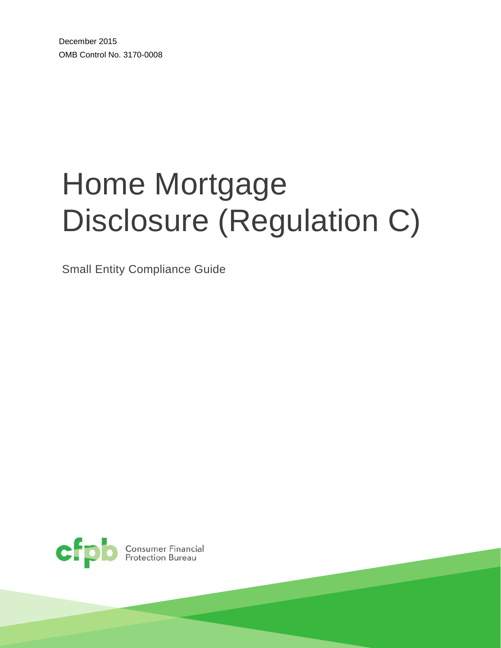December 2015 OMB Control No. 3170-0008

# Home Mortgage Disclosure (Regulation C)

Small Entity Compliance Guide



**Consumer Financial<br>Protection Bureau**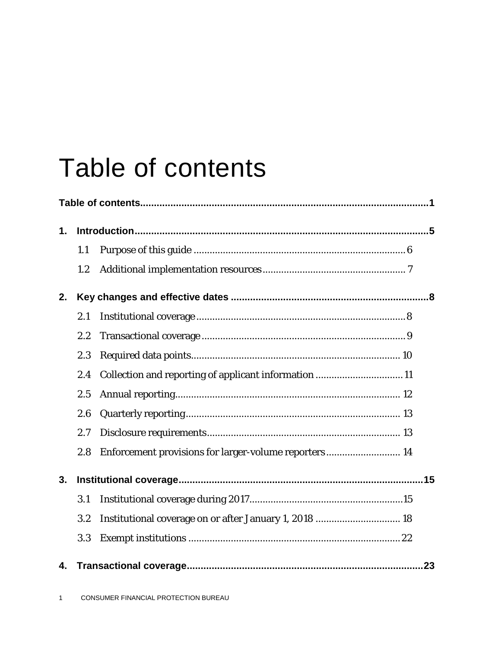# Table of contents

| 1. |     |                                                        |  |  |  |
|----|-----|--------------------------------------------------------|--|--|--|
|    | 1.1 |                                                        |  |  |  |
|    | 1.2 |                                                        |  |  |  |
| 2. |     |                                                        |  |  |  |
|    | 2.1 |                                                        |  |  |  |
|    | 2.2 |                                                        |  |  |  |
|    | 2.3 |                                                        |  |  |  |
|    | 2.4 | Collection and reporting of applicant information 11   |  |  |  |
|    | 2.5 |                                                        |  |  |  |
|    | 2.6 |                                                        |  |  |  |
|    | 2.7 |                                                        |  |  |  |
|    | 2.8 | Enforcement provisions for larger-volume reporters 14  |  |  |  |
| 3. |     |                                                        |  |  |  |
|    | 3.1 |                                                        |  |  |  |
|    | 3.2 | Institutional coverage on or after January 1, 2018  18 |  |  |  |
|    | 3.3 |                                                        |  |  |  |
| 4. |     |                                                        |  |  |  |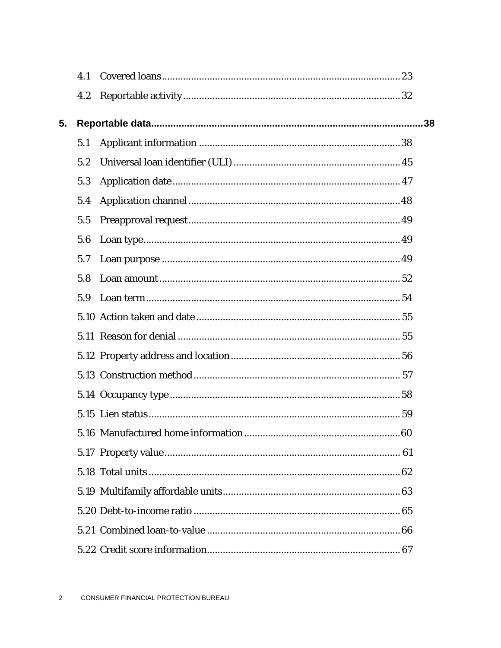|    | 4.1 |     |
|----|-----|-----|
|    | 4.2 |     |
| 5. |     | .38 |
|    | 5.1 |     |
|    | 5.2 |     |
|    | 5.3 |     |
|    | 5.4 |     |
|    | 5.5 |     |
|    | 5.6 |     |
|    | 5.7 |     |
|    | 5.8 |     |
|    | 5.9 |     |
|    |     |     |
|    |     |     |
|    |     |     |
|    |     |     |
|    |     |     |
|    |     |     |
|    |     |     |
|    |     |     |
|    |     |     |
|    |     |     |
|    |     |     |
|    |     |     |
|    |     |     |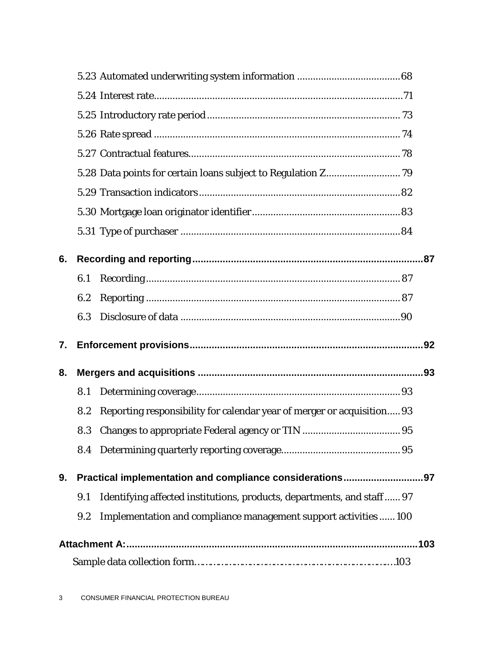| 6. |     |                                                                        |  |  |  |
|----|-----|------------------------------------------------------------------------|--|--|--|
|    | 6.1 |                                                                        |  |  |  |
|    | 6.2 |                                                                        |  |  |  |
|    | 6.3 |                                                                        |  |  |  |
| 7. |     |                                                                        |  |  |  |
| 8. |     |                                                                        |  |  |  |
|    | 8.1 |                                                                        |  |  |  |
|    | 8.2 | Reporting responsibility for calendar year of merger or acquisition 93 |  |  |  |
|    | 8.3 |                                                                        |  |  |  |
|    |     |                                                                        |  |  |  |
| 9. |     | Practical implementation and compliance considerations97               |  |  |  |
|    | 9.1 | Identifying affected institutions, products, departments, and staff 97 |  |  |  |
|    | 9.2 | Implementation and compliance management support activities  100       |  |  |  |
|    |     |                                                                        |  |  |  |
|    |     |                                                                        |  |  |  |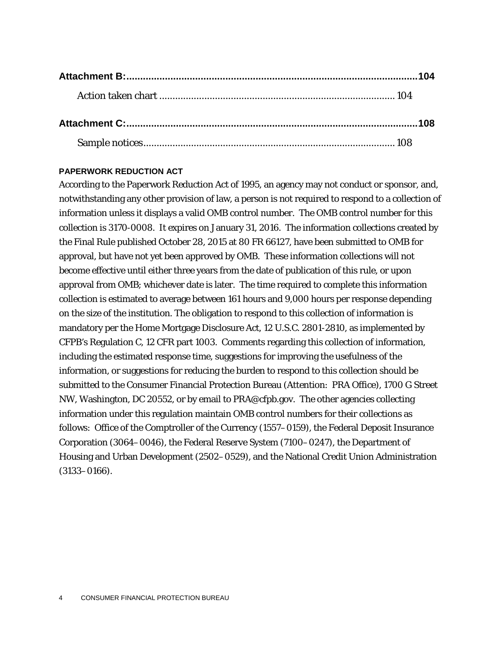#### **PAPERWORK REDUCTION ACT**

According to the Paperwork Reduction Act of 1995, an agency may not conduct or sponsor, and, notwithstanding any other provision of law, a person is not required to respond to a collection of information unless it displays a valid OMB control number. The OMB control number for this collection is 3170-0008. It expires on January 31, 2016. The information collections created by the Final Rule published October 28, 2015 at 80 FR 66127, have been submitted to OMB for approval, but have not yet been approved by OMB. These information collections will not become effective until either three years from the date of publication of this rule, or upon approval from OMB; whichever date is later. The time required to complete this information collection is estimated to average between 161 hours and 9,000 hours per response depending on the size of the institution. The obligation to respond to this collection of information is mandatory per the Home Mortgage Disclosure Act, 12 U.S.C. 2801-2810, as implemented by CFPB's Regulation C, 12 CFR part 1003. Comments regarding this collection of information, including the estimated response time, suggestions for improving the usefulness of the information, or suggestions for reducing the burden to respond to this collection should be submitted to the Consumer Financial Protection Bureau (Attention: PRA Office), 1700 G Street NW, Washington, DC 20552, or by email to [PRA@cfpb.gov.](mailto:PRA@cfpb.gov) The other agencies collecting information under this regulation maintain OMB control numbers for their collections as follows: Office of the Comptroller of the Currency (1557–0159), the Federal Deposit Insurance Corporation (3064–0046), the Federal Reserve System (7100–0247), the Department of Housing and Urban Development (2502–0529), and the National Credit Union Administration (3133–0166).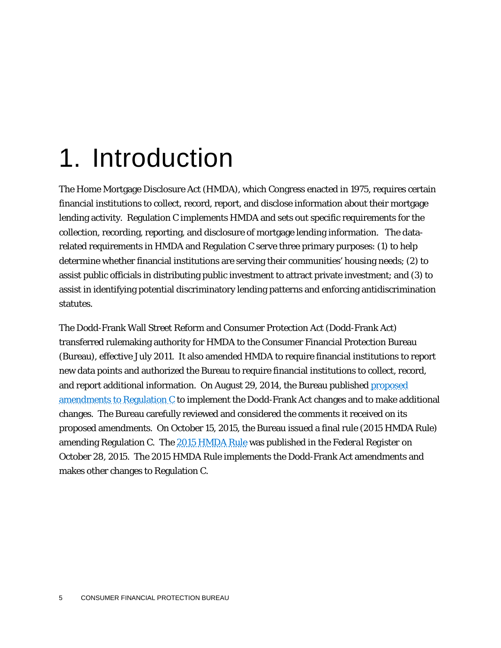# 1. Introduction

The Home Mortgage Disclosure Act (HMDA), which Congress enacted in 1975, requires certain financial institutions to collect, record, report, and disclose information about their mortgage lending activity. Regulation C implements HMDA and sets out specific requirements for the collection, recording, reporting, and disclosure of mortgage lending information. The datarelated requirements in HMDA and Regulation C serve three primary purposes: (1) to help determine whether financial institutions are serving their communities' housing needs; (2) to assist public officials in distributing public investment to attract private investment; and (3) to assist in identifying potential discriminatory lending patterns and enforcing antidiscrimination statutes.

The Dodd-Frank Wall Street Reform and Consumer Protection Act (Dodd-Frank Act) transferred rulemaking authority for HMDA to the Consumer Financial Protection Bureau (Bureau), effective July 2011. It also amended HMDA to require financial institutions to report new data points and authorized the Bureau to require financial institutions to collect, record, and report additional information. On August 29, 2014, the Bureau published [proposed](https://www.federalregister.gov/articles/2014/08/29/2014-18353/home-mortgage-disclosure-regulation-c)  [amendments to Regulation C](https://www.federalregister.gov/articles/2014/08/29/2014-18353/home-mortgage-disclosure-regulation-c) to implement the Dodd-Frank Act changes and to make additional changes. The Bureau carefully reviewed and considered the comments it received on its proposed amendments. On October 15, 2015, the Bureau issued a final rule (2015 HMDA Rule) amending Regulation C. The [2015 HMDA Rule](https://www.federalregister.gov/articles/2015/10/28/2015-26607/home-mortgage-disclosure-regulation-c?utm_campaign=subscription+mailing+list&utm_medium=email&utm_source=federalregister.gov) was published in the *Federal Register* on October 28, 2015. The 2015 HMDA Rule implements the Dodd-Frank Act amendments and makes other changes to Regulation C.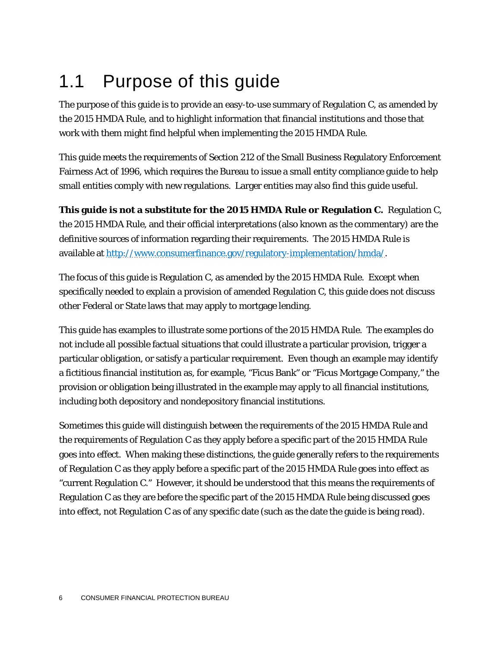# 1.1 Purpose of this guide

The purpose of this guide is to provide an easy-to-use summary of Regulation C, as amended by the 2015 HMDA Rule, and to highlight information that financial institutions and those that work with them might find helpful when implementing the 2015 HMDA Rule.

This guide meets the requirements of Section 212 of the Small Business Regulatory Enforcement Fairness Act of 1996, which requires the Bureau to issue a small entity compliance guide to help small entities comply with new regulations. Larger entities may also find this guide useful.

**This guide is not a substitute for the 2015 HMDA Rule or Regulation C.** Regulation C, the 2015 HMDA Rule, and their official interpretations (also known as the commentary) are the definitive sources of information regarding their requirements. The 2015 HMDA Rule is available a[t http://www.consumerfinance.gov/regulatory-implementation/hmda/.](http://www.consumerfinance.gov/regulatory-implementation/hmda/)

The focus of this guide is Regulation C, as amended by the 2015 HMDA Rule. Except when specifically needed to explain a provision of amended Regulation C, this guide does not discuss other Federal or State laws that may apply to mortgage lending.

This guide has examples to illustrate some portions of the 2015 HMDA Rule. The examples do not include all possible factual situations that could illustrate a particular provision, trigger a particular obligation, or satisfy a particular requirement. Even though an example may identify a fictitious financial institution as, for example, "Ficus Bank" or "Ficus Mortgage Company," the provision or obligation being illustrated in the example may apply to all financial institutions, including both depository and nondepository financial institutions.

Sometimes this guide will distinguish between the requirements of the 2015 HMDA Rule and the requirements of Regulation C as they apply before a specific part of the 2015 HMDA Rule goes into effect. When making these distinctions, the guide generally refers to the requirements of Regulation C as they apply before a specific part of the 2015 HMDA Rule goes into effect as "current Regulation C." However, it should be understood that this means the requirements of Regulation C as they are before the specific part of the 2015 HMDA Rule being discussed goes into effect, not Regulation C as of any specific date (such as the date the guide is being read).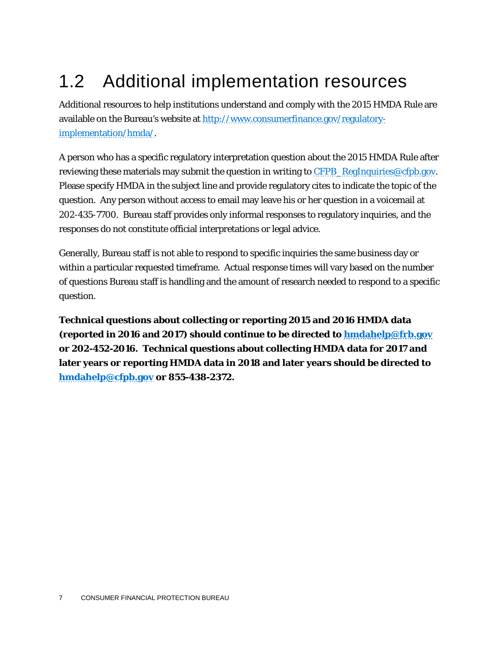# 1.2 Additional implementation resources

Additional resources to help institutions understand and comply with the 2015 HMDA Rule are available on the Bureau's website at [http://www.consumerfinance.gov/regulatory](http://www.consumerfinance.gov/regulatory-implementation/hmda/)[implementation/hmda/.](http://www.consumerfinance.gov/regulatory-implementation/hmda/)

A person who has a specific regulatory interpretation question about the 2015 HMDA Rule after reviewing these materials may submit the question in writing to  $CFPB$ ,  $RegInquiries@cfpb.gov$ . Please specify HMDA in the subject line and provide regulatory cites to indicate the topic of the question. Any person without access to email may leave his or her question in a voicemail at 202-435-7700. Bureau staff provides only informal responses to regulatory inquiries, and the responses do not constitute official interpretations or legal advice.

Generally, Bureau staff is not able to respond to specific inquiries the same business day or within a particular requested timeframe. Actual response times will vary based on the number of questions Bureau staff is handling and the amount of research needed to respond to a specific question.

**Technical questions about collecting or reporting 2015 and 2016 HMDA data (reported in 2016 and 2017) should continue to be directed to [hmdahelp@frb.gov](mailto:hmdahelp@frb.gov) or 202-452-2016. Technical questions about collecting HMDA data for 2017 and later years or reporting HMDA data in 2018 and later years should be directed to [hmdahelp@cfpb.gov](mailto:hmdahelp@cfpb.gov) or 855-438-2372.**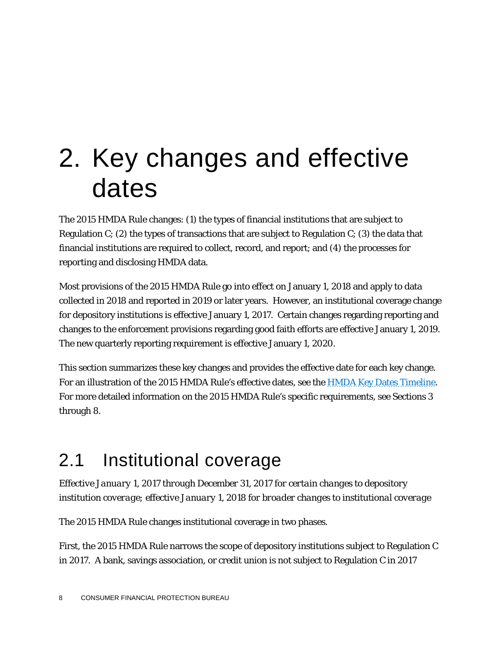# 2. Key changes and effective dates

The 2015 HMDA Rule changes: (1) the types of financial institutions that are subject to Regulation C; (2) the types of transactions that are subject to Regulation C; (3) the data that financial institutions are required to collect, record, and report; and (4) the processes for reporting and disclosing HMDA data.

Most provisions of the 2015 HMDA Rule go into effect on January 1, 2018 and apply to data collected in 2018 and reported in 2019 or later years. However, an institutional coverage change for depository institutions is effective January 1, 2017. Certain changes regarding reporting and changes to the enforcement provisions regarding good faith efforts are effective January 1, 2019. The new quarterly reporting requirement is effective January 1, 2020.

This section summarizes these key changes and provides the effective date for each key change. For an illustration of the 2015 HMDA Rule's effective dates, see the [HMDA Key Dates Timeline.](http://www.consumerfinance.gov/regulatory-implementation/hmda/) For more detailed information on the 2015 HMDA Rule's specific requirements, see Sections 3 through 8.

## 2.1 Institutional coverage

*Effective January 1, 2017 through December 31, 2017 for certain changes to depository institution coverage; effective January 1, 2018 for broader changes to institutional coverage*

The 2015 HMDA Rule changes institutional coverage in two phases.

First, the 2015 HMDA Rule narrows the scope of depository institutions subject to Regulation C in 2017. A bank, savings association, or credit union is not subject to Regulation C in 2017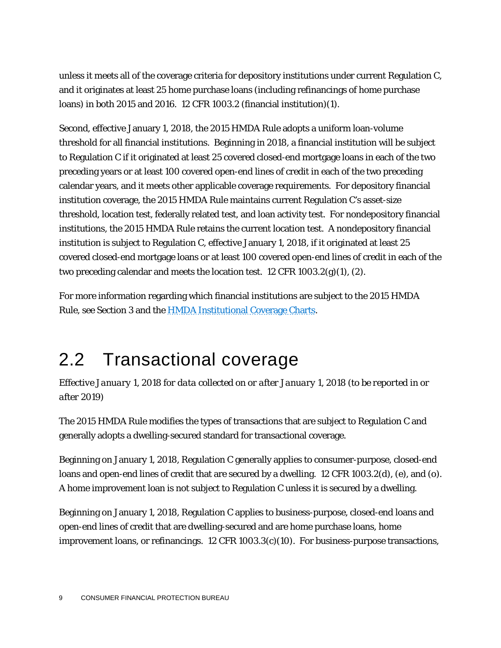unless it meets all of the coverage criteria for depository institutions under current Regulation C, and it originates at least 25 home purchase loans (including refinancings of home purchase loans) in both 2015 and 2016. 12 CFR 1003.2 (financial institution)(1).

Second, effective January 1, 2018, the 2015 HMDA Rule adopts a uniform loan-volume threshold for all financial institutions. Beginning in 2018, a financial institution will be subject to Regulation C if it originated at least 25 covered closed-end mortgage loans in each of the two preceding years or at least 100 covered open-end lines of credit in each of the two preceding calendar years, and it meets other applicable coverage requirements. For depository financial institution coverage, the 2015 HMDA Rule maintains current Regulation C's asset-size threshold, location test, federally related test, and loan activity test. For nondepository financial institutions, the 2015 HMDA Rule retains the current location test. A nondepository financial institution is subject to Regulation C, effective January 1, 2018, if it originated at least 25 covered closed-end mortgage loans or at least 100 covered open-end lines of credit in each of the two preceding calendar and meets the location test. 12 CFR 1003.2(g)(1), (2).

For more information regarding which financial institutions are subject to the 2015 HMDA Rule, see Section 3 and th[e HMDA Institutional Coverage Charts.](http://www.consumerfinance.gov/regulatory-implementation/hmda/)

# 2.2 Transactional coverage

*Effective January 1, 2018 for data collected on or after January 1, 2018 (to be reported in or after 2019)*

The 2015 HMDA Rule modifies the types of transactions that are subject to Regulation C and generally adopts a dwelling-secured standard for transactional coverage.

Beginning on January 1, 2018, Regulation C generally applies to consumer-purpose, closed-end loans and open-end lines of credit that are secured by a dwelling. 12 CFR 1003.2(d), (e), and (o). A home improvement loan is not subject to Regulation C unless it is secured by a dwelling.

Beginning on January 1, 2018, Regulation C applies to business-purpose, closed-end loans and open-end lines of credit that are dwelling-secured and are home purchase loans, home improvement loans, or refinancings.12 CFR 1003.3(c)(10). For business-purpose transactions,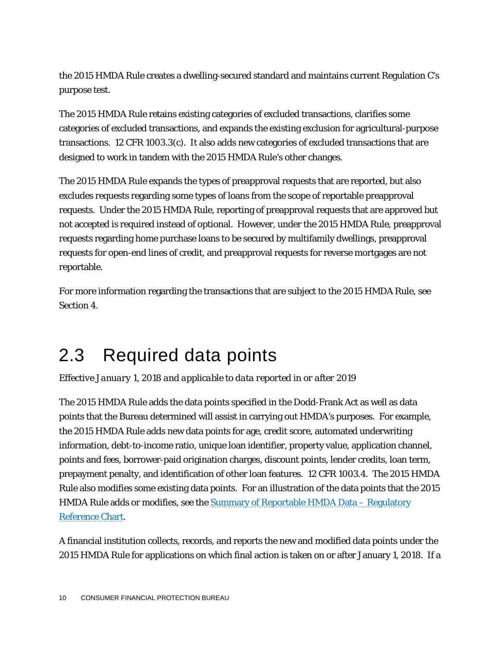the 2015 HMDA Rule creates a dwelling-secured standard and maintains current Regulation C's purpose test.

The 2015 HMDA Rule retains existing categories of excluded transactions, clarifies some categories of excluded transactions, and expands the existing exclusion for agricultural-purpose transactions. 12 CFR 1003.3(c). It also adds new categories of excluded transactions that are designed to work in tandem with the 2015 HMDA Rule's other changes.

The 2015 HMDA Rule expands the types of preapproval requests that are reported, but also excludes requests regarding some types of loans from the scope of reportable preapproval requests. Under the 2015 HMDA Rule, reporting of preapproval requests that are approved but not accepted is required instead of optional. However, under the 2015 HMDA Rule, preapproval requests regarding home purchase loans to be secured by multifamily dwellings, preapproval requests for open-end lines of credit, and preapproval requests for reverse mortgages are not reportable.

For more information regarding the transactions that are subject to the 2015 HMDA Rule, see Section 4.

## 2.3 Required data points

*Effective January 1, 2018 and applicable to data reported in or after 2019*

The 2015 HMDA Rule adds the data points specified in the Dodd-Frank Act as well as data points that the Bureau determined will assist in carrying out HMDA's purposes. For example, the 2015 HMDA Rule adds new data points for age, credit score, automated underwriting information, debt-to-income ratio, unique loan identifier, property value, application channel, points and fees, borrower-paid origination charges, discount points, lender credits, loan term, prepayment penalty, and identification of other loan features. 12 CFR 1003.4. The 2015 HMDA Rule also modifies some existing data points. For an illustration of the data points that the 2015 HMDA Rule adds or modifies, see the [Summary of Reportable HMDA Data –](http://www.consumerfinance.gov/regulatory-implementation/hmda/) Regulatory [Reference Chart.](http://www.consumerfinance.gov/regulatory-implementation/hmda/)

A financial institution collects, records, and reports the new and modified data points under the 2015 HMDA Rule for applications on which final action is taken on or after January 1, 2018. If a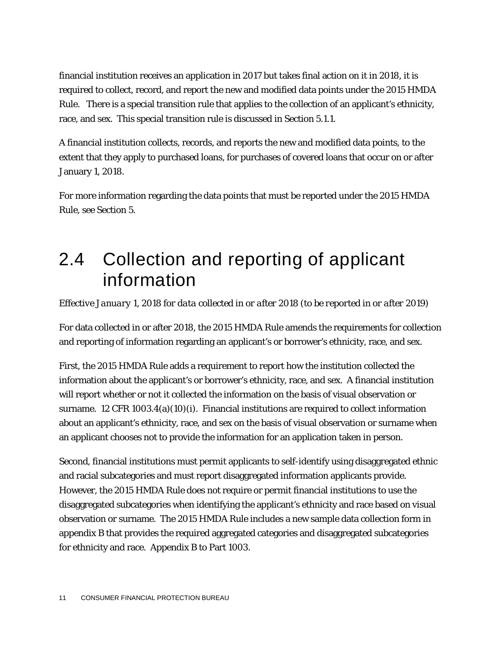financial institution receives an application in 2017 but takes final action on it in 2018, it is required to collect, record, and report the new and modified data points under the 2015 HMDA Rule. There is a special transition rule that applies to the collection of an applicant's ethnicity, race, and sex. This special transition rule is discussed in Section 5.1.1.

A financial institution collects, records, and reports the new and modified data points, to the extent that they apply to purchased loans, for purchases of covered loans that occur on or after January 1, 2018.

For more information regarding the data points that must be reported under the 2015 HMDA Rule, see Section 5.

## 2.4 Collection and reporting of applicant information

*Effective January 1, 2018 for data collected in or after 2018 (to be reported in or after 2019)*

For data collected in or after 2018, the 2015 HMDA Rule amends the requirements for collection and reporting of information regarding an applicant's or borrower's ethnicity, race, and sex.

First, the 2015 HMDA Rule adds a requirement to report how the institution collected the information about the applicant's or borrower's ethnicity, race, and sex. A financial institution will report whether or not it collected the information on the basis of visual observation or surname. 12 CFR 1003.4(a)(10)(i). Financial institutions are required to collect information about an applicant's ethnicity, race, and sex on the basis of visual observation or surname when an applicant chooses not to provide the information for an application taken in person.

Second, financial institutions must permit applicants to self-identify using disaggregated ethnic and racial subcategories and must report disaggregated information applicants provide. However, the 2015 HMDA Rule does not require or permit financial institutions to use the disaggregated subcategories when identifying the applicant's ethnicity and race based on visual observation or surname. The 2015 HMDA Rule includes a new sample data collection form in appendix B that provides the required aggregated categories and disaggregated subcategories for ethnicity and race. Appendix B to Part 1003.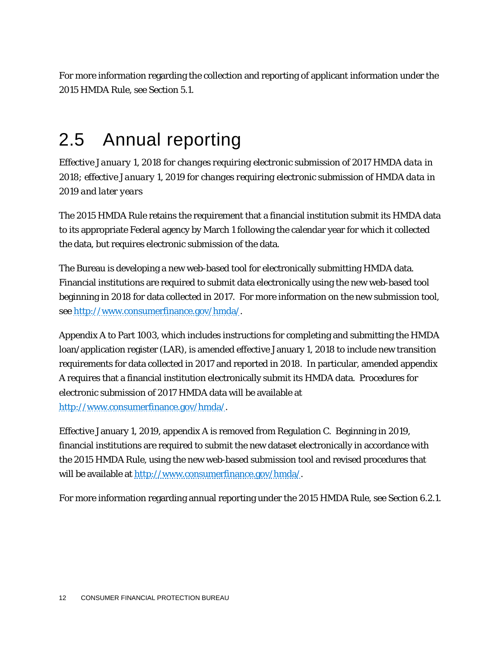For more information regarding the collection and reporting of applicant information under the 2015 HMDA Rule, see Section 5.1.

### 2.5 Annual reporting

*Effective January 1, 2018 for changes requiring electronic submission of 2017 HMDA data in 2018; effective January 1, 2019 for changes requiring electronic submission of HMDA data in 2019 and later years*

The 2015 HMDA Rule retains the requirement that a financial institution submit its HMDA data to its appropriate Federal agency by March 1 following the calendar year for which it collected the data, but requires electronic submission of the data.

The Bureau is developing a new web-based tool for electronically submitting HMDA data. Financial institutions are required to submit data electronically using the new web-based tool beginning in 2018 for data collected in 2017. For more information on the new submission tool, see [http://www.consumerfinance.gov/hmda/.](http://www.consumerfinance.gov/hmda/)

Appendix A to Part 1003, which includes instructions for completing and submitting the HMDA loan/application register (LAR), is amended effective January 1, 2018 to include new transition requirements for data collected in 2017 and reported in 2018. In particular, amended appendix A requires that a financial institution electronically submit its HMDA data. Procedures for electronic submission of 2017 HMDA data will be available at [http://www.consumerfinance.gov/hmda/.](http://www.consumerfinance.gov/hmda/)

Effective January 1, 2019, appendix A is removed from Regulation C. Beginning in 2019, financial institutions are required to submit the new dataset electronically in accordance with the 2015 HMDA Rule, using the new web-based submission tool and revised procedures that will be available at [http://www.consumerfinance.gov/hmda/.](http://www.consumerfinance.gov/hmda/)

For more information regarding annual reporting under the 2015 HMDA Rule, see Section 6.2.1.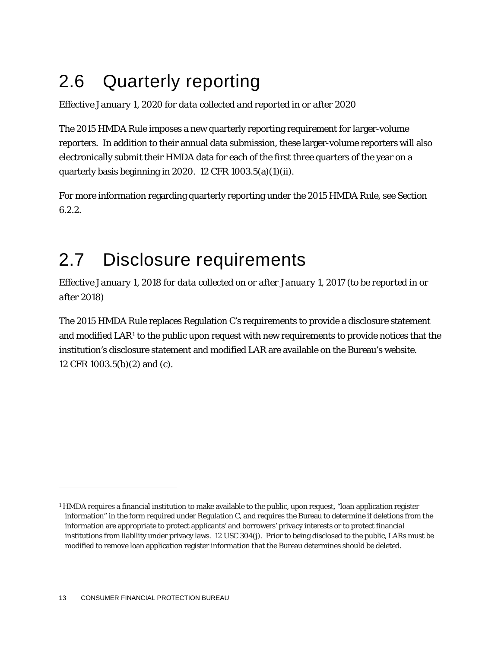# 2.6 Quarterly reporting

*Effective January 1, 2020 for data collected and reported in or after 2020* 

The 2015 HMDA Rule imposes a new quarterly reporting requirement for larger-volume reporters. In addition to their annual data submission, these larger-volume reporters will also electronically submit their HMDA data for each of the first three quarters of the year on a quarterly basis beginning in 2020. 12 CFR 1003.5(a)(1)(ii).

For more information regarding quarterly reporting under the 2015 HMDA Rule, see Section 6.2.2.

## 2.7 Disclosure requirements

*Effective January 1, 2018 for data collected on or after January 1, 2017 (to be reported in or after 2018)*

The 2015 HMDA Rule replaces Regulation C's requirements to provide a disclosure statement and modified  $LAR<sup>1</sup>$  $LAR<sup>1</sup>$  $LAR<sup>1</sup>$  to the public upon request with new requirements to provide notices that the institution's disclosure statement and modified LAR are available on the Bureau's website. 12 CFR 1003.5(b)(2) and (c).

<span id="page-13-0"></span><sup>&</sup>lt;sup>1</sup> HMDA requires a financial institution to make available to the public, upon request, "loan application register information" in the form required under Regulation C, and requires the Bureau to determine if deletions from the information are appropriate to protect applicants' and borrowers' privacy interests or to protect financial institutions from liability under privacy laws. 12 USC 304(j). Prior to being disclosed to the public, LARs must be modified to remove loan application register information that the Bureau determines should be deleted.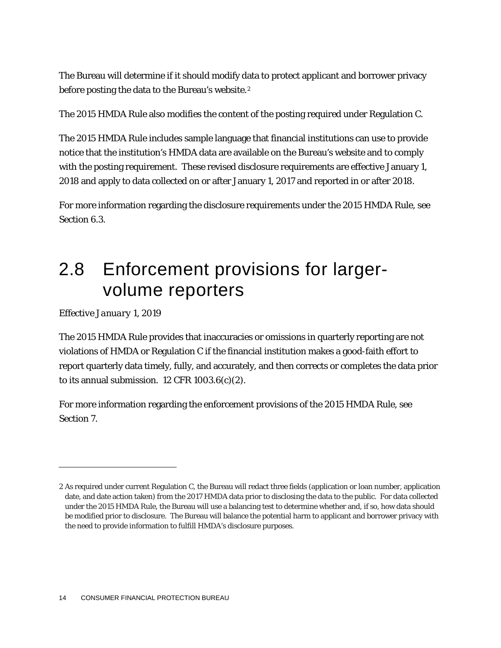The Bureau will determine if it should modify data to protect applicant and borrower privacy before posting the data to the Bureau's website.<sup>[2](#page-14-0)</sup>

The 2015 HMDA Rule also modifies the content of the posting required under Regulation C.

The 2015 HMDA Rule includes sample language that financial institutions can use to provide notice that the institution's HMDA data are available on the Bureau's website and to comply with the posting requirement. These revised disclosure requirements are effective January 1, 2018 and apply to data collected on or after January 1, 2017 and reported in or after 2018.

For more information regarding the disclosure requirements under the 2015 HMDA Rule, see Section 6.3.

### 2.8 Enforcement provisions for largervolume reporters

*Effective January 1, 2019*

1

The 2015 HMDA Rule provides that inaccuracies or omissions in quarterly reporting are not violations of HMDA or Regulation C if the financial institution makes a good-faith effort to report quarterly data timely, fully, and accurately, and then corrects or completes the data prior to its annual submission.  $12$  CFR  $1003.6(c)(2)$ .

For more information regarding the enforcement provisions of the 2015 HMDA Rule, see Section 7.

<span id="page-14-0"></span><sup>2</sup> As required under current Regulation C, the Bureau will redact three fields (application or loan number, application date, and date action taken) from the 2017 HMDA data prior to disclosing the data to the public. For data collected under the 2015 HMDA Rule, the Bureau will use a balancing test to determine whether and, if so, how data should be modified prior to disclosure. The Bureau will balance the potential harm to applicant and borrower privacy with the need to provide information to fulfill HMDA's disclosure purposes.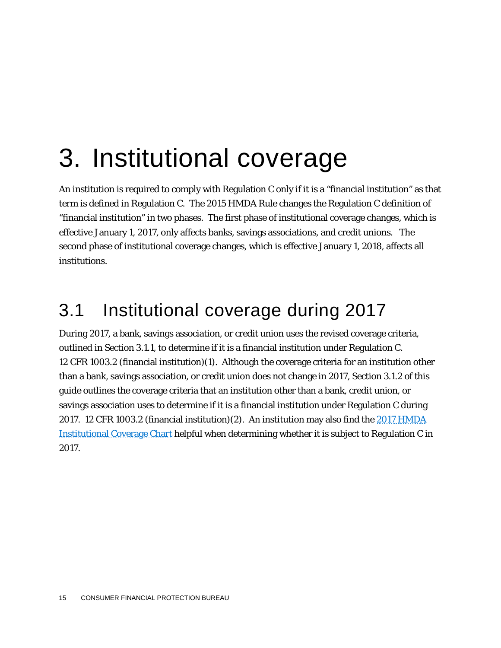# 3. Institutional coverage

An institution is required to comply with Regulation C only if it is a "financial institution" as that term is defined in Regulation C. The 2015 HMDA Rule changes the Regulation C definition of "financial institution" in two phases. The first phase of institutional coverage changes, which is effective January 1, 2017, only affects banks, savings associations, and credit unions. The second phase of institutional coverage changes, which is effective January 1, 2018, affects all institutions.

### 3.1 Institutional coverage during 2017

During 2017, a bank, savings association, or credit union uses the revised coverage criteria, outlined in Section 3.1.1, to determine if it is a financial institution under Regulation C. 12 CFR 1003.2 (financial institution)(1). Although the coverage criteria for an institution other than a bank, savings association, or credit union does not change in 2017, Section 3.1.2 of this guide outlines the coverage criteria that an institution other than a bank, credit union, or savings association uses to determine if it is a financial institution under Regulation C during 2017. 12 CFR 1003.2 (financial institution)(2). An institution may also find the [2017 HMDA](http://www.consumerfinance.gov/regulatory-implementation/hmda/)  [Institutional Coverage Chart](http://www.consumerfinance.gov/regulatory-implementation/hmda/) helpful when determining whether it is subject to Regulation C in 2017.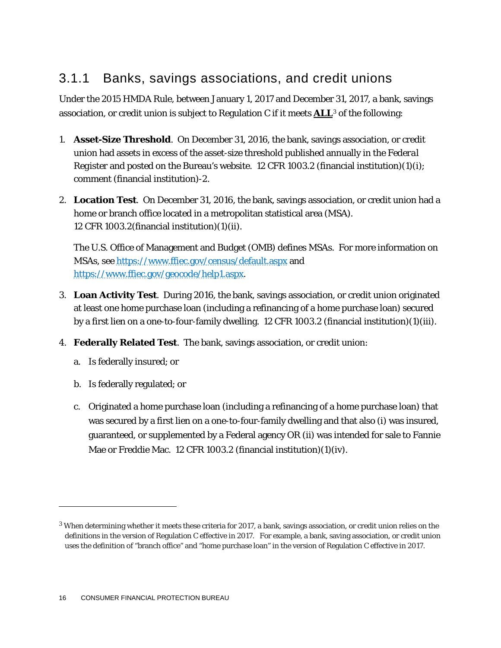### 3.1.1 Banks, savings associations, and credit unions

Under the 2015 HMDA Rule, between January 1, 2017 and December 31, 2017, a bank, savings association, or credit union is subject to Regulation C if it meets **ALL**[3](#page-16-0) of the following:

- 1. **Asset-Size Threshold**. On December 31, 2016, the bank, savings association, or credit union had assets in excess of the asset-size threshold published annually in the *Federal Register* and posted on the Bureau's website. 12 CFR 1003.2 (financial institution)(1)(i); comment (financial institution)-2.
- 2. **Location Test**. On December 31, 2016, the bank, savings association, or credit union had a home or branch office located in a metropolitan statistical area (MSA). 12 CFR 1003.2(financial institution)(1)(ii).

The U.S. Office of Management and Budget (OMB) defines MSAs. For more information on MSAs, see<https://www.ffiec.gov/census/default.aspx> and [https://www.ffiec.gov/geocode/help1.aspx.](https://www.ffiec.gov/geocode/help1.aspx)

- 3. **Loan Activity Test**. During 2016, the bank, savings association, or credit union originated at least one home purchase loan (including a refinancing of a home purchase loan) secured by a first lien on a one-to-four-family dwelling. 12 CFR 1003.2 (financial institution)(1)(iii).
- 4. **Federally Related Test**. The bank, savings association, or credit union:
	- a. Is federally insured; or
	- b. Is federally regulated; or

1

c. Originated a home purchase loan (including a refinancing of a home purchase loan) that was secured by a first lien on a one-to-four-family dwelling and that also (i) was insured, guaranteed, or supplemented by a Federal agency OR (ii) was intended for sale to Fannie Mae or Freddie Mac. 12 CFR 1003.2 (financial institution)(1)(iv).

<span id="page-16-0"></span><sup>3</sup> When determining whether it meets these criteria for 2017, a bank, savings association, or credit union relies on the definitions in the version of Regulation C effective in 2017. For example, a bank, saving association, or credit union uses the definition of "branch office" and "home purchase loan" in the version of Regulation C effective in 2017.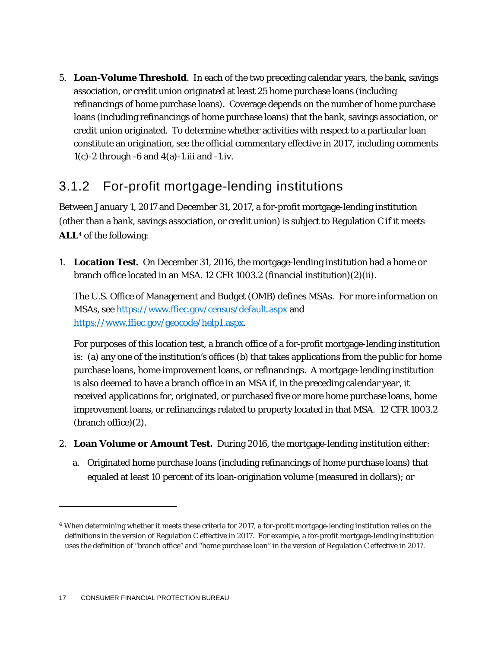5. **Loan-Volume Threshold**. In each of the two preceding calendar years, the bank, savings association, or credit union originated at least 25 home purchase loans (including refinancings of home purchase loans). Coverage depends on the number of home purchase loans (including refinancings of home purchase loans) that the bank, savings association, or credit union originated. To determine whether activities with respect to a particular loan constitute an origination, see the official commentary effective in 2017, including comments  $1(c)$ -2 through -6 and  $4(a)$ -1.iii and -1.iv.

### 3.1.2 For-profit mortgage-lending institutions

Between January 1, 2017 and December 31, 2017, a for-profit mortgage-lending institution (other than a bank, savings association, or credit union) is subject to Regulation C if it meets **ALL**[4](#page-17-0) of the following:

1. **Location Test**. On December 31, 2016, the mortgage-lending institution had a home or branch office located in an MSA. 12 CFR 1003.2 (financial institution)(2)(ii).

The U.S. Office of Management and Budget (OMB) defines MSAs. For more information on MSAs, see<https://www.ffiec.gov/census/default.aspx> and [https://www.ffiec.gov/geocode/help1.aspx.](https://www.ffiec.gov/geocode/help1.aspx)

For purposes of this location test, a branch office of a for-profit mortgage-lending institution is: (a) any one of the institution's offices (b) that takes applications from the public for home purchase loans, home improvement loans, or refinancings. A mortgage-lending institution is also deemed to have a branch office in an MSA if, in the preceding calendar year, it received applications for, originated, or purchased five or more home purchase loans, home improvement loans, or refinancings related to property located in that MSA. 12 CFR 1003.2 (branch office)(2).

- 2. **Loan Volume or Amount Test.** During 2016, the mortgage-lending institution either:
	- a. Originated home purchase loans (including refinancings of home purchase loans) that equaled at least 10 percent of its loan-origination volume (measured in dollars); or

<span id="page-17-0"></span><sup>4</sup> When determining whether it meets these criteria for 2017, a for-profit mortgage-lending institution relies on the definitions in the version of Regulation C effective in 2017. For example, a for-profit mortgage-lending institution uses the definition of "branch office" and "home purchase loan" in the version of Regulation C effective in 2017.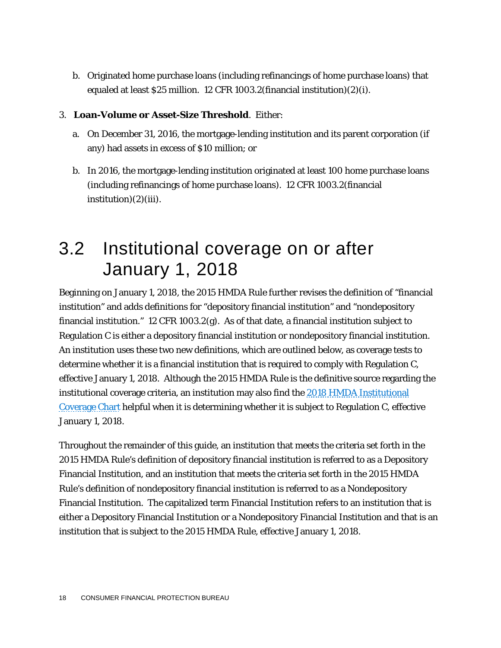b. Originated home purchase loans (including refinancings of home purchase loans) that equaled at least \$25 million. 12 CFR 1003.2(financial institution)(2)(i).

#### 3. **Loan-Volume or Asset-Size Threshold**. Either:

- a. On December 31, 2016, the mortgage-lending institution and its parent corporation (if any) had assets in excess of \$10 million; or
- b. In 2016, the mortgage-lending institution originated at least 100 home purchase loans (including refinancings of home purchase loans). 12 CFR 1003.2(financial  $institution(2)(iii)$ .

### 3.2 Institutional coverage on or after January 1, 2018

Beginning on January 1, 2018, the 2015 HMDA Rule further revises the definition of "financial institution" and adds definitions for "depository financial institution" and "nondepository financial institution." 12 CFR 1003.2(g). As of that date, a financial institution subject to Regulation C is either a depository financial institution or nondepository financial institution. An institution uses these two new definitions, which are outlined below, as coverage tests to determine whether it is a financial institution that is required to comply with Regulation C, effective January 1, 2018. Although the 2015 HMDA Rule is the definitive source regarding the institutional coverage criteria, an institution may also find th[e 2018 HMDA Institutional](http://www.consumerfinance.gov/regulatory-implementation/hmda/)  [Coverage Chart](http://www.consumerfinance.gov/regulatory-implementation/hmda/) helpful when it is determining whether it is subject to Regulation C, effective January 1, 2018.

Throughout the remainder of this guide, an institution that meets the criteria set forth in the 2015 HMDA Rule's definition of depository financial institution is referred to as a Depository Financial Institution, and an institution that meets the criteria set forth in the 2015 HMDA Rule's definition of nondepository financial institution is referred to as a Nondepository Financial Institution. The capitalized term Financial Institution refers to an institution that is either a Depository Financial Institution or a Nondepository Financial Institution and that is an institution that is subject to the 2015 HMDA Rule, effective January 1, 2018.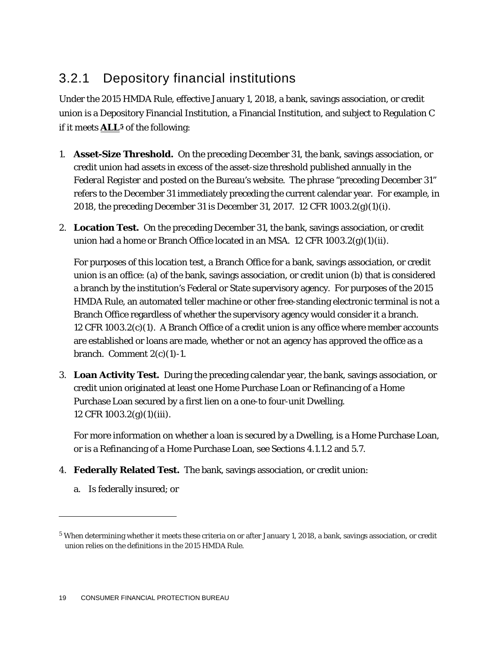### 3.2.1 Depository financial institutions

Under the 2015 HMDA Rule, effective January 1, 2018, a bank, savings association, or credit union is a Depository Financial Institution, a Financial Institution, and subject to Regulation C if it meets **ALL[5](#page-19-0)** of the following:

- 1. **Asset-Size Threshold.** On the preceding December 31, the bank, savings association, or credit union had assets in excess of the asset-size threshold published annually in the *Federal Register* and posted on the Bureau's website. The phrase "preceding December 31" refers to the December 31 immediately preceding the current calendar year. For example, in 2018, the preceding December 31 is December 31, 2017. 12 CFR 1003.2(g)(1)(i).
- 2. **Location Test.** On the preceding December 31, the bank, savings association, or credit union had a home or Branch Office located in an MSA. 12 CFR 1003.2(g)(1)(ii).

For purposes of this location test, a Branch Office for a bank, savings association, or credit union is an office: (a) of the bank, savings association, or credit union (b) that is considered a branch by the institution's Federal or State supervisory agency. For purposes of the 2015 HMDA Rule, an automated teller machine or other free-standing electronic terminal is not a Branch Office regardless of whether the supervisory agency would consider it a branch. 12 CFR 1003.2(c)(1). A Branch Office of a credit union is any office where member accounts are established or loans are made, whether or not an agency has approved the office as a branch. Comment  $2(c)(1)$ -1.

3. **Loan Activity Test.** During the preceding calendar year, the bank, savings association, or credit union originated at least one Home Purchase Loan or Refinancing of a Home Purchase Loan secured by a first lien on a one-to four-unit Dwelling. 12 CFR 1003.2(g)(1)(iii).

For more information on whether a loan is secured by a Dwelling, is a Home Purchase Loan, or is a Refinancing of a Home Purchase Loan, see Sections 4.1.1.2 and 5.7.

- 4. **Federally Related Test.** The bank, savings association, or credit union:
	- a. Is federally insured; or

<span id="page-19-0"></span><sup>5</sup> When determining whether it meets these criteria on or after January 1, 2018, a bank, savings association, or credit union relies on the definitions in the 2015 HMDA Rule.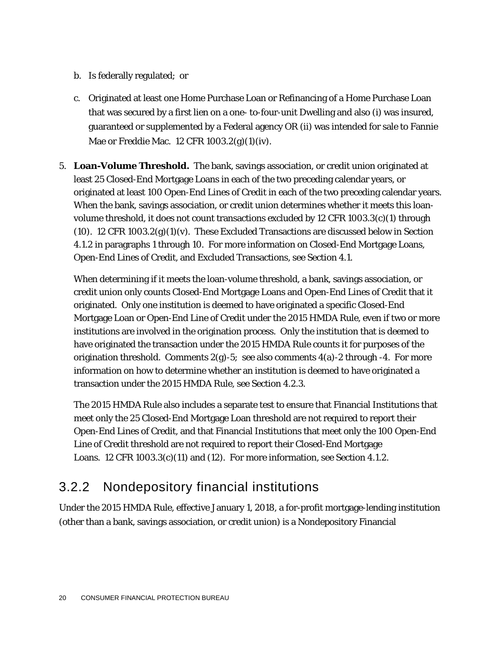- b. Is federally regulated; or
- c. Originated at least one Home Purchase Loan or Refinancing of a Home Purchase Loan that was secured by a first lien on a one- to-four-unit Dwelling and also (i) was insured, guaranteed or supplemented by a Federal agency OR (ii) was intended for sale to Fannie Mae or Freddie Mac. 12 CFR 1003.2(g)(1)(iv).
- 5. **Loan-Volume Threshold.** The bank, savings association, or credit union originated at least 25 Closed-End Mortgage Loans in each of the two preceding calendar years, or originated at least 100 Open-End Lines of Credit in each of the two preceding calendar years. When the bank, savings association, or credit union determines whether it meets this loanvolume threshold, it does not count transactions excluded by 12 CFR  $1003.3(c)(1)$  through (10). 12 CFR 1003.2(g)(1)(v). These Excluded Transactions are discussed below in Section 4.1.2 in paragraphs 1 through 10. For more information on Closed-End Mortgage Loans, Open-End Lines of Credit, and Excluded Transactions, see Section 4.1.

When determining if it meets the loan-volume threshold, a bank, savings association, or credit union only counts Closed-End Mortgage Loans and Open-End Lines of Credit that it originated. Only one institution is deemed to have originated a specific Closed-End Mortgage Loan or Open-End Line of Credit under the 2015 HMDA Rule, even if two or more institutions are involved in the origination process. Only the institution that is deemed to have originated the transaction under the 2015 HMDA Rule counts it for purposes of the origination threshold. Comments  $2(g)$ -5; see also comments  $4(a)$ -2 through -4. For more information on how to determine whether an institution is deemed to have originated a transaction under the 2015 HMDA Rule, see Section 4.2.3.

The 2015 HMDA Rule also includes a separate test to ensure that Financial Institutions that meet only the 25 Closed-End Mortgage Loan threshold are not required to report their Open-End Lines of Credit, and that Financial Institutions that meet only the 100 Open-End Line of Credit threshold are not required to report their Closed-End Mortgage Loans. 12 CFR  $1003.3(c)(11)$  and  $(12)$ . For more information, see Section 4.1.2.

### 3.2.2 Nondepository financial institutions

Under the 2015 HMDA Rule, effective January 1, 2018, a for-profit mortgage-lending institution (other than a bank, savings association, or credit union) is a Nondepository Financial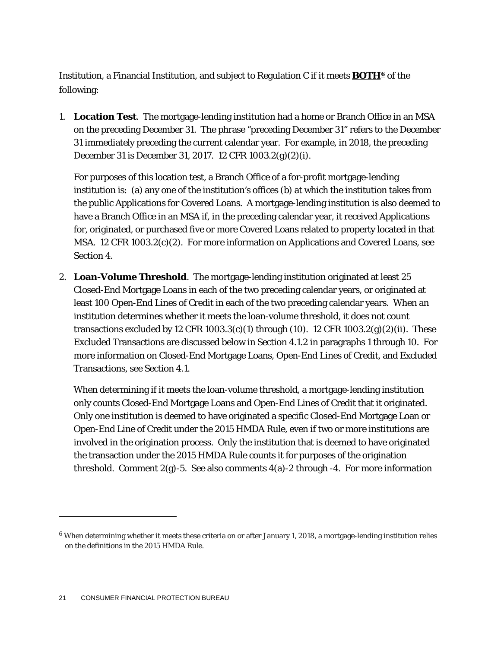Institution, a Financial Institution, and subject to Regulation C if it meets **BOTH[6](#page-21-0)** of the following:

1. **Location Test**. The mortgage-lending institution had a home or Branch Office in an MSA on the preceding December 31. The phrase "preceding December 31" refers to the December 31 immediately preceding the current calendar year. For example, in 2018, the preceding December 31 is December 31, 2017. 12 CFR 1003.2(g)(2)(i).

For purposes of this location test, a Branch Office of a for-profit mortgage-lending institution is: (a) any one of the institution's offices (b) at which the institution takes from the public Applications for Covered Loans. A mortgage-lending institution is also deemed to have a Branch Office in an MSA if, in the preceding calendar year, it received Applications for, originated, or purchased five or more Covered Loans related to property located in that MSA. 12 CFR 1003.2(c)(2). For more information on Applications and Covered Loans, see Section 4.

2. **Loan-Volume Threshold**. The mortgage-lending institution originated at least 25 Closed-End Mortgage Loans in each of the two preceding calendar years, or originated at least 100 Open-End Lines of Credit in each of the two preceding calendar years. When an institution determines whether it meets the loan-volume threshold, it does not count transactions excluded by 12 CFR 1003.3(c)(1) through (10). 12 CFR 1003.2(g)(2)(ii). These Excluded Transactions are discussed below in Section 4.1.2 in paragraphs 1 through 10. For more information on Closed-End Mortgage Loans, Open-End Lines of Credit, and Excluded Transactions, see Section 4.1.

When determining if it meets the loan-volume threshold, a mortgage-lending institution only counts Closed-End Mortgage Loans and Open-End Lines of Credit that it originated. Only one institution is deemed to have originated a specific Closed-End Mortgage Loan or Open-End Line of Credit under the 2015 HMDA Rule, even if two or more institutions are involved in the origination process. Only the institution that is deemed to have originated the transaction under the 2015 HMDA Rule counts it for purposes of the origination threshold. Comment  $2(g)$ -5. See also comments  $4(a)$ -2 through -4. For more information

<span id="page-21-0"></span><sup>6</sup> When determining whether it meets these criteria on or after January 1, 2018, a mortgage-lending institution relies on the definitions in the 2015 HMDA Rule.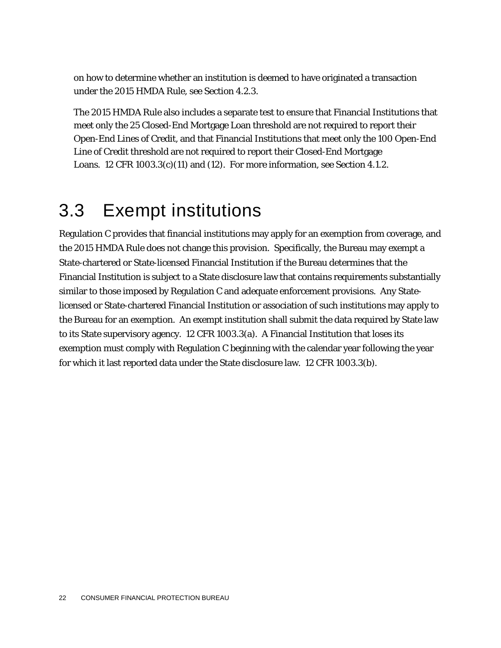on how to determine whether an institution is deemed to have originated a transaction under the 2015 HMDA Rule, see Section 4.2.3.

The 2015 HMDA Rule also includes a separate test to ensure that Financial Institutions that meet only the 25 Closed-End Mortgage Loan threshold are not required to report their Open-End Lines of Credit, and that Financial Institutions that meet only the 100 Open-End Line of Credit threshold are not required to report their Closed-End Mortgage Loans. 12 CFR  $1003.3(c)(11)$  and  $(12)$ . For more information, see Section 4.1.2.

### 3.3 Exempt institutions

Regulation C provides that financial institutions may apply for an exemption from coverage, and the 2015 HMDA Rule does not change this provision. Specifically, the Bureau may exempt a State-chartered or State-licensed Financial Institution if the Bureau determines that the Financial Institution is subject to a State disclosure law that contains requirements substantially similar to those imposed by Regulation C and adequate enforcement provisions. Any Statelicensed or State-chartered Financial Institution or association of such institutions may apply to the Bureau for an exemption. An exempt institution shall submit the data required by State law to its State supervisory agency. 12 CFR 1003.3(a). A Financial Institution that loses its exemption must comply with Regulation C beginning with the calendar year following the year for which it last reported data under the State disclosure law. 12 CFR 1003.3(b).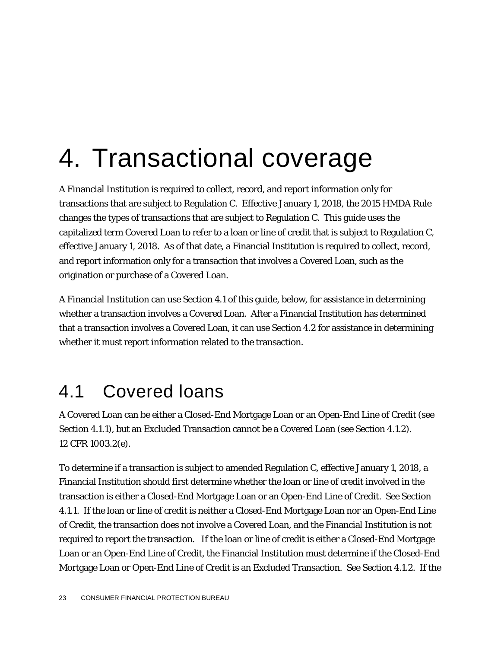# 4. Transactional coverage

A Financial Institution is required to collect, record, and report information only for transactions that are subject to Regulation C. Effective January 1, 2018, the 2015 HMDA Rule changes the types of transactions that are subject to Regulation C. This guide uses the capitalized term Covered Loan to refer to a loan or line of credit that is subject to Regulation C, effective January 1, 2018. As of that date, a Financial Institution is required to collect, record, and report information only for a transaction that involves a Covered Loan, such as the origination or purchase of a Covered Loan.

A Financial Institution can use Section 4.1 of this guide, below, for assistance in determining whether a transaction involves a Covered Loan. After a Financial Institution has determined that a transaction involves a Covered Loan, it can use Section 4.2 for assistance in determining whether it must report information related to the transaction.

### 4.1 Covered loans

A Covered Loan can be either a Closed-End Mortgage Loan or an Open-End Line of Credit (see Section 4.1.1), but an Excluded Transaction cannot be a Covered Loan (see Section 4.1.2). 12 CFR 1003.2(e).

To determine if a transaction is subject to amended Regulation C, effective January 1, 2018, a Financial Institution should first determine whether the loan or line of credit involved in the transaction is either a Closed-End Mortgage Loan or an Open-End Line of Credit. See Section 4.1.1. If the loan or line of credit is neither a Closed-End Mortgage Loan nor an Open-End Line of Credit, the transaction does not involve a Covered Loan, and the Financial Institution is not required to report the transaction. If the loan or line of credit is either a Closed-End Mortgage Loan or an Open-End Line of Credit, the Financial Institution must determine if the Closed-End Mortgage Loan or Open-End Line of Credit is an Excluded Transaction. See Section 4.1.2. If the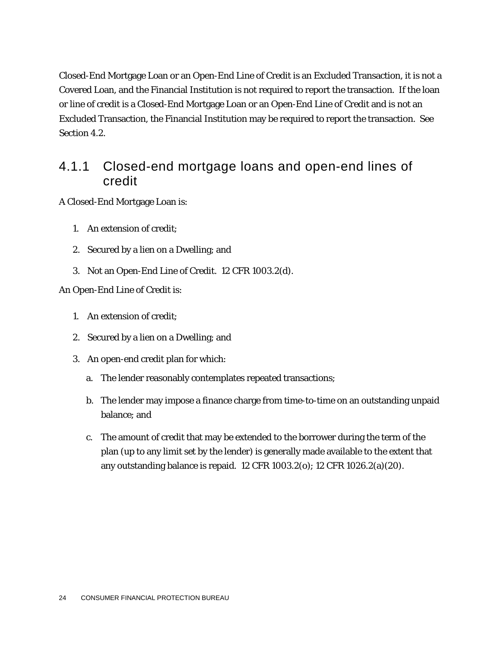Closed-End Mortgage Loan or an Open-End Line of Credit is an Excluded Transaction, it is not a Covered Loan, and the Financial Institution is not required to report the transaction. If the loan or line of credit is a Closed-End Mortgage Loan or an Open-End Line of Credit and is not an Excluded Transaction, the Financial Institution may be required to report the transaction. See Section 4.2.

### 4.1.1 Closed-end mortgage loans and open-end lines of credit

A Closed-End Mortgage Loan is:

- 1. An extension of credit;
- 2. Secured by a lien on a Dwelling; and
- 3. Not an Open-End Line of Credit. 12 CFR 1003.2(d).

An Open-End Line of Credit is:

- 1. An extension of credit;
- 2. Secured by a lien on a Dwelling; and
- 3. An open-end credit plan for which:
	- a. The lender reasonably contemplates repeated transactions;
	- b. The lender may impose a finance charge from time-to-time on an outstanding unpaid balance; and
	- c. The amount of credit that may be extended to the borrower during the term of the plan (up to any limit set by the lender) is generally made available to the extent that any outstanding balance is repaid. 12 CFR 1003.2(o); 12 CFR 1026.2(a)(20).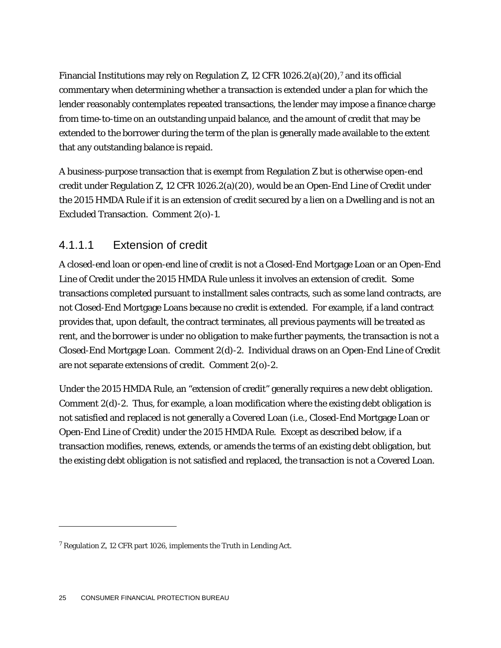Financial Institutions may rely on Regulation Z, 12 CFR 1026.2(a)(20),<sup>[7](#page-25-0)</sup> and its official commentary when determining whether a transaction is extended under a plan for which the lender reasonably contemplates repeated transactions, the lender may impose a finance charge from time-to-time on an outstanding unpaid balance, and the amount of credit that may be extended to the borrower during the term of the plan is generally made available to the extent that any outstanding balance is repaid.

A business-purpose transaction that is exempt from Regulation Z but is otherwise open-end credit under Regulation Z, 12 CFR 1026.2(a)(20), would be an Open-End Line of Credit under the 2015 HMDA Rule if it is an extension of credit secured by a lien on a Dwelling and is not an Excluded Transaction. Comment 2(o)-1.

#### 4.1.1.1 Extension of credit

A closed-end loan or open-end line of credit is not a Closed-End Mortgage Loan or an Open-End Line of Credit under the 2015 HMDA Rule unless it involves an extension of credit. Some transactions completed pursuant to installment sales contracts, such as some land contracts, are not Closed-End Mortgage Loans because no credit is extended. For example, if a land contract provides that, upon default, the contract terminates, all previous payments will be treated as rent, and the borrower is under no obligation to make further payments, the transaction is not a Closed-End Mortgage Loan. Comment 2(d)-2. Individual draws on an Open-End Line of Credit are not separate extensions of credit. Comment 2(o)-2.

Under the 2015 HMDA Rule, an "extension of credit" generally requires a new debt obligation. Comment 2(d)-2. Thus, for example, a loan modification where the existing debt obligation is not satisfied and replaced is not generally a Covered Loan (*i.e*., Closed-End Mortgage Loan or Open-End Line of Credit) under the 2015 HMDA Rule. Except as described below, if a transaction modifies, renews, extends, or amends the terms of an existing debt obligation, but the existing debt obligation is not satisfied and replaced, the transaction is not a Covered Loan.

<span id="page-25-0"></span><sup>7</sup> Regulation Z, 12 CFR part 1026, implements the Truth in Lending Act.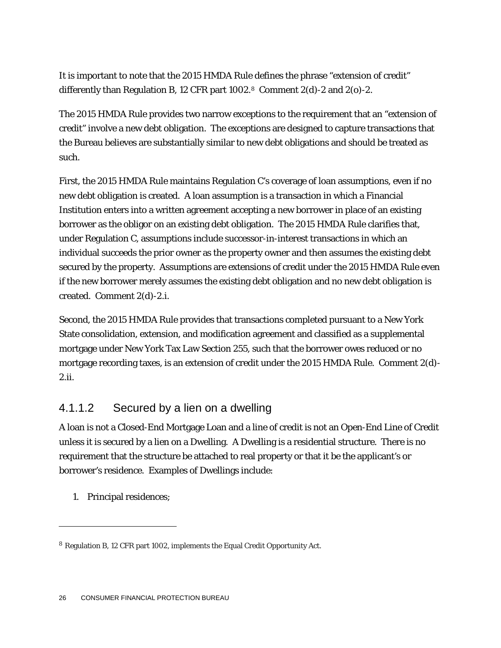It is important to note that the 2015 HMDA Rule defines the phrase "extension of credit" differently than Regulation B, 12 CFR part 1002.<sup>[8](#page-26-0)</sup> Comment 2(d)-2 and 2(o)-2.

The 2015 HMDA Rule provides two narrow exceptions to the requirement that an "extension of credit" involve a new debt obligation. The exceptions are designed to capture transactions that the Bureau believes are substantially similar to new debt obligations and should be treated as such.

First, the 2015 HMDA Rule maintains Regulation C's coverage of loan assumptions, even if no new debt obligation is created. A loan assumption is a transaction in which a Financial Institution enters into a written agreement accepting a new borrower in place of an existing borrower as the obligor on an existing debt obligation. The 2015 HMDA Rule clarifies that, under Regulation C, assumptions include successor-in-interest transactions in which an individual succeeds the prior owner as the property owner and then assumes the existing debt secured by the property. Assumptions are extensions of credit under the 2015 HMDA Rule even if the new borrower merely assumes the existing debt obligation and no new debt obligation is created. Comment 2(d)-2.i.

Second, the 2015 HMDA Rule provides that transactions completed pursuant to a New York State consolidation, extension, and modification agreement and classified as a supplemental mortgage under New York Tax Law Section 255, such that the borrower owes reduced or no mortgage recording taxes, is an extension of credit under the 2015 HMDA Rule. Comment 2(d)- 2.ii.

#### 4.1.1.2 Secured by a lien on a dwelling

A loan is not a Closed-End Mortgage Loan and a line of credit is not an Open-End Line of Credit unless it is secured by a lien on a Dwelling. A Dwelling is a residential structure. There is no requirement that the structure be attached to real property or that it be the applicant's or borrower's residence. Examples of Dwellings include:

1. Principal residences;

<span id="page-26-0"></span><sup>8</sup> Regulation B, 12 CFR part 1002, implements the Equal Credit Opportunity Act.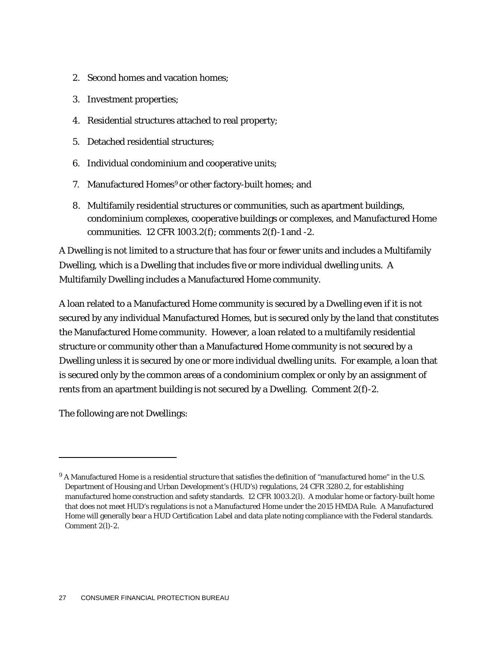- 2. Second homes and vacation homes;
- 3. Investment properties;
- 4. Residential structures attached to real property;
- 5. Detached residential structures;
- 6. Individual condominium and cooperative units;
- 7. Manufactured Homes<sup>[9](#page-27-0)</sup> or other factory-built homes; and
- 8. Multifamily residential structures or communities, such as apartment buildings, condominium complexes, cooperative buildings or complexes, and Manufactured Home communities. 12 CFR 1003.2(f); comments 2(f)-1 and -2.

A Dwelling is not limited to a structure that has four or fewer units and includes a Multifamily Dwelling, which is a Dwelling that includes five or more individual dwelling units. A Multifamily Dwelling includes a Manufactured Home community.

A loan related to a Manufactured Home community is secured by a Dwelling even if it is not secured by any individual Manufactured Homes, but is secured only by the land that constitutes the Manufactured Home community. However, a loan related to a multifamily residential structure or community other than a Manufactured Home community is not secured by a Dwelling unless it is secured by one or more individual dwelling units. For example, a loan that is secured only by the common areas of a condominium complex or only by an assignment of rents from an apartment building is not secured by a Dwelling. Comment 2(f)-2.

The following are not Dwellings:

<span id="page-27-0"></span><sup>&</sup>lt;sup>9</sup> A Manufactured Home is a residential structure that satisfies the definition of "manufactured home" in the U.S. Department of Housing and Urban Development's (HUD's) regulations, 24 CFR 3280.2, for establishing manufactured home construction and safety standards. 12 CFR 1003.2(l). A modular home or factory-built home that does not meet HUD's regulations is not a Manufactured Home under the 2015 HMDA Rule. A Manufactured Home will generally bear a HUD Certification Label and data plate noting compliance with the Federal standards. Comment 2(l)-2.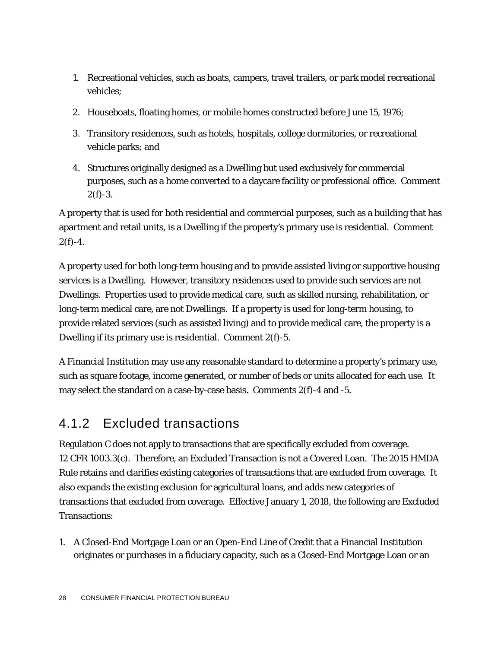- 1. Recreational vehicles, such as boats, campers, travel trailers, or park model recreational vehicles;
- 2. Houseboats, floating homes, or mobile homes constructed before June 15, 1976;
- 3. Transitory residences, such as hotels, hospitals, college dormitories, or recreational vehicle parks; and
- 4. Structures originally designed as a Dwelling but used exclusively for commercial purposes, such as a home converted to a daycare facility or professional office. Comment  $2(f) - 3.$

A property that is used for both residential and commercial purposes, such as a building that has apartment and retail units, is a Dwelling if the property's primary use is residential. Comment  $2(f)-4.$ 

A property used for both long-term housing and to provide assisted living or supportive housing services is a Dwelling. However, transitory residences used to provide such services are not Dwellings. Properties used to provide medical care, such as skilled nursing, rehabilitation, or long-term medical care, are not Dwellings. If a property is used for long-term housing, to provide related services (such as assisted living) and to provide medical care, the property is a Dwelling if its primary use is residential. Comment 2(f)-5.

A Financial Institution may use any reasonable standard to determine a property's primary use, such as square footage, income generated, or number of beds or units allocated for each use. It may select the standard on a case-by-case basis. Comments 2(f)-4 and -5.

### 4.1.2 Excluded transactions

Regulation C does not apply to transactions that are specifically excluded from coverage. 12 CFR 1003.3(c). Therefore, an Excluded Transaction is not a Covered Loan. The 2015 HMDA Rule retains and clarifies existing categories of transactions that are excluded from coverage. It also expands the existing exclusion for agricultural loans, and adds new categories of transactions that excluded from coverage. Effective January 1, 2018, the following are Excluded Transactions:

1. A Closed-End Mortgage Loan or an Open-End Line of Credit that a Financial Institution originates or purchases in a fiduciary capacity, such as a Closed-End Mortgage Loan or an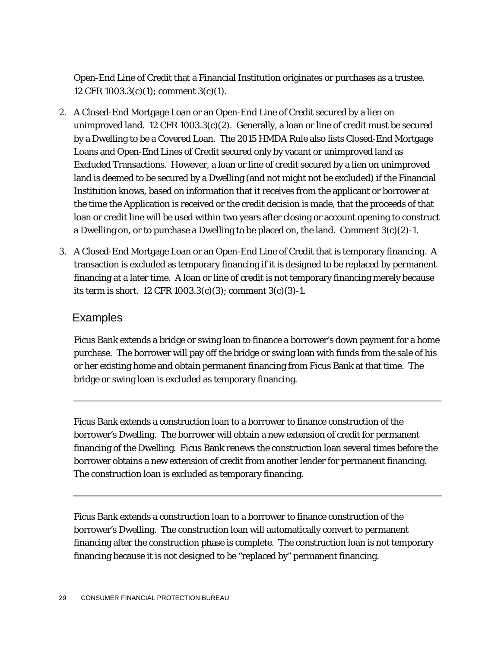Open-End Line of Credit that a Financial Institution originates or purchases as a trustee. 12 CFR 1003.3(c)(1); comment 3(c)(1).

- 2. A Closed-End Mortgage Loan or an Open-End Line of Credit secured by a lien on unimproved land. 12 CFR 1003.3(c)(2). Generally, a loan or line of credit must be secured by a Dwelling to be a Covered Loan. The 2015 HMDA Rule also lists Closed-End Mortgage Loans and Open-End Lines of Credit secured only by vacant or unimproved land as Excluded Transactions. However, a loan or line of credit secured by a lien on unimproved land is deemed to be secured by a Dwelling (and not might not be excluded) if the Financial Institution knows, based on information that it receives from the applicant or borrower at the time the Application is received or the credit decision is made, that the proceeds of that loan or credit line will be used within two years after closing or account opening to construct a Dwelling on, or to purchase a Dwelling to be placed on, the land. Comment  $3(c)(2)-1$ .
- 3. A Closed-End Mortgage Loan or an Open-End Line of Credit that is temporary financing. A transaction is excluded as temporary financing if it is designed to be replaced by permanent financing at a later time. A loan or line of credit is not temporary financing merely because its term is short. 12 CFR 1003.3(c)(3); comment 3(c)(3)-1.

#### Examples

Ficus Bank extends a bridge or swing loan to finance a borrower's down payment for a home purchase. The borrower will pay off the bridge or swing loan with funds from the sale of his or her existing home and obtain permanent financing from Ficus Bank at that time. The bridge or swing loan is excluded as temporary financing.

Ficus Bank extends a construction loan to a borrower to finance construction of the borrower's Dwelling. The borrower will obtain a new extension of credit for permanent financing of the Dwelling. Ficus Bank renews the construction loan several times before the borrower obtains a new extension of credit from another lender for permanent financing. The construction loan is excluded as temporary financing.

Ficus Bank extends a construction loan to a borrower to finance construction of the borrower's Dwelling. The construction loan will automatically convert to permanent financing after the construction phase is complete. The construction loan is not temporary financing because it is not designed to be "replaced by" permanent financing.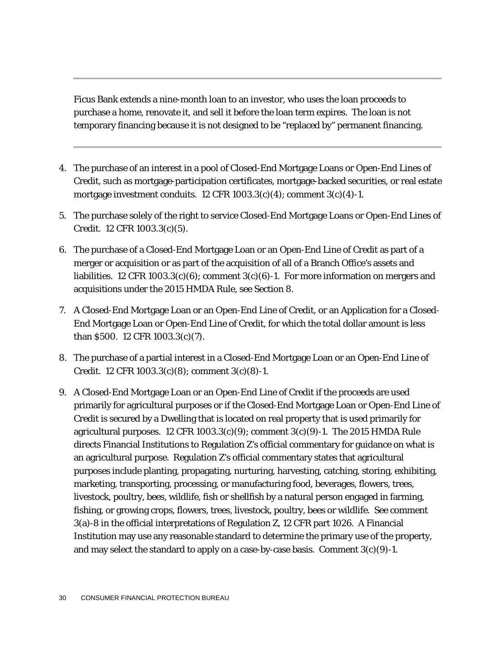Ficus Bank extends a nine-month loan to an investor, who uses the loan proceeds to purchase a home, renovate it, and sell it before the loan term expires. The loan is not temporary financing because it is not designed to be "replaced by" permanent financing.

- 4. The purchase of an interest in a pool of Closed-End Mortgage Loans or Open-End Lines of Credit, such as mortgage-participation certificates, mortgage-backed securities, or real estate mortgage investment conduits.  $12$  CFR  $1003.3(c)(4)$ ; comment  $3(c)(4)$ -1.
- 5. The purchase solely of the right to service Closed-End Mortgage Loans or Open-End Lines of Credit. 12 CFR 1003.3(c)(5).
- 6. The purchase of a Closed-End Mortgage Loan or an Open-End Line of Credit as part of a merger or acquisition or as part of the acquisition of all of a Branch Office's assets and liabilities. 12 CFR 1003.3(c)(6); comment 3(c)(6)-1. For more information on mergers and acquisitions under the 2015 HMDA Rule, see Section 8.
- 7. A Closed-End Mortgage Loan or an Open-End Line of Credit, or an Application for a Closed-End Mortgage Loan or Open-End Line of Credit, for which the total dollar amount is less than \$500. 12 CFR 1003.3(c)(7).
- 8. The purchase of a partial interest in a Closed-End Mortgage Loan or an Open-End Line of Credit. 12 CFR 1003.3(c)(8); comment 3(c)(8)-1.
- 9. A Closed-End Mortgage Loan or an Open-End Line of Credit if the proceeds are used primarily for agricultural purposes or if the Closed-End Mortgage Loan or Open-End Line of Credit is secured by a Dwelling that is located on real property that is used primarily for agricultural purposes. 12 CFR 1003.3(c)(9); comment 3(c)(9)-1. The 2015 HMDA Rule directs Financial Institutions to Regulation Z's official commentary for guidance on what is an agricultural purpose. Regulation Z's official commentary states that agricultural purposes include planting, propagating, nurturing, harvesting, catching, storing, exhibiting, marketing, transporting, processing, or manufacturing food, beverages, flowers, trees, livestock, poultry, bees, wildlife, fish or shellfish by a natural person engaged in farming, fishing, or growing crops, flowers, trees, livestock, poultry, bees or wildlife. See comment 3(a)-8 in the official interpretations of Regulation Z, 12 CFR part 1026. A Financial Institution may use any reasonable standard to determine the primary use of the property, and may select the standard to apply on a case-by-case basis. Comment  $3(c)(9)-1$ .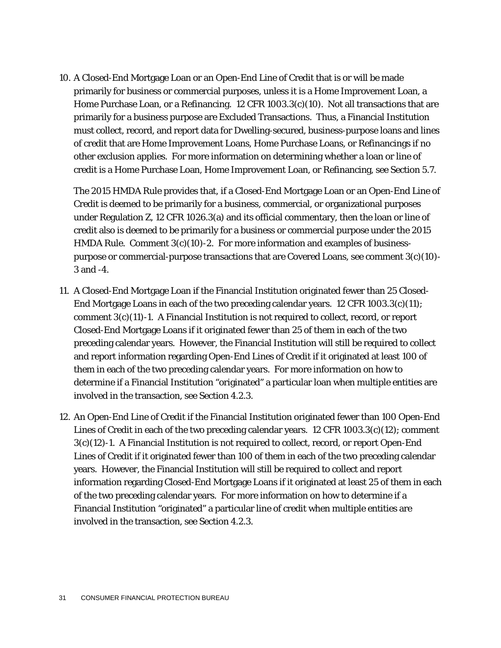10. A Closed-End Mortgage Loan or an Open-End Line of Credit that is or will be made primarily for business or commercial purposes, unless it is a Home Improvement Loan, a Home Purchase Loan, or a Refinancing. 12 CFR 1003.3(c)(10). Not all transactions that are primarily for a business purpose are Excluded Transactions. Thus, a Financial Institution must collect, record, and report data for Dwelling-secured, business-purpose loans and lines of credit that are Home Improvement Loans, Home Purchase Loans, or Refinancings if no other exclusion applies. For more information on determining whether a loan or line of credit is a Home Purchase Loan, Home Improvement Loan, or Refinancing, see Section 5.7.

The 2015 HMDA Rule provides that, if a Closed-End Mortgage Loan or an Open-End Line of Credit is deemed to be primarily for a business, commercial, or organizational purposes under Regulation Z, 12 CFR 1026.3(a) and its official commentary, then the loan or line of credit also is deemed to be primarily for a business or commercial purpose under the 2015 HMDA Rule. Comment  $3(c)(10)-2$ . For more information and examples of businesspurpose or commercial-purpose transactions that are Covered Loans, see comment  $3(c)(10)$ -3 and -4.

- 11. A Closed-End Mortgage Loan if the Financial Institution originated fewer than 25 Closed-End Mortgage Loans in each of the two preceding calendar years. 12 CFR 1003.3(c)(11); comment 3(c)(11)-1. A Financial Institution is not required to collect, record, or report Closed-End Mortgage Loans if it originated fewer than 25 of them in each of the two preceding calendar years. However, the Financial Institution will still be required to collect and report information regarding Open-End Lines of Credit if it originated at least 100 of them in each of the two preceding calendar years. For more information on how to determine if a Financial Institution "originated" a particular loan when multiple entities are involved in the transaction, see Section 4.2.3.
- 12. An Open-End Line of Credit if the Financial Institution originated fewer than 100 Open-End Lines of Credit in each of the two preceding calendar years. 12 CFR 1003.3(c)(12); comment 3(c)(12)-1. A Financial Institution is not required to collect, record, or report Open-End Lines of Credit if it originated fewer than 100 of them in each of the two preceding calendar years. However, the Financial Institution will still be required to collect and report information regarding Closed-End Mortgage Loans if it originated at least 25 of them in each of the two preceding calendar years. For more information on how to determine if a Financial Institution "originated" a particular line of credit when multiple entities are involved in the transaction, see Section 4.2.3.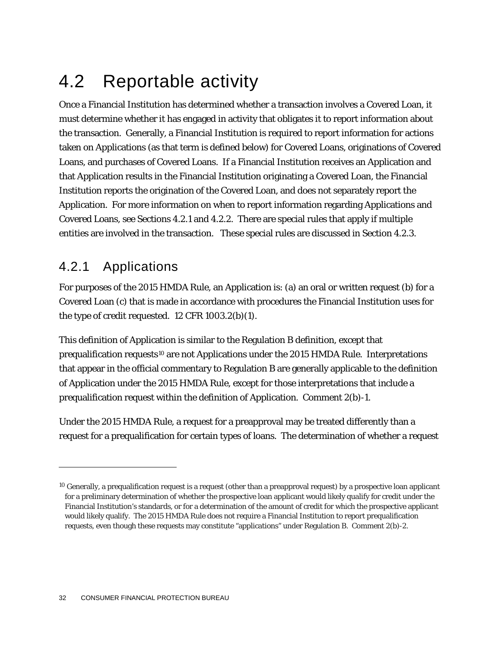# 4.2 Reportable activity

Once a Financial Institution has determined whether a transaction involves a Covered Loan, it must determine whether it has engaged in activity that obligates it to report information about the transaction. Generally, a Financial Institution is required to report information for actions taken on Applications (as that term is defined below) for Covered Loans, originations of Covered Loans, and purchases of Covered Loans. If a Financial Institution receives an Application and that Application results in the Financial Institution originating a Covered Loan, the Financial Institution reports the origination of the Covered Loan, and does not separately report the Application. For more information on when to report information regarding Applications and Covered Loans, see Sections 4.2.1 and 4.2.2. There are special rules that apply if multiple entities are involved in the transaction. These special rules are discussed in Section 4.2.3.

### 4.2.1 Applications

1

For purposes of the 2015 HMDA Rule, an Application is: (a) an oral or written request (b) for a Covered Loan (c) that is made in accordance with procedures the Financial Institution uses for the type of credit requested. 12 CFR 1003.2(b)(1).

This definition of Application is similar to the Regulation B definition, except that prequalification requests<sup>[10](#page-32-0)</sup> are not Applications under the 2015 HMDA Rule. Interpretations that appear in the official commentary to Regulation B are generally applicable to the definition of Application under the 2015 HMDA Rule, except for those interpretations that include a prequalification request within the definition of Application. Comment 2(b)-1.

Under the 2015 HMDA Rule, a request for a preapproval may be treated differently than a request for a prequalification for certain types of loans. The determination of whether a request

<span id="page-32-0"></span> $10$  Generally, a prequalification request is a request (other than a preapproval request) by a prospective loan applicant for a preliminary determination of whether the prospective loan applicant would likely qualify for credit under the Financial Institution's standards, or for a determination of the amount of credit for which the prospective applicant would likely qualify. The 2015 HMDA Rule does not require a Financial Institution to report prequalification requests, even though these requests may constitute "applications" under Regulation B. Comment 2(b)-2.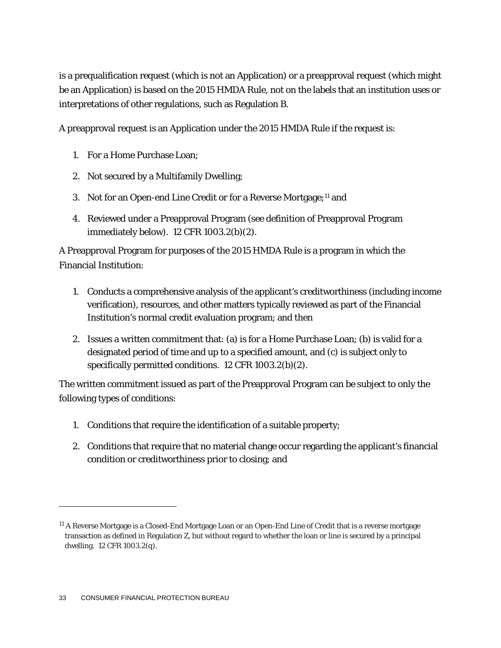is a prequalification request (which is not an Application) or a preapproval request (which might be an Application) is based on the 2015 HMDA Rule, not on the labels that an institution uses or interpretations of other regulations, such as Regulation B.

A preapproval request is an Application under the 2015 HMDA Rule if the request is:

- 1. For a Home Purchase Loan;
- 2. Not secured by a Multifamily Dwelling;
- 3. Not for an Open-end Line Credit or for a Reverse Mortgage;<sup>[11](#page-33-0)</sup> and
- 4. Reviewed under a Preapproval Program (see definition of Preapproval Program immediately below). 12 CFR 1003.2(b)(2).

A Preapproval Program for purposes of the 2015 HMDA Rule is a program in which the Financial Institution:

- 1. Conducts a comprehensive analysis of the applicant's creditworthiness (including income verification), resources, and other matters typically reviewed as part of the Financial Institution's normal credit evaluation program; and then
- 2. Issues a written commitment that: (a) is for a Home Purchase Loan; (b) is valid for a designated period of time and up to a specified amount, and (c) is subject only to specifically permitted conditions. 12 CFR 1003.2(b)(2).

The written commitment issued as part of the Preapproval Program can be subject to only the following types of conditions:

- 1. Conditions that require the identification of a suitable property;
- 2. Conditions that require that no material change occur regarding the applicant's financial condition or creditworthiness prior to closing; and

<span id="page-33-0"></span><sup>11</sup> A Reverse Mortgage is a Closed-End Mortgage Loan or an Open-End Line of Credit that is a reverse mortgage transaction as defined in Regulation Z, but without regard to whether the loan or line is secured by a principal dwelling. 12 CFR 1003.2(q).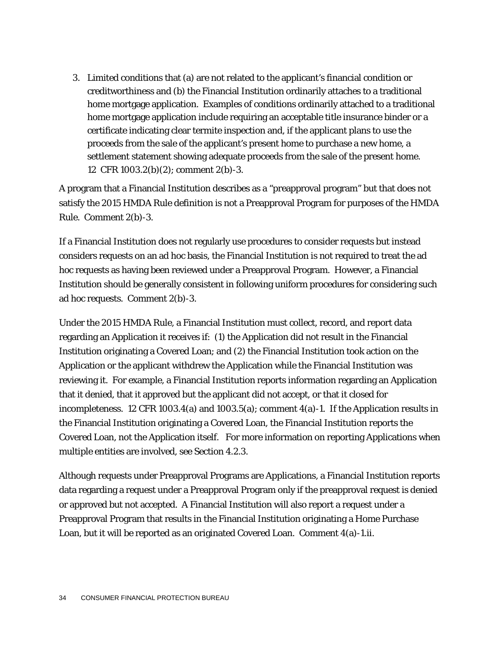3. Limited conditions that (a) are not related to the applicant's financial condition or creditworthiness and (b) the Financial Institution ordinarily attaches to a traditional home mortgage application. Examples of conditions ordinarily attached to a traditional home mortgage application include requiring an acceptable title insurance binder or a certificate indicating clear termite inspection and, if the applicant plans to use the proceeds from the sale of the applicant's present home to purchase a new home, a settlement statement showing adequate proceeds from the sale of the present home. 12 CFR 1003.2(b)(2); comment 2(b)-3.

A program that a Financial Institution describes as a "preapproval program" but that does not satisfy the 2015 HMDA Rule definition is not a Preapproval Program for purposes of the HMDA Rule. Comment 2(b)-3.

If a Financial Institution does not regularly use procedures to consider requests but instead considers requests on an ad hoc basis, the Financial Institution is not required to treat the ad hoc requests as having been reviewed under a Preapproval Program. However, a Financial Institution should be generally consistent in following uniform procedures for considering such ad hoc requests. Comment 2(b)-3.

Under the 2015 HMDA Rule, a Financial Institution must collect, record, and report data regarding an Application it receives if: (1) the Application did not result in the Financial Institution originating a Covered Loan; and (2) the Financial Institution took action on the Application or the applicant withdrew the Application while the Financial Institution was reviewing it. For example, a Financial Institution reports information regarding an Application that it denied, that it approved but the applicant did not accept, or that it closed for incompleteness. 12 CFR 1003.4(a) and 1003.5(a); comment  $4(a)$ -1. If the Application results in the Financial Institution originating a Covered Loan, the Financial Institution reports the Covered Loan, not the Application itself. For more information on reporting Applications when multiple entities are involved, see Section 4.2.3.

Although requests under Preapproval Programs are Applications, a Financial Institution reports data regarding a request under a Preapproval Program only if the preapproval request is denied or approved but not accepted. A Financial Institution will also report a request under a Preapproval Program that results in the Financial Institution originating a Home Purchase Loan, but it will be reported as an originated Covered Loan. Comment 4(a)-1.ii.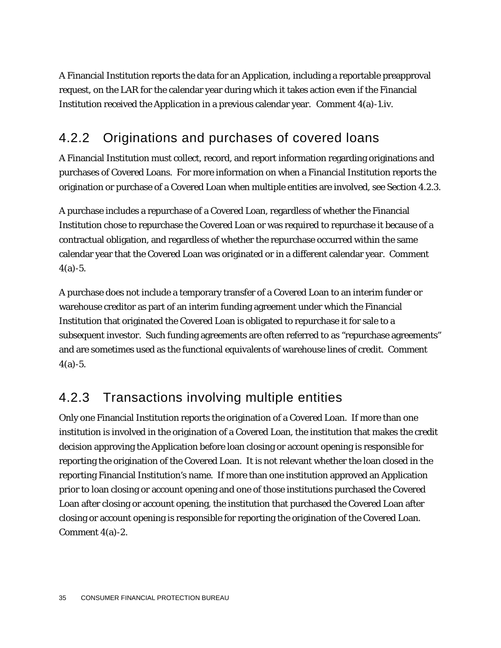A Financial Institution reports the data for an Application, including a reportable preapproval request, on the LAR for the calendar year during which it takes action even if the Financial Institution received the Application in a previous calendar year. Comment  $4(a)$ -1.iv.

### 4.2.2 Originations and purchases of covered loans

A Financial Institution must collect, record, and report information regarding originations and purchases of Covered Loans. For more information on when a Financial Institution reports the origination or purchase of a Covered Loan when multiple entities are involved, see Section 4.2.3.

A purchase includes a repurchase of a Covered Loan, regardless of whether the Financial Institution chose to repurchase the Covered Loan or was required to repurchase it because of a contractual obligation, and regardless of whether the repurchase occurred within the same calendar year that the Covered Loan was originated or in a different calendar year. Comment  $4(a) - 5.$ 

A purchase does not include a temporary transfer of a Covered Loan to an interim funder or warehouse creditor as part of an interim funding agreement under which the Financial Institution that originated the Covered Loan is obligated to repurchase it for sale to a subsequent investor. Such funding agreements are often referred to as "repurchase agreements" and are sometimes used as the functional equivalents of warehouse lines of credit. Comment  $4(a) - 5.$ 

### 4.2.3 Transactions involving multiple entities

Only one Financial Institution reports the origination of a Covered Loan. If more than one institution is involved in the origination of a Covered Loan, the institution that makes the credit decision approving the Application before loan closing or account opening is responsible for reporting the origination of the Covered Loan. It is not relevant whether the loan closed in the reporting Financial Institution's name. If more than one institution approved an Application prior to loan closing or account opening and one of those institutions purchased the Covered Loan after closing or account opening, the institution that purchased the Covered Loan after closing or account opening is responsible for reporting the origination of the Covered Loan. Comment 4(a)-2.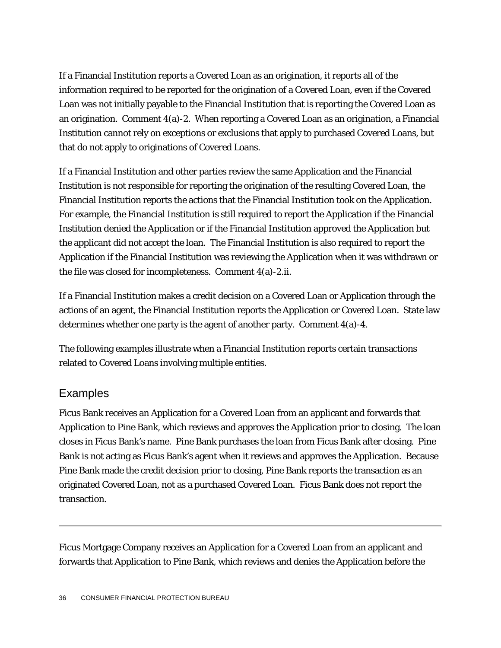If a Financial Institution reports a Covered Loan as an origination, it reports all of the information required to be reported for the origination of a Covered Loan, even if the Covered Loan was not initially payable to the Financial Institution that is reporting the Covered Loan as an origination. Comment 4(a)-2. When reporting a Covered Loan as an origination, a Financial Institution cannot rely on exceptions or exclusions that apply to purchased Covered Loans, but that do not apply to originations of Covered Loans.

If a Financial Institution and other parties review the same Application and the Financial Institution is not responsible for reporting the origination of the resulting Covered Loan, the Financial Institution reports the actions that the Financial Institution took on the Application. For example, the Financial Institution is still required to report the Application if the Financial Institution denied the Application or if the Financial Institution approved the Application but the applicant did not accept the loan. The Financial Institution is also required to report the Application if the Financial Institution was reviewing the Application when it was withdrawn or the file was closed for incompleteness. Comment 4(a)-2.ii.

If a Financial Institution makes a credit decision on a Covered Loan or Application through the actions of an agent, the Financial Institution reports the Application or Covered Loan. State law determines whether one party is the agent of another party. Comment 4(a)-4.

The following examples illustrate when a Financial Institution reports certain transactions related to Covered Loans involving multiple entities.

#### Examples

Ficus Bank receives an Application for a Covered Loan from an applicant and forwards that Application to Pine Bank, which reviews and approves the Application prior to closing. The loan closes in Ficus Bank's name. Pine Bank purchases the loan from Ficus Bank after closing. Pine Bank is not acting as Ficus Bank's agent when it reviews and approves the Application. Because Pine Bank made the credit decision prior to closing, Pine Bank reports the transaction as an originated Covered Loan, not as a purchased Covered Loan. Ficus Bank does not report the transaction.

Ficus Mortgage Company receives an Application for a Covered Loan from an applicant and forwards that Application to Pine Bank, which reviews and denies the Application before the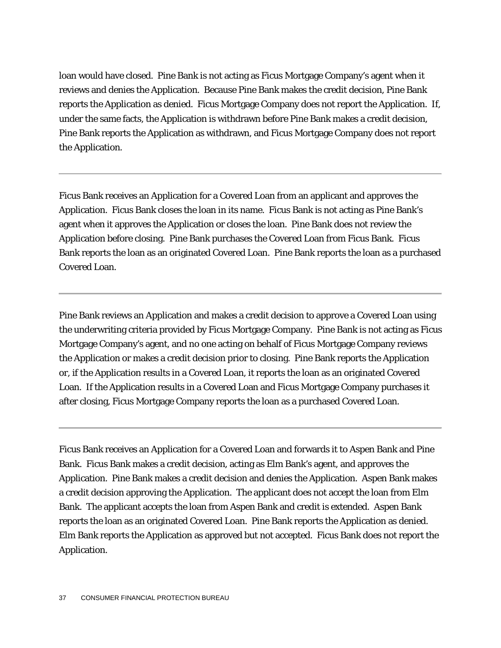loan would have closed. Pine Bank is not acting as Ficus Mortgage Company's agent when it reviews and denies the Application. Because Pine Bank makes the credit decision, Pine Bank reports the Application as denied. Ficus Mortgage Company does not report the Application. If, under the same facts, the Application is withdrawn before Pine Bank makes a credit decision, Pine Bank reports the Application as withdrawn, and Ficus Mortgage Company does not report the Application.

Ficus Bank receives an Application for a Covered Loan from an applicant and approves the Application. Ficus Bank closes the loan in its name. Ficus Bank is not acting as Pine Bank's agent when it approves the Application or closes the loan. Pine Bank does not review the Application before closing. Pine Bank purchases the Covered Loan from Ficus Bank. Ficus Bank reports the loan as an originated Covered Loan. Pine Bank reports the loan as a purchased Covered Loan.

Pine Bank reviews an Application and makes a credit decision to approve a Covered Loan using the underwriting criteria provided by Ficus Mortgage Company. Pine Bank is not acting as Ficus Mortgage Company's agent, and no one acting on behalf of Ficus Mortgage Company reviews the Application or makes a credit decision prior to closing. Pine Bank reports the Application or, if the Application results in a Covered Loan, it reports the loan as an originated Covered Loan. If the Application results in a Covered Loan and Ficus Mortgage Company purchases it after closing, Ficus Mortgage Company reports the loan as a purchased Covered Loan.

Ficus Bank receives an Application for a Covered Loan and forwards it to Aspen Bank and Pine Bank. Ficus Bank makes a credit decision, acting as Elm Bank's agent, and approves the Application. Pine Bank makes a credit decision and denies the Application. Aspen Bank makes a credit decision approving the Application. The applicant does not accept the loan from Elm Bank. The applicant accepts the loan from Aspen Bank and credit is extended. Aspen Bank reports the loan as an originated Covered Loan. Pine Bank reports the Application as denied. Elm Bank reports the Application as approved but not accepted. Ficus Bank does not report the Application.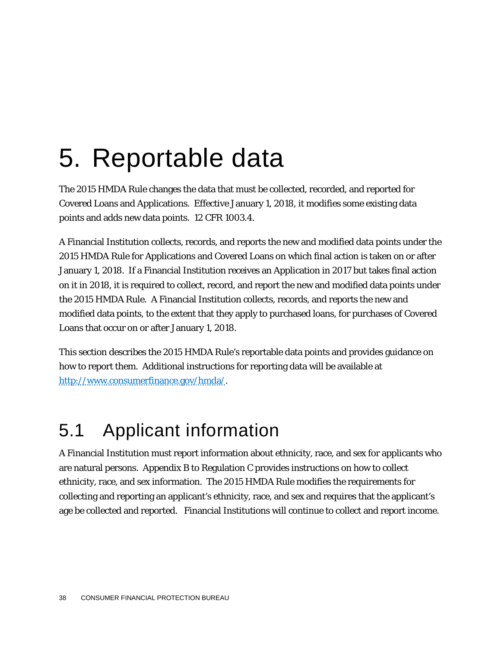# 5. Reportable data

The 2015 HMDA Rule changes the data that must be collected, recorded, and reported for Covered Loans and Applications. Effective January 1, 2018, it modifies some existing data points and adds new data points. 12 CFR 1003.4.

A Financial Institution collects, records, and reports the new and modified data points under the 2015 HMDA Rule for Applications and Covered Loans on which final action is taken on or after January 1, 2018. If a Financial Institution receives an Application in 2017 but takes final action on it in 2018, it is required to collect, record, and report the new and modified data points under the 2015 HMDA Rule. A Financial Institution collects, records, and reports the new and modified data points, to the extent that they apply to purchased loans, for purchases of Covered Loans that occur on or after January 1, 2018.

This section describes the 2015 HMDA Rule's reportable data points and provides guidance on how to report them. Additional instructions for reporting data will be available at [http://www.consumerfinance.gov/hmda/.](http://www.consumerfinance.gov/hmda/)

### 5.1 Applicant information

A Financial Institution must report information about ethnicity, race, and sex for applicants who are natural persons. Appendix B to Regulation C provides instructions on how to collect ethnicity, race, and sex information. The 2015 HMDA Rule modifies the requirements for collecting and reporting an applicant's ethnicity, race, and sex and requires that the applicant's age be collected and reported. Financial Institutions will continue to collect and report income.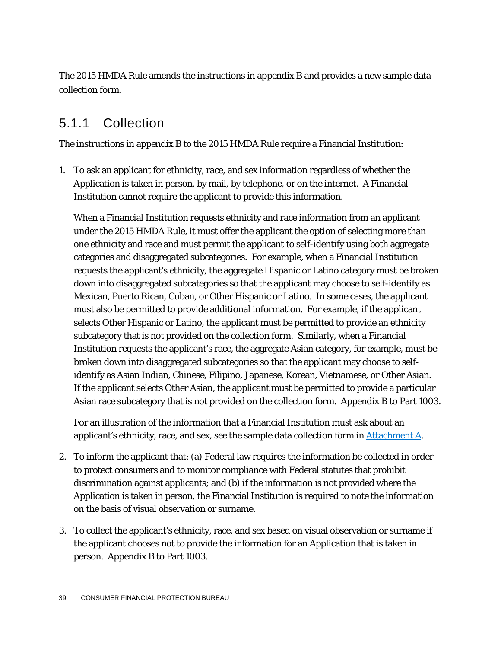The 2015 HMDA Rule amends the instructions in appendix B and provides a new sample data collection form.

#### 5.1.1 Collection

The instructions in appendix B to the 2015 HMDA Rule require a Financial Institution:

1. To ask an applicant for ethnicity, race, and sex information regardless of whether the Application is taken in person, by mail, by telephone, or on the internet. A Financial Institution cannot require the applicant to provide this information.

When a Financial Institution requests ethnicity and race information from an applicant under the 2015 HMDA Rule, it must offer the applicant the option of selecting more than one ethnicity and race and must permit the applicant to self-identify using both aggregate categories and disaggregated subcategories. For example, when a Financial Institution requests the applicant's ethnicity, the aggregate Hispanic or Latino category must be broken down into disaggregated subcategories so that the applicant may choose to self-identify as Mexican, Puerto Rican, Cuban, or Other Hispanic or Latino. In some cases, the applicant must also be permitted to provide additional information. For example, if the applicant selects Other Hispanic or Latino, the applicant must be permitted to provide an ethnicity subcategory that is not provided on the collection form. Similarly, when a Financial Institution requests the applicant's race, the aggregate Asian category, for example, must be broken down into disaggregated subcategories so that the applicant may choose to selfidentify as Asian Indian, Chinese, Filipino, Japanese, Korean, Vietnamese, or Other Asian. If the applicant selects Other Asian, the applicant must be permitted to provide a particular Asian race subcategory that is not provided on the collection form. Appendix B to Part 1003.

For an illustration of the information that a Financial Institution must ask about an applicant's ethnicity, race, and sex, see the sample data collection form in  $Attention A$ .</u>

- 2. To inform the applicant that: (a) Federal law requires the information be collected in order to protect consumers and to monitor compliance with Federal statutes that prohibit discrimination against applicants; and (b) if the information is not provided where the Application is taken in person, the Financial Institution is required to note the information on the basis of visual observation or surname.
- 3. To collect the applicant's ethnicity, race, and sex based on visual observation or surname if the applicant chooses not to provide the information for an Application that is taken in person. Appendix B to Part 1003.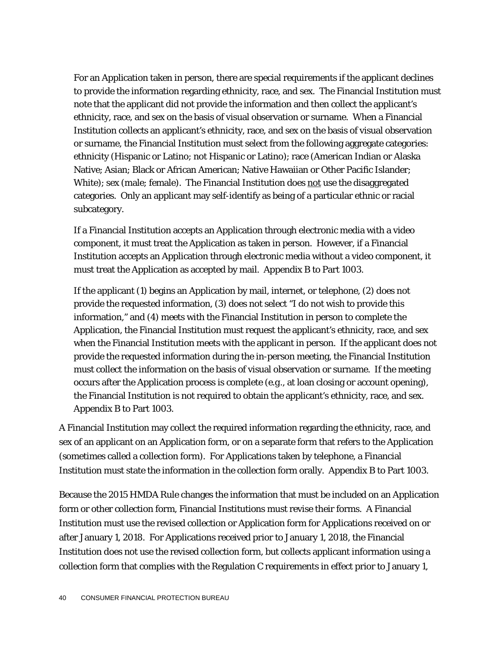For an Application taken in person, there are special requirements if the applicant declines to provide the information regarding ethnicity, race, and sex. The Financial Institution must note that the applicant did not provide the information and then collect the applicant's ethnicity, race, and sex on the basis of visual observation or surname. When a Financial Institution collects an applicant's ethnicity, race, and sex on the basis of visual observation or surname, the Financial Institution must select from the following aggregate categories: ethnicity (Hispanic or Latino; not Hispanic or Latino); race (American Indian or Alaska Native; Asian; Black or African American; Native Hawaiian or Other Pacific Islander; White); sex (male; female). The Financial Institution does not use the disaggregated categories. Only an applicant may self-identify as being of a particular ethnic or racial subcategory.

If a Financial Institution accepts an Application through electronic media with a video component, it must treat the Application as taken in person. However, if a Financial Institution accepts an Application through electronic media without a video component, it must treat the Application as accepted by mail. Appendix B to Part 1003.

If the applicant (1) begins an Application by mail, internet, or telephone, (2) does not provide the requested information, (3) does not select "I do not wish to provide this information," and (4) meets with the Financial Institution in person to complete the Application, the Financial Institution must request the applicant's ethnicity, race, and sex when the Financial Institution meets with the applicant in person. If the applicant does not provide the requested information during the in-person meeting, the Financial Institution must collect the information on the basis of visual observation or surname. If the meeting occurs after the Application process is complete (*e.g.*, at loan closing or account opening), the Financial Institution is not required to obtain the applicant's ethnicity, race, and sex. Appendix B to Part 1003.

A Financial Institution may collect the required information regarding the ethnicity, race, and sex of an applicant on an Application form, or on a separate form that refers to the Application (sometimes called a collection form). For Applications taken by telephone, a Financial Institution must state the information in the collection form orally. Appendix B to Part 1003.

Because the 2015 HMDA Rule changes the information that must be included on an Application form or other collection form, Financial Institutions must revise their forms. A Financial Institution must use the revised collection or Application form for Applications received on or after January 1, 2018. For Applications received prior to January 1, 2018, the Financial Institution does not use the revised collection form, but collects applicant information using a collection form that complies with the Regulation C requirements in effect prior to January 1,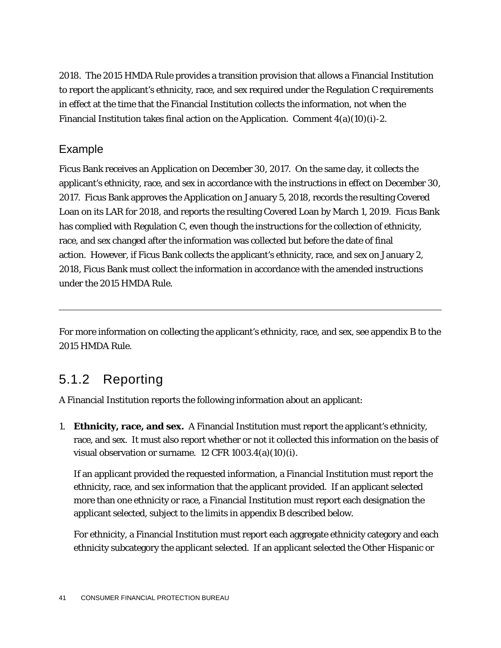2018. The 2015 HMDA Rule provides a transition provision that allows a Financial Institution to report the applicant's ethnicity, race, and sex required under the Regulation C requirements in effect at the time that the Financial Institution collects the information, not when the Financial Institution takes final action on the Application. Comment  $4(a)(10)(i)-2$ .

#### Example

Ficus Bank receives an Application on December 30, 2017. On the same day, it collects the applicant's ethnicity, race, and sex in accordance with the instructions in effect on December 30, 2017. Ficus Bank approves the Application on January 5, 2018, records the resulting Covered Loan on its LAR for 2018, and reports the resulting Covered Loan by March 1, 2019. Ficus Bank has complied with Regulation C, even though the instructions for the collection of ethnicity, race, and sex changed after the information was collected but before the date of final action. However, if Ficus Bank collects the applicant's ethnicity, race, and sex on January 2, 2018, Ficus Bank must collect the information in accordance with the amended instructions under the 2015 HMDA Rule.

For more information on collecting the applicant's ethnicity, race, and sex, see appendix B to the 2015 HMDA Rule.

#### 5.1.2 Reporting

A Financial Institution reports the following information about an applicant:

1. **Ethnicity, race, and sex.** A Financial Institution must report the applicant's ethnicity, race, and sex. It must also report whether or not it collected this information on the basis of visual observation or surname. 12 CFR 1003.4(a)(10)(i).

If an applicant provided the requested information, a Financial Institution must report the ethnicity, race, and sex information that the applicant provided. If an applicant selected more than one ethnicity or race, a Financial Institution must report each designation the applicant selected, subject to the limits in appendix B described below.

For ethnicity, a Financial Institution must report each aggregate ethnicity category and each ethnicity subcategory the applicant selected. If an applicant selected the Other Hispanic or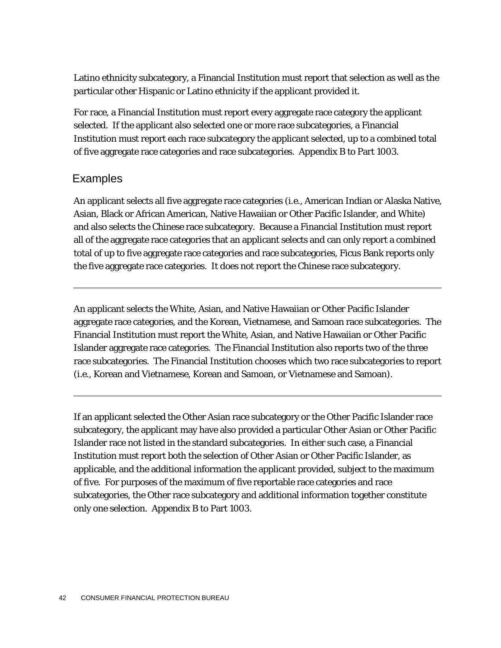Latino ethnicity subcategory, a Financial Institution must report that selection as well as the particular other Hispanic or Latino ethnicity if the applicant provided it.

For race, a Financial Institution must report every aggregate race category the applicant selected. If the applicant also selected one or more race subcategories, a Financial Institution must report each race subcategory the applicant selected, up to a combined total of five aggregate race categories and race subcategories. Appendix B to Part 1003.

#### Examples

An applicant selects all five aggregate race categories (*i.e.,* American Indian or Alaska Native, Asian, Black or African American, Native Hawaiian or Other Pacific Islander, and White) and also selects the Chinese race subcategory. Because a Financial Institution must report all of the aggregate race categories that an applicant selects and can only report a combined total of up to five aggregate race categories and race subcategories, Ficus Bank reports only the five aggregate race categories. It does not report the Chinese race subcategory.

An applicant selects the White, Asian, and Native Hawaiian or Other Pacific Islander aggregate race categories, and the Korean, Vietnamese, and Samoan race subcategories. The Financial Institution must report the White, Asian, and Native Hawaiian or Other Pacific Islander aggregate race categories. The Financial Institution also reports two of the three race subcategories. The Financial Institution chooses which two race subcategories to report (*i.e.*, Korean and Vietnamese, Korean and Samoan, or Vietnamese and Samoan).

If an applicant selected the Other Asian race subcategory or the Other Pacific Islander race subcategory, the applicant may have also provided a particular Other Asian or Other Pacific Islander race not listed in the standard subcategories. In either such case, a Financial Institution must report both the selection of Other Asian or Other Pacific Islander, as applicable, and the additional information the applicant provided, subject to the maximum of five. For purposes of the maximum of five reportable race categories and race subcategories, the Other race subcategory and additional information together constitute only one selection. Appendix B to Part 1003.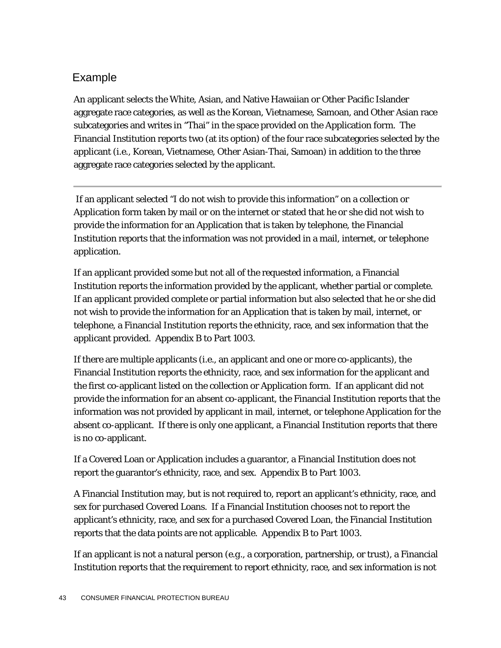#### Example

An applicant selects the White, Asian, and Native Hawaiian or Other Pacific Islander aggregate race categories, as well as the Korean, Vietnamese, Samoan, and Other Asian race subcategories and writes in "Thai" in the space provided on the Application form. The Financial Institution reports two (at its option) of the four race subcategories selected by the applicant (*i.e.*, Korean, Vietnamese, Other Asian-Thai, Samoan) in addition to the three aggregate race categories selected by the applicant.

If an applicant selected "I do not wish to provide this information" on a collection or Application form taken by mail or on the internet or stated that he or she did not wish to provide the information for an Application that is taken by telephone, the Financial Institution reports that the information was not provided in a mail, internet, or telephone application.

If an applicant provided some but not all of the requested information, a Financial Institution reports the information provided by the applicant, whether partial or complete. If an applicant provided complete or partial information but also selected that he or she did not wish to provide the information for an Application that is taken by mail, internet, or telephone, a Financial Institution reports the ethnicity, race, and sex information that the applicant provided.Appendix B to Part 1003.

If there are multiple applicants (*i.e.*, an applicant and one or more co-applicants), the Financial Institution reports the ethnicity, race, and sex information for the applicant and the first co-applicant listed on the collection or Application form. If an applicant did not provide the information for an absent co-applicant, the Financial Institution reports that the information was not provided by applicant in mail, internet, or telephone Application for the absent co-applicant. If there is only one applicant, a Financial Institution reports that there is no co-applicant.

If a Covered Loan or Application includes a guarantor, a Financial Institution does not report the guarantor's ethnicity, race, and sex. Appendix B to Part 1003.

A Financial Institution may, but is not required to, report an applicant's ethnicity, race, and sex for purchased Covered Loans. If a Financial Institution chooses not to report the applicant's ethnicity, race, and sex for a purchased Covered Loan, the Financial Institution reports that the data points are not applicable. Appendix B to Part 1003.

If an applicant is not a natural person (*e.g.*, a corporation, partnership, or trust), a Financial Institution reports that the requirement to report ethnicity, race, and sex information is not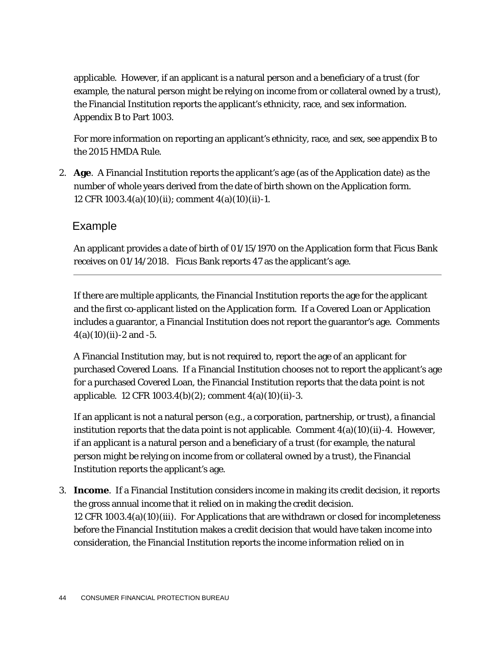applicable. However, if an applicant is a natural person and a beneficiary of a trust (for example, the natural person might be relying on income from or collateral owned by a trust), the Financial Institution reports the applicant's ethnicity, race, and sex information. Appendix B to Part 1003.

For more information on reporting an applicant's ethnicity, race, and sex, see appendix B to the 2015 HMDA Rule.

2. **Age**. A Financial Institution reports the applicant's age (as of the Application date) as the number of whole years derived from the date of birth shown on the Application form. 12 CFR 1003.4(a)(10)(ii); comment 4(a)(10)(ii)-1.

#### Example

An applicant provides a date of birth of 01/15/1970 on the Application form that Ficus Bank receives on 01/14/2018. Ficus Bank reports 47 as the applicant's age.

If there are multiple applicants, the Financial Institution reports the age for the applicant and the first co-applicant listed on the Application form. If a Covered Loan or Application includes a guarantor, a Financial Institution does not report the guarantor's age. Comments  $4(a)(10)(ii) - 2$  and  $-5$ .

A Financial Institution may, but is not required to, report the age of an applicant for purchased Covered Loans. If a Financial Institution chooses not to report the applicant's age for a purchased Covered Loan, the Financial Institution reports that the data point is not applicable. 12 CFR 1003.4(b)(2); comment 4(a)(10)(ii)-3.

If an applicant is not a natural person (*e.g.*, a corporation, partnership, or trust), a financial institution reports that the data point is not applicable. Comment  $4(a)(10)(ii)-4$ . However, if an applicant is a natural person and a beneficiary of a trust (for example, the natural person might be relying on income from or collateral owned by a trust), the Financial Institution reports the applicant's age.

3. **Income**. If a Financial Institution considers income in making its credit decision, it reports the gross annual income that it relied on in making the credit decision. 12 CFR 1003.4(a)(10)(iii). For Applications that are withdrawn or closed for incompleteness before the Financial Institution makes a credit decision that would have taken income into consideration, the Financial Institution reports the income information relied on in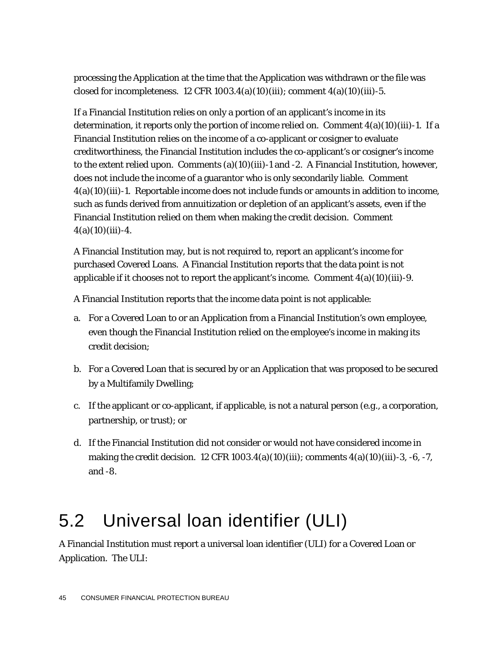processing the Application at the time that the Application was withdrawn or the file was closed for incompleteness.  $12$  CFR  $1003.4(a)(10)(iii)$ ; comment  $4(a)(10)(iii)$ -5.

If a Financial Institution relies on only a portion of an applicant's income in its determination, it reports only the portion of income relied on. Comment  $4(a)(10)(iii)$ -1. If a Financial Institution relies on the income of a co-applicant or cosigner to evaluate creditworthiness, the Financial Institution includes the co-applicant's or cosigner's income to the extent relied upon. Comments (a)(10)(iii)-1 and -2. A Financial Institution, however, does not include the income of a guarantor who is only secondarily liable. Comment 4(a)(10)(iii)-1. Reportable income does not include funds or amounts in addition to income, such as funds derived from annuitization or depletion of an applicant's assets, even if the Financial Institution relied on them when making the credit decision. Comment  $4(a)(10)(iii) - 4.$ 

A Financial Institution may, but is not required to, report an applicant's income for purchased Covered Loans. A Financial Institution reports that the data point is not applicable if it chooses not to report the applicant's income. Comment  $4(a)(10)(iii)-9$ .

A Financial Institution reports that the income data point is not applicable:

- a. For a Covered Loan to or an Application from a Financial Institution's own employee, even though the Financial Institution relied on the employee's income in making its credit decision;
- b. For a Covered Loan that is secured by or an Application that was proposed to be secured by a Multifamily Dwelling;
- c. If the applicant or co-applicant, if applicable, is not a natural person (*e.g.*, a corporation, partnership, or trust); or
- d. If the Financial Institution did not consider or would not have considered income in making the credit decision. 12 CFR  $1003.4(a)(10)(iii)$ ; comments  $4(a)(10)(iii)$ -3, -6, -7, and -8.

# 5.2 Universal loan identifier (ULI)

A Financial Institution must report a universal loan identifier (ULI) for a Covered Loan or Application. The ULI: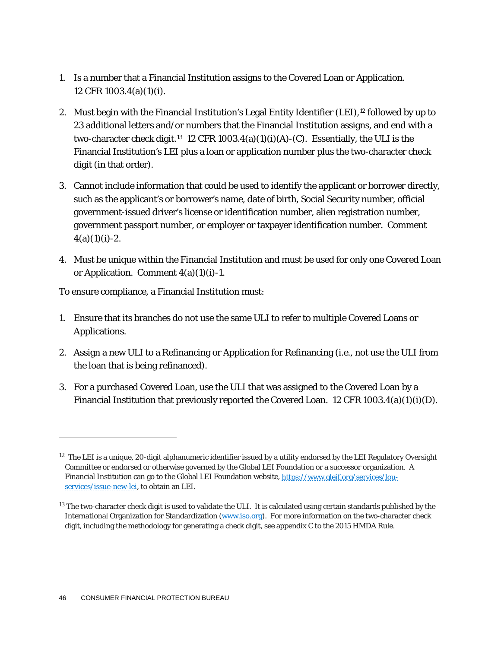- 1. Is a number that a Financial Institution assigns to the Covered Loan or Application. 12 CFR 1003.4(a)(1)(i).
- 2. Must begin with the Financial Institution's Legal Entity Identifier (LEI),<sup>[12](#page-46-0)</sup> followed by up to 23 additional letters and/or numbers that the Financial Institution assigns, and end with a two-character check digit.<sup>13</sup> 12 CFR 1003.4(a)(1)(i)(A)-(C). Essentially, the ULI is the Financial Institution's LEI plus a loan or application number plus the two-character check digit (in that order).
- 3. Cannot include information that could be used to identify the applicant or borrower directly, such as the applicant's or borrower's name, date of birth, Social Security number, official government-issued driver's license or identification number, alien registration number, government passport number, or employer or taxpayer identification number. Comment  $4(a)(1)(i)-2.$
- 4. Must be unique within the Financial Institution and must be used for only one Covered Loan or Application. Comment  $4(a)(1)(i)-1$ .

To ensure compliance, a Financial Institution must:

- 1. Ensure that its branches do not use the same ULI to refer to multiple Covered Loans or Applications.
- 2. Assign a new ULI to a Refinancing or Application for Refinancing (*i.e.*, not use the ULI from the loan that is being refinanced).
- 3. For a purchased Covered Loan, use the ULI that was assigned to the Covered Loan by a Financial Institution that previously reported the Covered Loan. 12 CFR  $1003.4(a)(1)(i)(D)$ .

1

<span id="page-46-0"></span> $12$  The LEI is a unique, 20-digit alphanumeric identifier issued by a utility endorsed by the LEI Regulatory Oversight Committee or endorsed or otherwise governed by the Global LEI Foundation or a successor organization. A Financial Institution can go to the Global LEI Foundation website[, https://www.gleif.org/services/lou](https://www.gleif.org/services/lou-services/issue-new-lei)[services/issue-new-lei,](https://www.gleif.org/services/lou-services/issue-new-lei) to obtain an LEI.

<span id="page-46-1"></span> $13$  The two-character check digit is used to validate the ULI. It is calculated using certain standards published by the International Organization for Standardization [\(www.iso.org\)](http://www.iso.org/). For more information on the two-character check digit, including the methodology for generating a check digit, see appendix C to the 2015 HMDA Rule.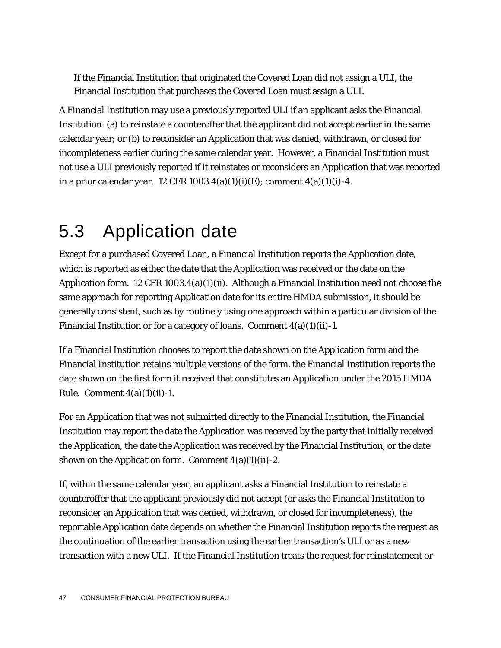If the Financial Institution that originated the Covered Loan did not assign a ULI, the Financial Institution that purchases the Covered Loan must assign a ULI.

A Financial Institution may use a previously reported ULI if an applicant asks the Financial Institution: (a) to reinstate a counteroffer that the applicant did not accept earlier in the same calendar year; or (b) to reconsider an Application that was denied, withdrawn, or closed for incompleteness earlier during the same calendar year. However, a Financial Institution must not use a ULI previously reported if it reinstates or reconsiders an Application that was reported in a prior calendar year. 12 CFR  $1003.4(a)(1)(i)(E)$ ; comment  $4(a)(1)(i)-4$ .

#### 5.3 Application date

Except for a purchased Covered Loan, a Financial Institution reports the Application date, which is reported as either the date that the Application was received or the date on the Application form. 12 CFR 1003.4(a)(1)(ii). Although a Financial Institution need not choose the same approach for reporting Application date for its entire HMDA submission, it should be generally consistent, such as by routinely using one approach within a particular division of the Financial Institution or for a category of loans. Comment  $4(a)(1)(ii)-1$ .

If a Financial Institution chooses to report the date shown on the Application form and the Financial Institution retains multiple versions of the form, the Financial Institution reports the date shown on the first form it received that constitutes an Application under the 2015 HMDA Rule. Comment  $4(a)(1)(ii)-1$ .

For an Application that was not submitted directly to the Financial Institution, the Financial Institution may report the date the Application was received by the party that initially received the Application, the date the Application was received by the Financial Institution, or the date shown on the Application form. Comment  $4(a)(1)(ii)-2$ .

If, within the same calendar year, an applicant asks a Financial Institution to reinstate a counteroffer that the applicant previously did not accept (or asks the Financial Institution to reconsider an Application that was denied, withdrawn, or closed for incompleteness), the reportable Application date depends on whether the Financial Institution reports the request as the continuation of the earlier transaction using the earlier transaction's ULI or as a new transaction with a new ULI. If the Financial Institution treats the request for reinstatement or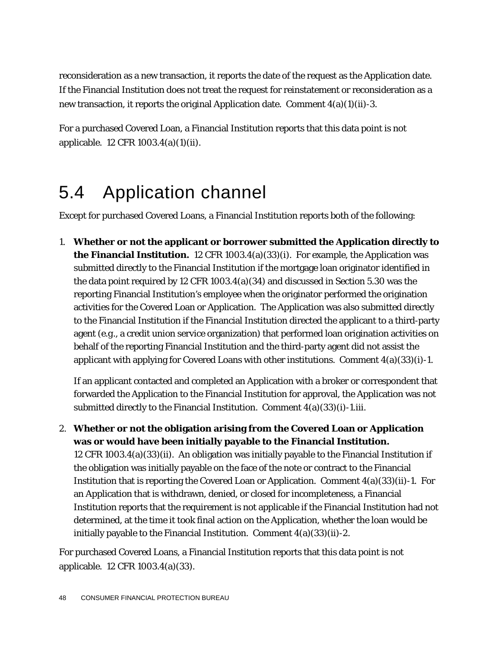reconsideration as a new transaction, it reports the date of the request as the Application date. If the Financial Institution does not treat the request for reinstatement or reconsideration as a new transaction, it reports the original Application date. Comment 4(a)(1)(ii)-3.

For a purchased Covered Loan, a Financial Institution reports that this data point is not applicable. 12 CFR 1003.4(a)(1)(ii).

#### 5.4 Application channel

Except for purchased Covered Loans, a Financial Institution reports both of the following:

1. **Whether or not the applicant or borrower submitted the Application directly to the Financial Institution.** 12 CFR 1003.4(a)(33)(i). For example, the Application was submitted directly to the Financial Institution if the mortgage loan originator identified in the data point required by 12 CFR 1003.4(a)(34) and discussed in Section 5.30 was the reporting Financial Institution's employee when the originator performed the origination activities for the Covered Loan or Application. The Application was also submitted directly to the Financial Institution if the Financial Institution directed the applicant to a third-party agent (*e.g.*, a credit union service organization) that performed loan origination activities on behalf of the reporting Financial Institution and the third-party agent did not assist the applicant with applying for Covered Loans with other institutions. Comment  $4(a)(33)(i)$ -1.

If an applicant contacted and completed an Application with a broker or correspondent that forwarded the Application to the Financial Institution for approval, the Application was not submitted directly to the Financial Institution. Comment  $4(a)(33)(i)$ -1.iii.

2. **Whether or not the obligation arising from the Covered Loan or Application was or would have been initially payable to the Financial Institution.** 12 CFR 1003.4(a)(33)(ii). An obligation was initially payable to the Financial Institution if the obligation was initially payable on the face of the note or contract to the Financial Institution that is reporting the Covered Loan or Application. Comment 4(a)(33)(ii)-1. For an Application that is withdrawn, denied, or closed for incompleteness, a Financial Institution reports that the requirement is not applicable if the Financial Institution had not determined, at the time it took final action on the Application, whether the loan would be initially payable to the Financial Institution. Comment  $4(a)(33)(ii)-2$ .

For purchased Covered Loans, a Financial Institution reports that this data point is not applicable. 12 CFR 1003.4(a)(33).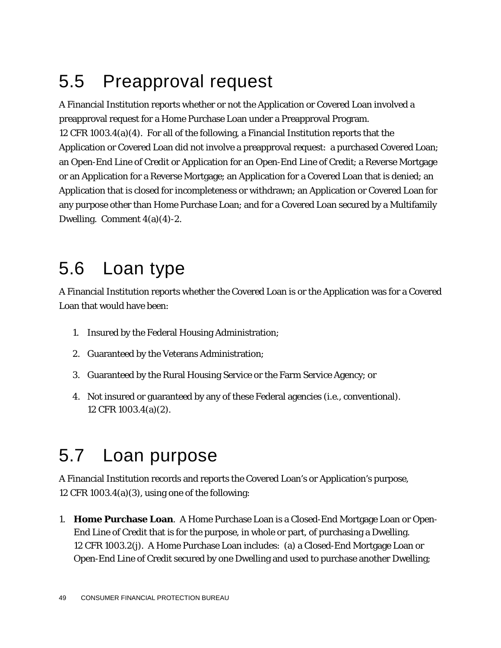## 5.5 Preapproval request

A Financial Institution reports whether or not the Application or Covered Loan involved a preapproval request for a Home Purchase Loan under a Preapproval Program. 12 CFR 1003.4(a)(4). For all of the following, a Financial Institution reports that the Application or Covered Loan did not involve a preapproval request: a purchased Covered Loan; an Open-End Line of Credit or Application for an Open-End Line of Credit; a Reverse Mortgage or an Application for a Reverse Mortgage; an Application for a Covered Loan that is denied; an Application that is closed for incompleteness or withdrawn; an Application or Covered Loan for any purpose other than Home Purchase Loan; and for a Covered Loan secured by a Multifamily Dwelling. Comment 4(a)(4)-2.

#### 5.6 Loan type

A Financial Institution reports whether the Covered Loan is or the Application was for a Covered Loan that would have been:

- 1. Insured by the Federal Housing Administration;
- 2. Guaranteed by the Veterans Administration;
- 3. Guaranteed by the Rural Housing Service or the Farm Service Agency; or
- 4. Not insured or guaranteed by any of these Federal agencies (*i.e.*, conventional). 12 CFR 1003.4(a)(2).

### 5.7 Loan purpose

A Financial Institution records and reports the Covered Loan's or Application's purpose, 12 CFR 1003.4(a)(3), using one of the following:

1. **Home Purchase Loan**. A Home Purchase Loan is a Closed-End Mortgage Loan or Open-End Line of Credit that is for the purpose, in whole or part, of purchasing a Dwelling. 12 CFR 1003.2(j). A Home Purchase Loan includes: (a) a Closed-End Mortgage Loan or Open-End Line of Credit secured by one Dwelling and used to purchase another Dwelling;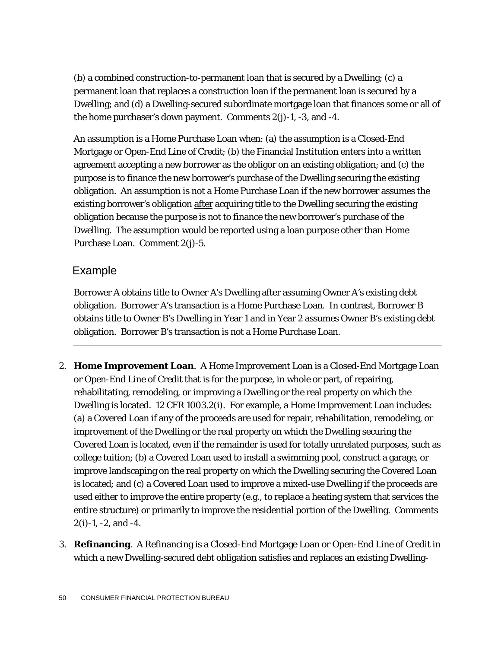(b) a combined construction-to-permanent loan that is secured by a Dwelling; (c) a permanent loan that replaces a construction loan if the permanent loan is secured by a Dwelling; and (d) a Dwelling-secured subordinate mortgage loan that finances some or all of the home purchaser's down payment. Comments  $2(i)-1$ ,  $-3$ , and  $-4$ .

An assumption is a Home Purchase Loan when: (a) the assumption is a Closed-End Mortgage or Open-End Line of Credit; (b) the Financial Institution enters into a written agreement accepting a new borrower as the obligor on an existing obligation; and (c) the purpose is to finance the new borrower's purchase of the Dwelling securing the existing obligation. An assumption is not a Home Purchase Loan if the new borrower assumes the existing borrower's obligation after acquiring title to the Dwelling securing the existing obligation because the purpose is not to finance the new borrower's purchase of the Dwelling. The assumption would be reported using a loan purpose other than Home Purchase Loan. Comment 2(j)-5.

#### Example

Borrower A obtains title to Owner A's Dwelling after assuming Owner A's existing debt obligation. Borrower A's transaction is a Home Purchase Loan. In contrast, Borrower B obtains title to Owner B's Dwelling in Year 1 and in Year 2 assumes Owner B's existing debt obligation. Borrower B's transaction is not a Home Purchase Loan.

- 2. **Home Improvement Loan**. A Home Improvement Loan is a Closed-End Mortgage Loan or Open-End Line of Credit that is for the purpose, in whole or part, of repairing, rehabilitating, remodeling, or improving a Dwelling or the real property on which the Dwelling is located. 12 CFR 1003.2(i). For example, a Home Improvement Loan includes: (a) a Covered Loan if any of the proceeds are used for repair, rehabilitation, remodeling, or improvement of the Dwelling or the real property on which the Dwelling securing the Covered Loan is located, even if the remainder is used for totally unrelated purposes, such as college tuition; (b) a Covered Loan used to install a swimming pool, construct a garage, or improve landscaping on the real property on which the Dwelling securing the Covered Loan is located; and (c) a Covered Loan used to improve a mixed-use Dwelling if the proceeds are used either to improve the entire property (e.g., to replace a heating system that services the entire structure) or primarily to improve the residential portion of the Dwelling. Comments 2(i)-1, -2, and -4.
- 3. **Refinancing**. A Refinancing is a Closed-End Mortgage Loan or Open-End Line of Credit in which a new Dwelling-secured debt obligation satisfies and replaces an existing Dwelling-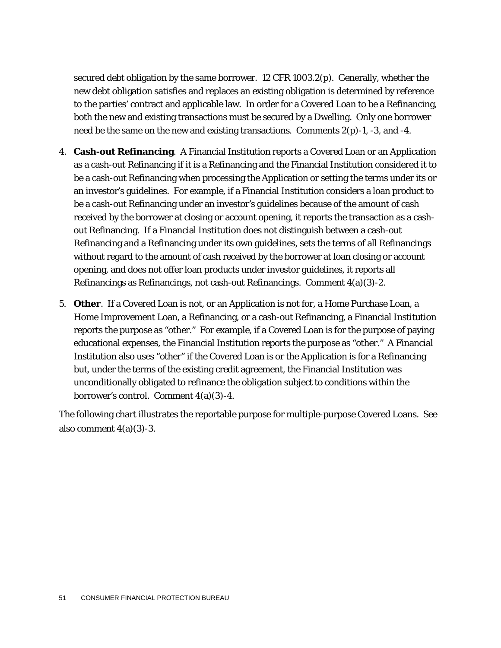secured debt obligation by the same borrower. 12 CFR 1003.2(p). Generally, whether the new debt obligation satisfies and replaces an existing obligation is determined by reference to the parties' contract and applicable law. In order for a Covered Loan to be a Refinancing, both the new and existing transactions must be secured by a Dwelling. Only one borrower need be the same on the new and existing transactions. Comments  $2(p)-1$ ,  $-3$ , and  $-4$ .

- 4. **Cash-out Refinancing**. A Financial Institution reports a Covered Loan or an Application as a cash-out Refinancing if it is a Refinancing and the Financial Institution considered it to be a cash-out Refinancing when processing the Application or setting the terms under its or an investor's guidelines. For example, if a Financial Institution considers a loan product to be a cash-out Refinancing under an investor's guidelines because of the amount of cash received by the borrower at closing or account opening, it reports the transaction as a cashout Refinancing. If a Financial Institution does not distinguish between a cash-out Refinancing and a Refinancing under its own guidelines, sets the terms of all Refinancings without regard to the amount of cash received by the borrower at loan closing or account opening, and does not offer loan products under investor guidelines, it reports all Refinancings as Refinancings, not cash-out Refinancings. Comment 4(a)(3)-2.
- 5. **Other**. If a Covered Loan is not, or an Application is not for, a Home Purchase Loan, a Home Improvement Loan, a Refinancing, or a cash-out Refinancing, a Financial Institution reports the purpose as "other." For example, if a Covered Loan is for the purpose of paying educational expenses, the Financial Institution reports the purpose as "other." A Financial Institution also uses "other" if the Covered Loan is or the Application is for a Refinancing but, under the terms of the existing credit agreement, the Financial Institution was unconditionally obligated to refinance the obligation subject to conditions within the borrower's control. Comment 4(a)(3)-4.

The following chart illustrates the reportable purpose for multiple-purpose Covered Loans. See also comment  $4(a)(3)-3$ .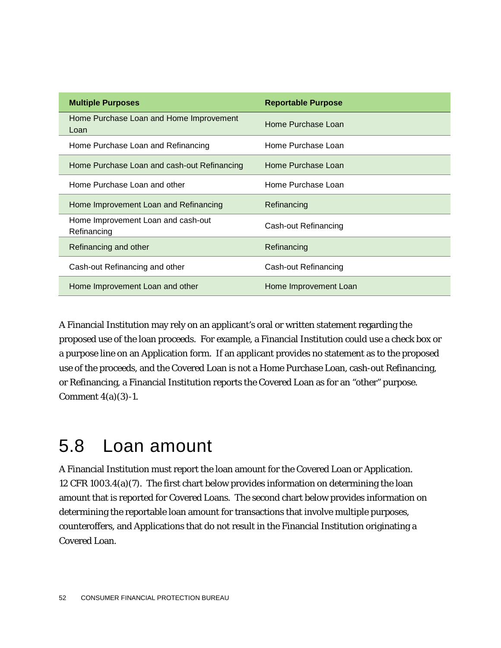| <b>Multiple Purposes</b>                          | <b>Reportable Purpose</b> |
|---------------------------------------------------|---------------------------|
| Home Purchase Loan and Home Improvement<br>Loan   | Home Purchase Loan        |
| Home Purchase Loan and Refinancing                | Home Purchase Loan        |
| Home Purchase Loan and cash-out Refinancing       | Home Purchase Loan        |
| Home Purchase Loan and other                      | Home Purchase Loan        |
| Home Improvement Loan and Refinancing             | Refinancing               |
| Home Improvement Loan and cash-out<br>Refinancing | Cash-out Refinancing      |
| Refinancing and other                             | Refinancing               |
| Cash-out Refinancing and other                    | Cash-out Refinancing      |
| Home Improvement Loan and other                   | Home Improvement Loan     |

A Financial Institution may rely on an applicant's oral or written statement regarding the proposed use of the loan proceeds. For example, a Financial Institution could use a check box or a purpose line on an Application form. If an applicant provides no statement as to the proposed use of the proceeds, and the Covered Loan is not a Home Purchase Loan, cash-out Refinancing, or Refinancing, a Financial Institution reports the Covered Loan as for an "other" purpose. Comment 4(a)(3)-1.

### 5.8 Loan amount

A Financial Institution must report the loan amount for the Covered Loan or Application. 12 CFR 1003.4(a)(7). The first chart below provides information on determining the loan amount that is reported for Covered Loans. The second chart below provides information on determining the reportable loan amount for transactions that involve multiple purposes, counteroffers, and Applications that do not result in the Financial Institution originating a Covered Loan.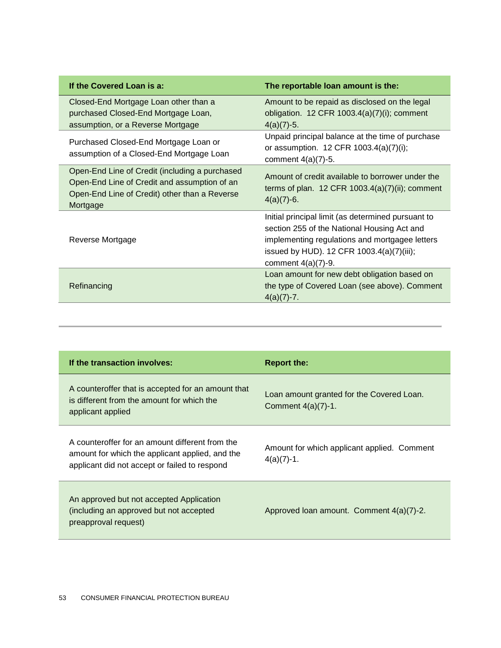| If the Covered Loan is a:                                                                                                                                   | The reportable loan amount is the:                                                                                                                                                                                        |
|-------------------------------------------------------------------------------------------------------------------------------------------------------------|---------------------------------------------------------------------------------------------------------------------------------------------------------------------------------------------------------------------------|
| Closed-End Mortgage Loan other than a<br>purchased Closed-End Mortgage Loan,<br>assumption, or a Reverse Mortgage                                           | Amount to be repaid as disclosed on the legal<br>obligation. 12 CFR $1003.4(a)(7)(i)$ ; comment<br>$4(a)(7)-5.$                                                                                                           |
| Purchased Closed-End Mortgage Loan or<br>assumption of a Closed-End Mortgage Loan                                                                           | Unpaid principal balance at the time of purchase<br>or assumption. 12 CFR 1003.4(a)(7)(i);<br>comment $4(a)(7)-5$ .                                                                                                       |
| Open-End Line of Credit (including a purchased<br>Open-End Line of Credit and assumption of an<br>Open-End Line of Credit) other than a Reverse<br>Mortgage | Amount of credit available to borrower under the<br>terms of plan. $12$ CFR $1003.4(a)(7)(ii)$ ; comment<br>$4(a)(7)-6.$                                                                                                  |
| Reverse Mortgage                                                                                                                                            | Initial principal limit (as determined pursuant to<br>section 255 of the National Housing Act and<br>implementing regulations and mortgagee letters<br>issued by HUD). 12 CFR 1003.4(a)(7)(iii);<br>comment $4(a)(7)-9$ . |
| Refinancing                                                                                                                                                 | Loan amount for new debt obligation based on<br>the type of Covered Loan (see above). Comment<br>$4(a)(7)-7.$                                                                                                             |

| If the transaction involves:                                                                                                                        | <b>Report the:</b>                                                 |
|-----------------------------------------------------------------------------------------------------------------------------------------------------|--------------------------------------------------------------------|
| A counteroffer that is accepted for an amount that<br>is different from the amount for which the<br>applicant applied                               | Loan amount granted for the Covered Loan.<br>Comment $4(a)(7)-1$ . |
| A counteroffer for an amount different from the<br>amount for which the applicant applied, and the<br>applicant did not accept or failed to respond | Amount for which applicant applied. Comment<br>$4(a)(7)-1.$        |
| An approved but not accepted Application<br>(including an approved but not accepted<br>preapproval request)                                         | Approved Ioan amount. Comment 4(a)(7)-2.                           |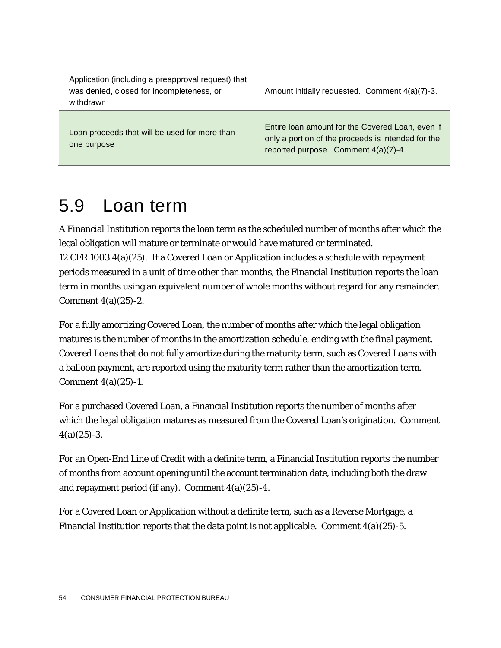Application (including a preapproval request) that was denied, closed for incompleteness, or withdrawn

Amount initially requested. Comment 4(a)(7)-3.

Loan proceeds that will be used for more than one purpose

Entire loan amount for the Covered Loan, even if only a portion of the proceeds is intended for the reported purpose. Comment 4(a)(7)-4.

## 5.9 Loan term

A Financial Institution reports the loan term as the scheduled number of months after which the legal obligation will mature or terminate or would have matured or terminated. 12 CFR 1003.4(a)(25). If a Covered Loan or Application includes a schedule with repayment periods measured in a unit of time other than months, the Financial Institution reports the loan term in months using an equivalent number of whole months without regard for any remainder. Comment 4(a)(25)-2.

For a fully amortizing Covered Loan, the number of months after which the legal obligation matures is the number of months in the amortization schedule, ending with the final payment. Covered Loans that do not fully amortize during the maturity term, such as Covered Loans with a balloon payment, are reported using the maturity term rather than the amortization term. Comment 4(a)(25)-1.

For a purchased Covered Loan, a Financial Institution reports the number of months after which the legal obligation matures as measured from the Covered Loan's origination. Comment  $4(a)(25) - 3.$ 

For an Open-End Line of Credit with a definite term, a Financial Institution reports the number of months from account opening until the account termination date, including both the draw and repayment period (if any). Comment  $4(a)(25)$ -4.

For a Covered Loan or Application without a definite term, such as a Reverse Mortgage, a Financial Institution reports that the data point is not applicable. Comment  $4(a)(25)$ -5.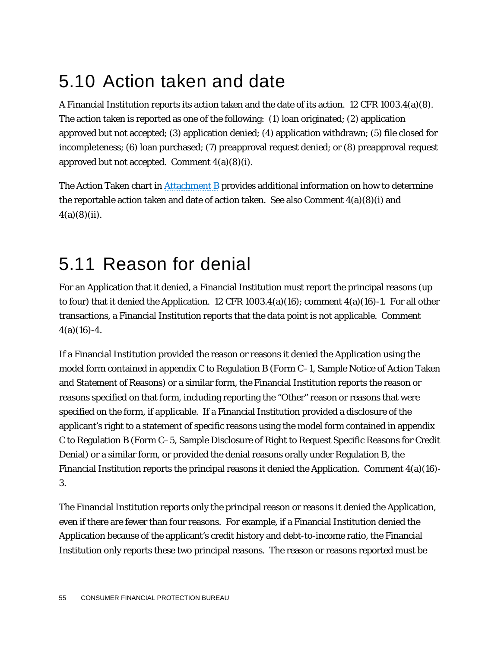## 5.10 Action taken and date

A Financial Institution reports its action taken and the date of its action. 12 CFR 1003.4(a)(8). The action taken is reported as one of the following: (1) loan originated; (2) application approved but not accepted; (3) application denied; (4) application withdrawn; (5) file closed for incompleteness; (6) loan purchased; (7) preapproval request denied; or (8) preapproval request approved but not accepted. Comment  $4(a)(8)(i)$ .

The Action Taken chart i[n Attachment B](#page-104-0) provides additional information on how to determine the reportable action taken and date of action taken. See also Comment  $4(a)(8)(i)$  and  $4(a)(8)(ii)$ .

### 5.11 Reason for denial

For an Application that it denied, a Financial Institution must report the principal reasons (up to four) that it denied the Application. 12 CFR 1003.4(a)(16); comment  $4(a)(16)$ -1. For all other transactions, a Financial Institution reports that the data point is not applicable. Comment  $4(a)(16)-4.$ 

If a Financial Institution provided the reason or reasons it denied the Application using the model form contained in appendix C to Regulation B (Form C–1, Sample Notice of Action Taken and Statement of Reasons) or a similar form, the Financial Institution reports the reason or reasons specified on that form, including reporting the "Other" reason or reasons that were specified on the form, if applicable. If a Financial Institution provided a disclosure of the applicant's right to a statement of specific reasons using the model form contained in appendix C to Regulation B (Form C–5, Sample Disclosure of Right to Request Specific Reasons for Credit Denial) or a similar form, or provided the denial reasons orally under Regulation B, the Financial Institution reports the principal reasons it denied the Application. Comment  $4(a)(16)$ -3.

The Financial Institution reports only the principal reason or reasons it denied the Application, even if there are fewer than four reasons. For example, if a Financial Institution denied the Application because of the applicant's credit history and debt-to-income ratio, the Financial Institution only reports these two principal reasons. The reason or reasons reported must be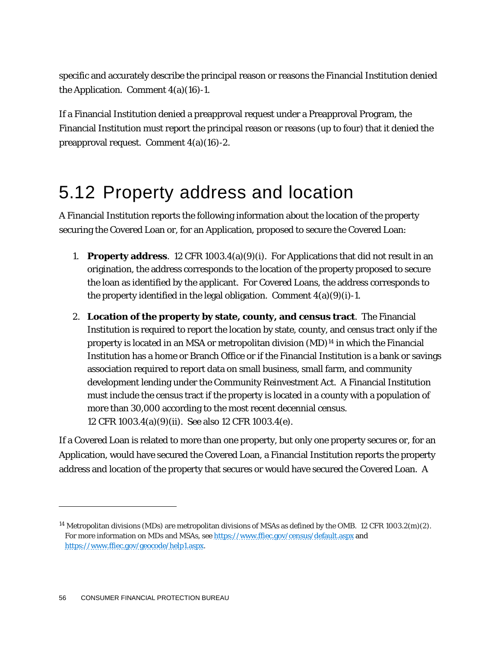specific and accurately describe the principal reason or reasons the Financial Institution denied the Application. Comment  $4(a)(16)-1$ .

If a Financial Institution denied a preapproval request under a Preapproval Program, the Financial Institution must report the principal reason or reasons (up to four) that it denied the preapproval request. Comment 4(a)(16)-2.

### 5.12 Property address and location

A Financial Institution reports the following information about the location of the property securing the Covered Loan or, for an Application, proposed to secure the Covered Loan:

- 1. **Property address**. 12 CFR 1003.4(a)(9)(i). For Applications that did not result in an origination, the address corresponds to the location of the property proposed to secure the loan as identified by the applicant. For Covered Loans, the address corresponds to the property identified in the legal obligation. Comment  $4(a)(9)(i)-1$ .
- 2. **Location of the property by state, county, and census tract**. The Financial Institution is required to report the location by state, county, and census tract only if the property is located in an MSA or metropolitan division (MD)[14](#page-56-0) in which the Financial Institution has a home or Branch Office or if the Financial Institution is a bank or savings association required to report data on small business, small farm, and community development lending under the Community Reinvestment Act. A Financial Institution must include the census tract if the property is located in a county with a population of more than 30,000 according to the most recent decennial census. 12 CFR 1003.4(a)(9)(ii). See also 12 CFR 1003.4(e).

If a Covered Loan is related to more than one property, but only one property secures or, for an Application, would have secured the Covered Loan, a Financial Institution reports the property address and location of the property that secures or would have secured the Covered Loan. A

1

<span id="page-56-0"></span><sup>&</sup>lt;sup>14</sup> Metropolitan divisions (MDs) are metropolitan divisions of MSAs as defined by the OMB. 12 CFR 1003.2(m)(2). For more information on MDs and MSAs, se[e https://www.ffiec.gov/census/default.aspx](https://www.ffiec.gov/census/default.aspx) and [https://www.ffiec.gov/geocode/help1.aspx.](https://www.ffiec.gov/geocode/help1.aspx)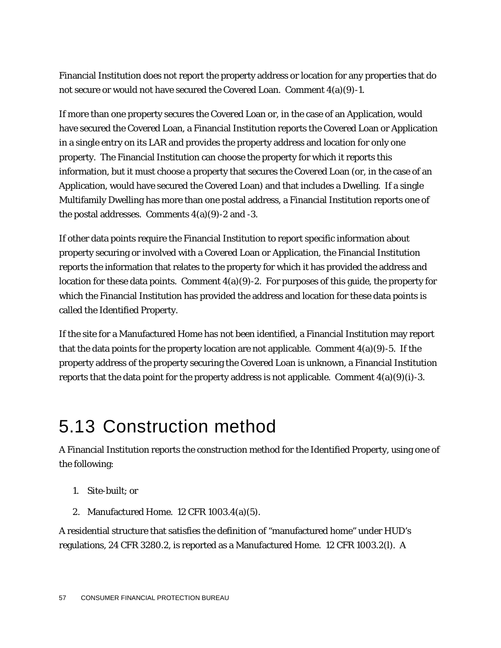Financial Institution does not report the property address or location for any properties that do not secure or would not have secured the Covered Loan. Comment 4(a)(9)-1.

If more than one property secures the Covered Loan or, in the case of an Application, would have secured the Covered Loan, a Financial Institution reports the Covered Loan or Application in a single entry on its LAR and provides the property address and location for only one property. The Financial Institution can choose the property for which it reports this information, but it must choose a property that secures the Covered Loan (or, in the case of an Application, would have secured the Covered Loan) and that includes a Dwelling. If a single Multifamily Dwelling has more than one postal address, a Financial Institution reports one of the postal addresses. Comments  $4(a)(9)$ -2 and -3.

If other data points require the Financial Institution to report specific information about property securing or involved with a Covered Loan or Application, the Financial Institution reports the information that relates to the property for which it has provided the address and location for these data points. Comment  $4(a)(9)-2$ . For purposes of this guide, the property for which the Financial Institution has provided the address and location for these data points is called the Identified Property.

If the site for a Manufactured Home has not been identified, a Financial Institution may report that the data points for the property location are not applicable. Comment  $4(a)(9)-5$ . If the property address of the property securing the Covered Loan is unknown, a Financial Institution reports that the data point for the property address is not applicable. Comment  $4(a)(9)(i)-3$ .

### 5.13 Construction method

A Financial Institution reports the construction method for the Identified Property, using one of the following:

- 1. Site-built; or
- 2. Manufactured Home. 12 CFR 1003.4(a)(5).

A residential structure that satisfies the definition of "manufactured home" under HUD's regulations, 24 CFR 3280.2, is reported as a Manufactured Home. 12 CFR 1003.2(l). A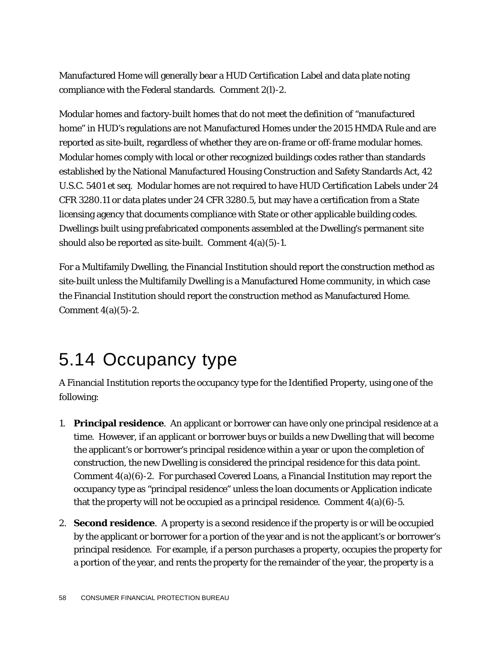Manufactured Home will generally bear a HUD Certification Label and data plate noting compliance with the Federal standards. Comment 2(l)-2.

Modular homes and factory-built homes that do not meet the definition of "manufactured home" in HUD's regulations are not Manufactured Homes under the 2015 HMDA Rule and are reported as site-built, regardless of whether they are on-frame or off-frame modular homes. Modular homes comply with local or other recognized buildings codes rather than standards established by the National Manufactured Housing Construction and Safety Standards Act, 42 U.S.C. 5401 *et seq*. Modular homes are not required to have HUD Certification Labels under 24 CFR 3280.11 or data plates under 24 CFR 3280.5, but may have a certification from a State licensing agency that documents compliance with State or other applicable building codes. Dwellings built using prefabricated components assembled at the Dwelling's permanent site should also be reported as site-built. Comment 4(a)(5)-1.

For a Multifamily Dwelling, the Financial Institution should report the construction method as site-built unless the Multifamily Dwelling is a Manufactured Home community, in which case the Financial Institution should report the construction method as Manufactured Home. Comment  $4(a)(5)-2$ .

### 5.14 Occupancy type

A Financial Institution reports the occupancy type for the Identified Property, using one of the following:

- 1. **Principal residence**. An applicant or borrower can have only one principal residence at a time. However, if an applicant or borrower buys or builds a new Dwelling that will become the applicant's or borrower's principal residence within a year or upon the completion of construction, the new Dwelling is considered the principal residence for this data point. Comment 4(a)(6)-2. For purchased Covered Loans, a Financial Institution may report the occupancy type as "principal residence" unless the loan documents or Application indicate that the property will not be occupied as a principal residence. Comment  $4(a)(6)-5$ .
- 2. **Second residence**. A property is a second residence if the property is or will be occupied by the applicant or borrower for a portion of the year and is not the applicant's or borrower's principal residence. For example, if a person purchases a property, occupies the property for a portion of the year, and rents the property for the remainder of the year, the property is a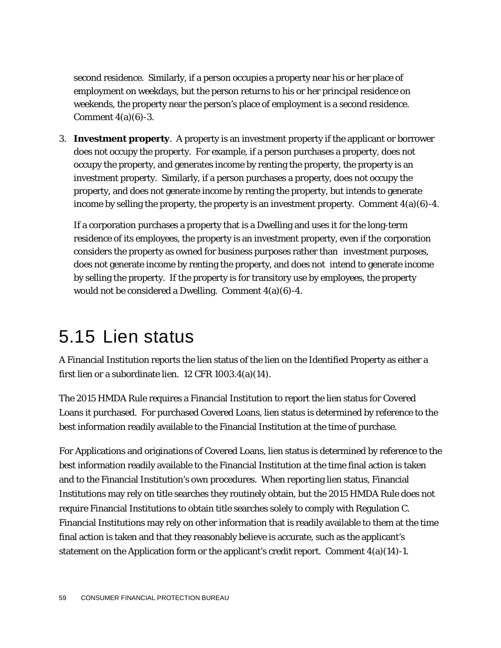second residence. Similarly, if a person occupies a property near his or her place of employment on weekdays, but the person returns to his or her principal residence on weekends, the property near the person's place of employment is a second residence. Comment  $4(a)(6)-3$ .

3. **Investment property**. A property is an investment property if the applicant or borrower does not occupy the property. For example, if a person purchases a property, does not occupy the property, and generates income by renting the property, the property is an investment property. Similarly, if a person purchases a property, does not occupy the property, and does not generate income by renting the property, but intends to generate income by selling the property, the property is an investment property. Comment  $4(a)(6)-4$ .

If a corporation purchases a property that is a Dwelling and uses it for the long-term residence of its employees, the property is an investment property, even if the corporation considers the property as owned for business purposes rather than investment purposes, does not generate income by renting the property, and does not intend to generate income by selling the property. If the property is for transitory use by employees, the property would not be considered a Dwelling. Comment 4(a)(6)-4.

#### 5.15 Lien status

A Financial Institution reports the lien status of the lien on the Identified Property as either a first lien or a subordinate lien. 12 CFR 1003.4(a)(14).

The 2015 HMDA Rule requires a Financial Institution to report the lien status for Covered Loans it purchased. For purchased Covered Loans, lien status is determined by reference to the best information readily available to the Financial Institution at the time of purchase.

For Applications and originations of Covered Loans, lien status is determined by reference to the best information readily available to the Financial Institution at the time final action is taken and to the Financial Institution's own procedures. When reporting lien status, Financial Institutions may rely on title searches they routinely obtain, but the 2015 HMDA Rule does not require Financial Institutions to obtain title searches solely to comply with Regulation C. Financial Institutions may rely on other information that is readily available to them at the time final action is taken and that they reasonably believe is accurate, such as the applicant's statement on the Application form or the applicant's credit report. Comment  $4(a)(14)-1$ .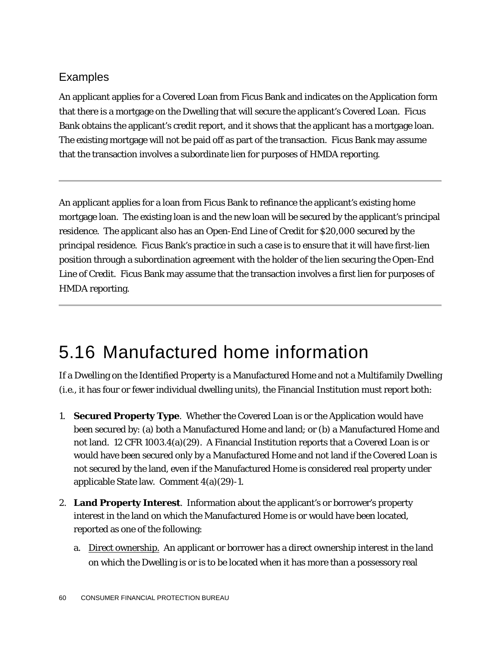#### Examples

An applicant applies for a Covered Loan from Ficus Bank and indicates on the Application form that there is a mortgage on the Dwelling that will secure the applicant's Covered Loan. Ficus Bank obtains the applicant's credit report, and it shows that the applicant has a mortgage loan. The existing mortgage will not be paid off as part of the transaction. Ficus Bank may assume that the transaction involves a subordinate lien for purposes of HMDA reporting.

An applicant applies for a loan from Ficus Bank to refinance the applicant's existing home mortgage loan. The existing loan is and the new loan will be secured by the applicant's principal residence. The applicant also has an Open-End Line of Credit for \$20,000 secured by the principal residence. Ficus Bank's practice in such a case is to ensure that it will have first-lien position through a subordination agreement with the holder of the lien securing the Open-End Line of Credit. Ficus Bank may assume that the transaction involves a first lien for purposes of HMDA reporting.

# 5.16 Manufactured home information

If a Dwelling on the Identified Property is a Manufactured Home and not a Multifamily Dwelling (*i.e.*, it has four or fewer individual dwelling units), the Financial Institution must report both:

- 1. **Secured Property Type**. Whether the Covered Loan is or the Application would have been secured by: (a) both a Manufactured Home and land; or (b) a Manufactured Home and not land. 12 CFR 1003.4(a)(29). A Financial Institution reports that a Covered Loan is or would have been secured only by a Manufactured Home and not land if the Covered Loan is not secured by the land, even if the Manufactured Home is considered real property under applicable State law. Comment 4(a)(29)-1.
- 2. **Land Property Interest**. Information about the applicant's or borrower's property interest in the land on which the Manufactured Home is or would have been located, reported as one of the following:
	- a. Direct ownership. An applicant or borrower has a direct ownership interest in the land on which the Dwelling is or is to be located when it has more than a possessory real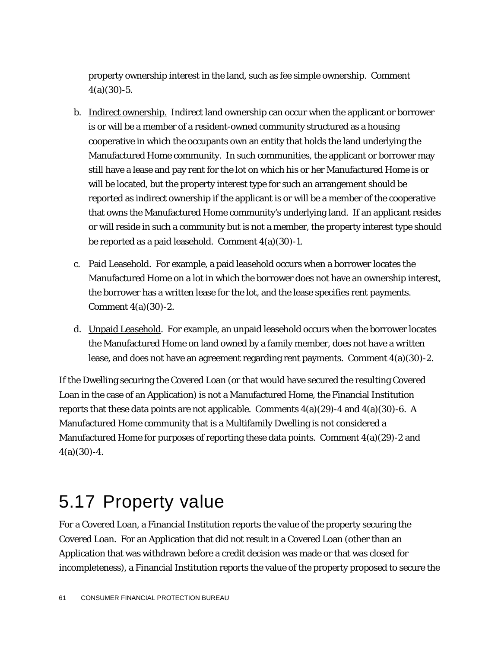property ownership interest in the land, such as fee simple ownership. Comment  $4(a)(30) - 5.$ 

- b. Indirect ownership. Indirect land ownership can occur when the applicant or borrower is or will be a member of a resident-owned community structured as a housing cooperative in which the occupants own an entity that holds the land underlying the Manufactured Home community. In such communities, the applicant or borrower may still have a lease and pay rent for the lot on which his or her Manufactured Home is or will be located, but the property interest type for such an arrangement should be reported as indirect ownership if the applicant is or will be a member of the cooperative that owns the Manufactured Home community's underlying land. If an applicant resides or will reside in such a community but is not a member, the property interest type should be reported as a paid leasehold. Comment 4(a)(30)-1.
- c. Paid Leasehold. For example, a paid leasehold occurs when a borrower locates the Manufactured Home on a lot in which the borrower does not have an ownership interest, the borrower has a written lease for the lot, and the lease specifies rent payments. Comment 4(a)(30)-2.
- d. Unpaid Leasehold. For example, an unpaid leasehold occurs when the borrower locates the Manufactured Home on land owned by a family member, does not have a written lease, and does not have an agreement regarding rent payments. Comment 4(a)(30)-2.

If the Dwelling securing the Covered Loan (or that would have secured the resulting Covered Loan in the case of an Application) is not a Manufactured Home, the Financial Institution reports that these data points are not applicable. Comments  $4(a)(29)$ -4 and  $4(a)(30)$ -6. A Manufactured Home community that is a Multifamily Dwelling is not considered a Manufactured Home for purposes of reporting these data points. Comment  $4(a)(29)$ -2 and  $4(a)(30)-4.$ 

#### 5.17 Property value

For a Covered Loan, a Financial Institution reports the value of the property securing the Covered Loan. For an Application that did not result in a Covered Loan (other than an Application that was withdrawn before a credit decision was made or that was closed for incompleteness), a Financial Institution reports the value of the property proposed to secure the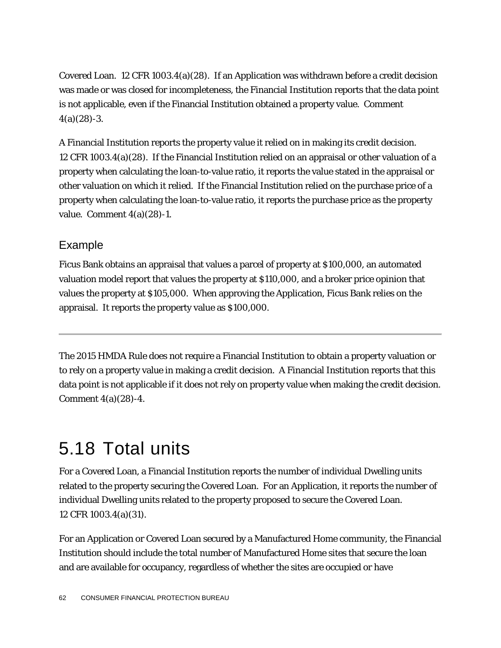Covered Loan. 12 CFR 1003.4(a)(28). If an Application was withdrawn before a credit decision was made or was closed for incompleteness, the Financial Institution reports that the data point is not applicable, even if the Financial Institution obtained a property value. Comment  $4(a)(28) - 3.$ 

A Financial Institution reports the property value it relied on in making its credit decision. 12 CFR 1003.4(a)(28). If the Financial Institution relied on an appraisal or other valuation of a property when calculating the loan-to-value ratio, it reports the value stated in the appraisal or other valuation on which it relied. If the Financial Institution relied on the purchase price of a property when calculating the loan-to-value ratio, it reports the purchase price as the property value. Comment 4(a)(28)-1.

#### Example

Ficus Bank obtains an appraisal that values a parcel of property at \$100,000, an automated valuation model report that values the property at \$110,000, and a broker price opinion that values the property at \$105,000. When approving the Application, Ficus Bank relies on the appraisal. It reports the property value as \$100,000.

The 2015 HMDA Rule does not require a Financial Institution to obtain a property valuation or to rely on a property value in making a credit decision. A Financial Institution reports that this data point is not applicable if it does not rely on property value when making the credit decision. Comment 4(a)(28)-4.

# 5.18 Total units

For a Covered Loan, a Financial Institution reports the number of individual Dwelling units related to the property securing the Covered Loan. For an Application, it reports the number of individual Dwelling units related to the property proposed to secure the Covered Loan. 12 CFR 1003.4(a)(31).

For an Application or Covered Loan secured by a Manufactured Home community, the Financial Institution should include the total number of Manufactured Home sites that secure the loan and are available for occupancy, regardless of whether the sites are occupied or have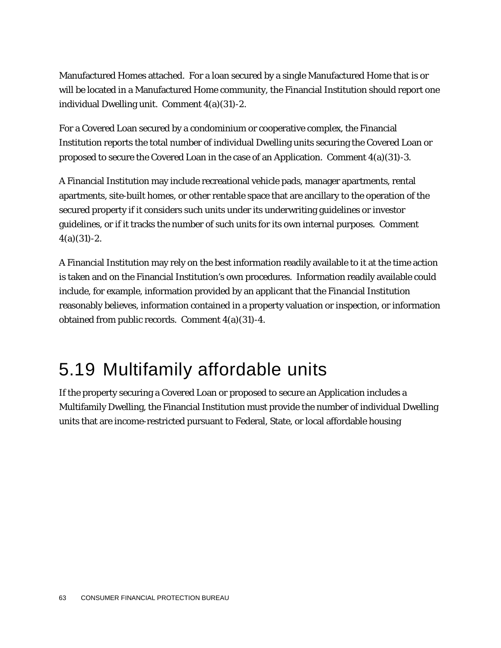Manufactured Homes attached. For a loan secured by a single Manufactured Home that is or will be located in a Manufactured Home community, the Financial Institution should report one individual Dwelling unit. Comment 4(a)(31)-2.

For a Covered Loan secured by a condominium or cooperative complex, the Financial Institution reports the total number of individual Dwelling units securing the Covered Loan or proposed to secure the Covered Loan in the case of an Application. Comment  $4(a)(31)$ -3.

A Financial Institution may include recreational vehicle pads, manager apartments, rental apartments, site-built homes, or other rentable space that are ancillary to the operation of the secured property if it considers such units under its underwriting guidelines or investor guidelines, or if it tracks the number of such units for its own internal purposes. Comment  $4(a)(31) - 2$ .

A Financial Institution may rely on the best information readily available to it at the time action is taken and on the Financial Institution's own procedures. Information readily available could include, for example, information provided by an applicant that the Financial Institution reasonably believes, information contained in a property valuation or inspection, or information obtained from public records. Comment 4(a)(31)-4.

### 5.19 Multifamily affordable units

If the property securing a Covered Loan or proposed to secure an Application includes a Multifamily Dwelling, the Financial Institution must provide the number of individual Dwelling units that are income-restricted pursuant to Federal, State, or local affordable housing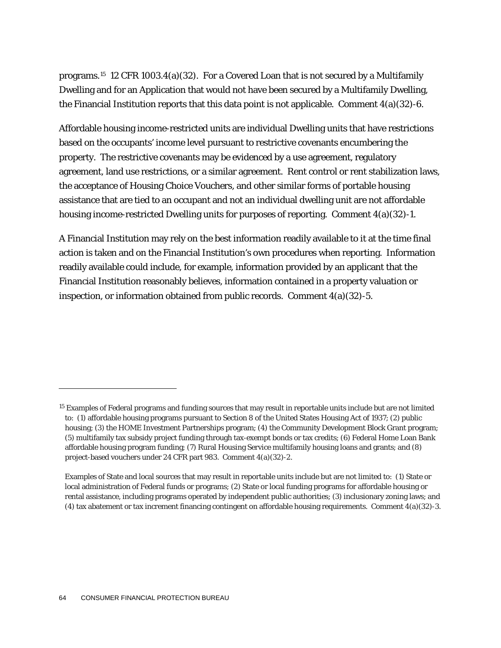programs.[15](#page-64-0) 12 CFR 1003.4(a)(32). For a Covered Loan that is not secured by a Multifamily Dwelling and for an Application that would not have been secured by a Multifamily Dwelling, the Financial Institution reports that this data point is not applicable. Comment  $4(a)(32)-6$ .

Affordable housing income-restricted units are individual Dwelling units that have restrictions based on the occupants' income level pursuant to restrictive covenants encumbering the property. The restrictive covenants may be evidenced by a use agreement, regulatory agreement, land use restrictions, or a similar agreement. Rent control or rent stabilization laws, the acceptance of Housing Choice Vouchers, and other similar forms of portable housing assistance that are tied to an occupant and not an individual dwelling unit are not affordable housing income-restricted Dwelling units for purposes of reporting. Comment 4(a)(32)-1.

A Financial Institution may rely on the best information readily available to it at the time final action is taken and on the Financial Institution's own procedures when reporting. Information readily available could include, for example, information provided by an applicant that the Financial Institution reasonably believes, information contained in a property valuation or inspection, or information obtained from public records. Comment  $4(a)(32)$ -5.

1

<span id="page-64-0"></span><sup>&</sup>lt;sup>15</sup> Examples of Federal programs and funding sources that may result in reportable units include but are not limited to: (1) affordable housing programs pursuant to Section 8 of the United States Housing Act of 1937; (2) public housing; (3) the HOME Investment Partnerships program; (4) the Community Development Block Grant program; (5) multifamily tax subsidy project funding through tax-exempt bonds or tax credits; (6) Federal Home Loan Bank affordable housing program funding; (7) Rural Housing Service multifamily housing loans and grants; and (8) project-based vouchers under 24 CFR part 983. Comment 4(a)(32)-2.

Examples of State and local sources that may result in reportable units include but are not limited to: (1) State or local administration of Federal funds or programs; (2) State or local funding programs for affordable housing or rental assistance, including programs operated by independent public authorities; (3) inclusionary zoning laws; and (4) tax abatement or tax increment financing contingent on affordable housing requirements. Comment 4(a)(32)-3.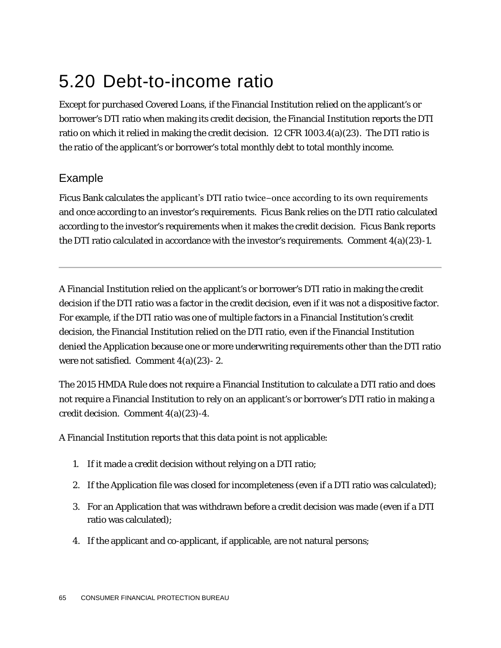# 5.20 Debt-to-income ratio

Except for purchased Covered Loans, if the Financial Institution relied on the applicant's or borrower's DTI ratio when making its credit decision, the Financial Institution reports the DTI ratio on which it relied in making the credit decision. 12 CFR 1003.4(a)(23). The DTI ratio is the ratio of the applicant's or borrower's total monthly debt to total monthly income.

#### Example

Ficus Bank calculates the applicant's DTI ratio twice−once according to its own requirements and once according to an investor's requirements. Ficus Bank relies on the DTI ratio calculated according to the investor's requirements when it makes the credit decision. Ficus Bank reports the DTI ratio calculated in accordance with the investor's requirements. Comment  $4(a)(23)-1$ .

A Financial Institution relied on the applicant's or borrower's DTI ratio in making the credit decision if the DTI ratio was a factor in the credit decision, even if it was not a dispositive factor. For example, if the DTI ratio was one of multiple factors in a Financial Institution's credit decision, the Financial Institution relied on the DTI ratio, even if the Financial Institution denied the Application because one or more underwriting requirements other than the DTI ratio were not satisfied. Comment  $4(a)(23)$ - 2.

The 2015 HMDA Rule does not require a Financial Institution to calculate a DTI ratio and does not require a Financial Institution to rely on an applicant's or borrower's DTI ratio in making a credit decision. Comment 4(a)(23)-4.

A Financial Institution reports that this data point is not applicable:

- 1. If it made a credit decision without relying on a DTI ratio;
- 2. If the Application file was closed for incompleteness (even if a DTI ratio was calculated);
- 3. For an Application that was withdrawn before a credit decision was made (even if a DTI ratio was calculated);
- 4. If the applicant and co-applicant, if applicable, are not natural persons;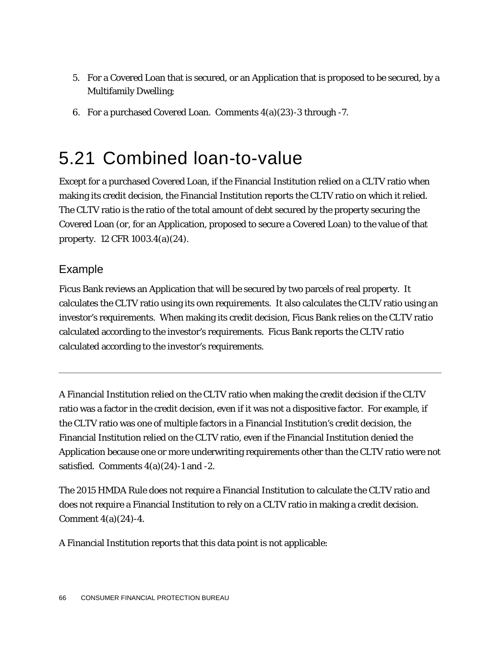- 5. For a Covered Loan that is secured, or an Application that is proposed to be secured, by a Multifamily Dwelling;
- 6. For a purchased Covered Loan. Comments 4(a)(23)-3 through -7.

#### 5.21 Combined loan-to-value

Except for a purchased Covered Loan, if the Financial Institution relied on a CLTV ratio when making its credit decision, the Financial Institution reports the CLTV ratio on which it relied. The CLTV ratio is the ratio of the total amount of debt secured by the property securing the Covered Loan (or, for an Application, proposed to secure a Covered Loan) to the value of that property. 12 CFR 1003.4(a)(24).

#### Example

Ficus Bank reviews an Application that will be secured by two parcels of real property. It calculates the CLTV ratio using its own requirements. It also calculates the CLTV ratio using an investor's requirements. When making its credit decision, Ficus Bank relies on the CLTV ratio calculated according to the investor's requirements. Ficus Bank reports the CLTV ratio calculated according to the investor's requirements.

A Financial Institution relied on the CLTV ratio when making the credit decision if the CLTV ratio was a factor in the credit decision, even if it was not a dispositive factor. For example, if the CLTV ratio was one of multiple factors in a Financial Institution's credit decision, the Financial Institution relied on the CLTV ratio, even if the Financial Institution denied the Application because one or more underwriting requirements other than the CLTV ratio were not satisfied. Comments  $4(a)(24)$ -1 and -2.

The 2015 HMDA Rule does not require a Financial Institution to calculate the CLTV ratio and does not require a Financial Institution to rely on a CLTV ratio in making a credit decision. Comment 4(a)(24)-4.

A Financial Institution reports that this data point is not applicable: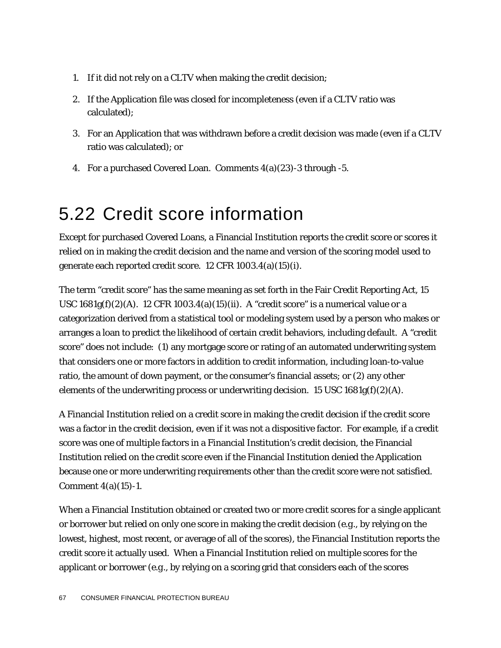- 1. If it did not rely on a CLTV when making the credit decision;
- 2. If the Application file was closed for incompleteness (even if a CLTV ratio was calculated);
- 3. For an Application that was withdrawn before a credit decision was made (even if a CLTV ratio was calculated); or
- 4. For a purchased Covered Loan. Comments 4(a)(23)-3 through -5.

### 5.22 Credit score information

Except for purchased Covered Loans, a Financial Institution reports the credit score or scores it relied on in making the credit decision and the name and version of the scoring model used to generate each reported credit score. 12 CFR 1003.4(a)(15)(i).

The term "credit score" has the same meaning as set forth in the Fair Credit Reporting Act, 15 USC  $1681g(f)(2)(A)$ . 12 CFR  $1003.4(a)(15)(ii)$ . A "credit score" is a numerical value or a categorization derived from a statistical tool or modeling system used by a person who makes or arranges a loan to predict the likelihood of certain credit behaviors, including default. A "credit score" does not include: (1) any mortgage score or rating of an automated underwriting system that considers one or more factors in addition to credit information, including loan-to-value ratio, the amount of down payment, or the consumer's financial assets; or (2) any other elements of the underwriting process or underwriting decision. 15 USC  $1681g(f)(2)(A)$ .

A Financial Institution relied on a credit score in making the credit decision if the credit score was a factor in the credit decision, even if it was not a dispositive factor. For example, if a credit score was one of multiple factors in a Financial Institution's credit decision, the Financial Institution relied on the credit score even if the Financial Institution denied the Application because one or more underwriting requirements other than the credit score were not satisfied. Comment 4(a)(15)-1.

When a Financial Institution obtained or created two or more credit scores for a single applicant or borrower but relied on only one score in making the credit decision (*e.g.*, by relying on the lowest, highest, most recent, or average of all of the scores), the Financial Institution reports the credit score it actually used. When a Financial Institution relied on multiple scores for the applicant or borrower (*e.g.*, by relying on a scoring grid that considers each of the scores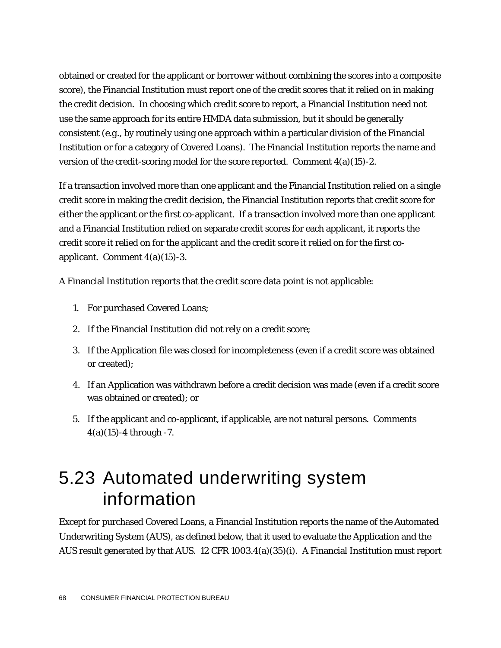obtained or created for the applicant or borrower without combining the scores into a composite score), the Financial Institution must report one of the credit scores that it relied on in making the credit decision. In choosing which credit score to report, a Financial Institution need not use the same approach for its entire HMDA data submission, but it should be generally consistent (*e.g*., by routinely using one approach within a particular division of the Financial Institution or for a category of Covered Loans). The Financial Institution reports the name and version of the credit-scoring model for the score reported. Comment  $4(a)(15)-2$ .

If a transaction involved more than one applicant and the Financial Institution relied on a single credit score in making the credit decision, the Financial Institution reports that credit score for either the applicant or the first co-applicant. If a transaction involved more than one applicant and a Financial Institution relied on separate credit scores for each applicant, it reports the credit score it relied on for the applicant and the credit score it relied on for the first coapplicant. Comment 4(a)(15)-3.

A Financial Institution reports that the credit score data point is not applicable:

- 1. For purchased Covered Loans;
- 2. If the Financial Institution did not rely on a credit score;
- 3. If the Application file was closed for incompleteness (even if a credit score was obtained or created);
- 4. If an Application was withdrawn before a credit decision was made (even if a credit score was obtained or created); or
- 5. If the applicant and co-applicant, if applicable, are not natural persons. Comments 4(a)(15)-4 through -7.

### 5.23 Automated underwriting system information

Except for purchased Covered Loans, a Financial Institution reports the name of the Automated Underwriting System (AUS), as defined below, that it used to evaluate the Application and the AUS result generated by that AUS. 12 CFR 1003.4(a)(35)(i). A Financial Institution must report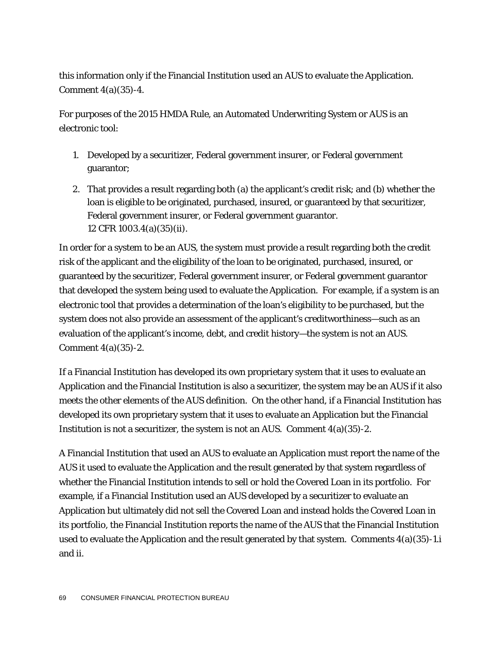this information only if the Financial Institution used an AUS to evaluate the Application. Comment 4(a)(35)-4.

For purposes of the 2015 HMDA Rule, an Automated Underwriting System or AUS is an electronic tool:

- 1. Developed by a securitizer, Federal government insurer, or Federal government guarantor;
- 2. That provides a result regarding both (a) the applicant's credit risk; and (b) whether the loan is eligible to be originated, purchased, insured, or guaranteed by that securitizer, Federal government insurer, or Federal government guarantor. 12 CFR 1003.4(a)(35)(ii).

In order for a system to be an AUS, the system must provide a result regarding both the credit risk of the applicant and the eligibility of the loan to be originated, purchased, insured, or guaranteed by the securitizer, Federal government insurer, or Federal government guarantor that developed the system being used to evaluate the Application. For example, if a system is an electronic tool that provides a determination of the loan's eligibility to be purchased, but the system does not also provide an assessment of the applicant's creditworthiness*—*such as an evaluation of the applicant's income, debt, and credit history*—*the system is not an AUS. Comment 4(a)(35)-2.

If a Financial Institution has developed its own proprietary system that it uses to evaluate an Application and the Financial Institution is also a securitizer, the system may be an AUS if it also meets the other elements of the AUS definition. On the other hand, if a Financial Institution has developed its own proprietary system that it uses to evaluate an Application but the Financial Institution is not a securitizer, the system is not an AUS. Comment 4(a)(35)-2.

A Financial Institution that used an AUS to evaluate an Application must report the name of the AUS it used to evaluate the Application and the result generated by that system regardless of whether the Financial Institution intends to sell or hold the Covered Loan in its portfolio. For example, if a Financial Institution used an AUS developed by a securitizer to evaluate an Application but ultimately did not sell the Covered Loan and instead holds the Covered Loan in its portfolio, the Financial Institution reports the name of the AUS that the Financial Institution used to evaluate the Application and the result generated by that system. Comments 4(a)(35)-1.i and ii.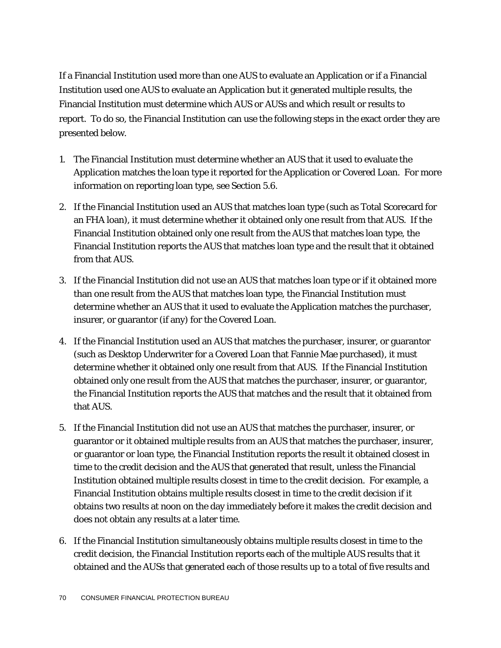If a Financial Institution used more than one AUS to evaluate an Application or if a Financial Institution used one AUS to evaluate an Application but it generated multiple results, the Financial Institution must determine which AUS or AUSs and which result or results to report. To do so, the Financial Institution can use the following steps in the exact order they are presented below.

- 1. The Financial Institution must determine whether an AUS that it used to evaluate the Application matches the loan type it reported for the Application or Covered Loan. For more information on reporting loan type, see Section 5.6.
- 2. If the Financial Institution used an AUS that matches loan type (such as Total Scorecard for an FHA loan), it must determine whether it obtained only one result from that AUS. If the Financial Institution obtained only one result from the AUS that matches loan type, the Financial Institution reports the AUS that matches loan type and the result that it obtained from that AUS.
- 3. If the Financial Institution did not use an AUS that matches loan type or if it obtained more than one result from the AUS that matches loan type, the Financial Institution must determine whether an AUS that it used to evaluate the Application matches the purchaser, insurer, or guarantor (if any) for the Covered Loan.
- 4. If the Financial Institution used an AUS that matches the purchaser, insurer, or guarantor (such as Desktop Underwriter for a Covered Loan that Fannie Mae purchased), it must determine whether it obtained only one result from that AUS. If the Financial Institution obtained only one result from the AUS that matches the purchaser, insurer, or guarantor, the Financial Institution reports the AUS that matches and the result that it obtained from that AUS.
- 5. If the Financial Institution did not use an AUS that matches the purchaser, insurer, or guarantor or it obtained multiple results from an AUS that matches the purchaser, insurer, or guarantor or loan type, the Financial Institution reports the result it obtained closest in time to the credit decision and the AUS that generated that result, unless the Financial Institution obtained multiple results closest in time to the credit decision. For example, a Financial Institution obtains multiple results closest in time to the credit decision if it obtains two results at noon on the day immediately before it makes the credit decision and does not obtain any results at a later time.
- 6. If the Financial Institution simultaneously obtains multiple results closest in time to the credit decision, the Financial Institution reports each of the multiple AUS results that it obtained and the AUSs that generated each of those results up to a total of five results and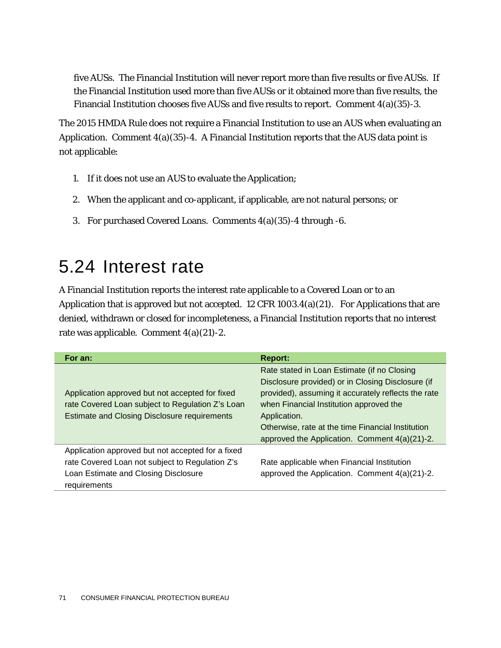five AUSs. The Financial Institution will never report more than five results or five AUSs. If the Financial Institution used more than five AUSs or it obtained more than five results, the Financial Institution chooses five AUSs and five results to report. Comment  $4(a)(35)-3$ .

The 2015 HMDA Rule does not require a Financial Institution to use an AUS when evaluating an Application. Comment  $4(a)(35)-4$ . A Financial Institution reports that the AUS data point is not applicable:

- 1. If it does not use an AUS to evaluate the Application;
- 2. When the applicant and co-applicant, if applicable, are not natural persons; or
- 3. For purchased Covered Loans. Comments 4(a)(35)-4 through -6.

#### 5.24 Interest rate

A Financial Institution reports the interest rate applicable to a Covered Loan or to an Application that is approved but not accepted. 12 CFR 1003.4(a)(21). For Applications that are denied, withdrawn or closed for incompleteness, a Financial Institution reports that no interest rate was applicable. Comment 4(a)(21)-2.

| For an:                                                                                                                                                      | <b>Report:</b>                                                                                                                                                                                                                                                                                                           |
|--------------------------------------------------------------------------------------------------------------------------------------------------------------|--------------------------------------------------------------------------------------------------------------------------------------------------------------------------------------------------------------------------------------------------------------------------------------------------------------------------|
| Application approved but not accepted for fixed<br>rate Covered Loan subject to Regulation Z's Loan<br><b>Estimate and Closing Disclosure requirements</b>   | Rate stated in Loan Estimate (if no Closing<br>Disclosure provided) or in Closing Disclosure (if<br>provided), assuming it accurately reflects the rate<br>when Financial Institution approved the<br>Application.<br>Otherwise, rate at the time Financial Institution<br>approved the Application. Comment 4(a)(21)-2. |
| Application approved but not accepted for a fixed<br>rate Covered Loan not subject to Regulation Z's<br>Loan Estimate and Closing Disclosure<br>requirements | Rate applicable when Financial Institution<br>approved the Application. Comment 4(a)(21)-2.                                                                                                                                                                                                                              |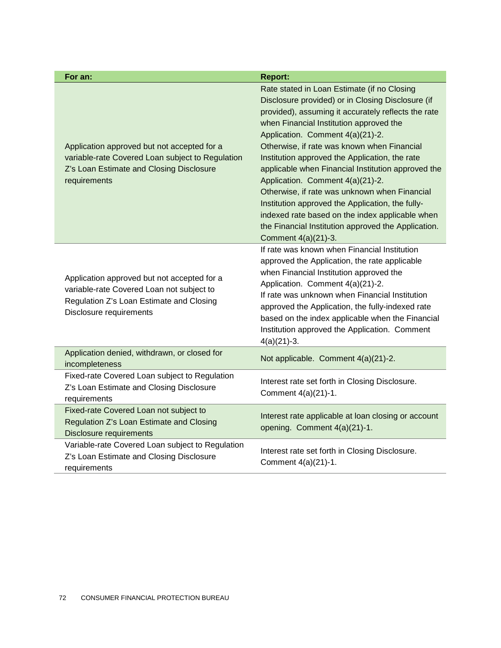| For an:                                                                                                                                                         | <b>Report:</b>                                                                                                                                                                                                                                                                                                                                                                                                                                                                                                                                                                                                                                                          |
|-----------------------------------------------------------------------------------------------------------------------------------------------------------------|-------------------------------------------------------------------------------------------------------------------------------------------------------------------------------------------------------------------------------------------------------------------------------------------------------------------------------------------------------------------------------------------------------------------------------------------------------------------------------------------------------------------------------------------------------------------------------------------------------------------------------------------------------------------------|
| Application approved but not accepted for a<br>variable-rate Covered Loan subject to Regulation<br>Z's Loan Estimate and Closing Disclosure<br>requirements     | Rate stated in Loan Estimate (if no Closing<br>Disclosure provided) or in Closing Disclosure (if<br>provided), assuming it accurately reflects the rate<br>when Financial Institution approved the<br>Application. Comment 4(a)(21)-2.<br>Otherwise, if rate was known when Financial<br>Institution approved the Application, the rate<br>applicable when Financial Institution approved the<br>Application. Comment 4(a)(21)-2.<br>Otherwise, if rate was unknown when Financial<br>Institution approved the Application, the fully-<br>indexed rate based on the index applicable when<br>the Financial Institution approved the Application.<br>Comment 4(a)(21)-3. |
| Application approved but not accepted for a<br>variable-rate Covered Loan not subject to<br>Regulation Z's Loan Estimate and Closing<br>Disclosure requirements | If rate was known when Financial Institution<br>approved the Application, the rate applicable<br>when Financial Institution approved the<br>Application. Comment 4(a)(21)-2.<br>If rate was unknown when Financial Institution<br>approved the Application, the fully-indexed rate<br>based on the index applicable when the Financial<br>Institution approved the Application. Comment<br>$4(a)(21)-3.$                                                                                                                                                                                                                                                                |
| Application denied, withdrawn, or closed for<br>incompleteness                                                                                                  | Not applicable. Comment 4(a)(21)-2.                                                                                                                                                                                                                                                                                                                                                                                                                                                                                                                                                                                                                                     |
| Fixed-rate Covered Loan subject to Regulation<br>Z's Loan Estimate and Closing Disclosure<br>requirements                                                       | Interest rate set forth in Closing Disclosure.<br>Comment 4(a)(21)-1.                                                                                                                                                                                                                                                                                                                                                                                                                                                                                                                                                                                                   |
| Fixed-rate Covered Loan not subject to<br>Regulation Z's Loan Estimate and Closing<br><b>Disclosure requirements</b>                                            | Interest rate applicable at loan closing or account<br>opening. Comment 4(a)(21)-1.                                                                                                                                                                                                                                                                                                                                                                                                                                                                                                                                                                                     |
| Variable-rate Covered Loan subject to Regulation<br>Z's Loan Estimate and Closing Disclosure<br>requirements                                                    | Interest rate set forth in Closing Disclosure.<br>Comment 4(a)(21)-1.                                                                                                                                                                                                                                                                                                                                                                                                                                                                                                                                                                                                   |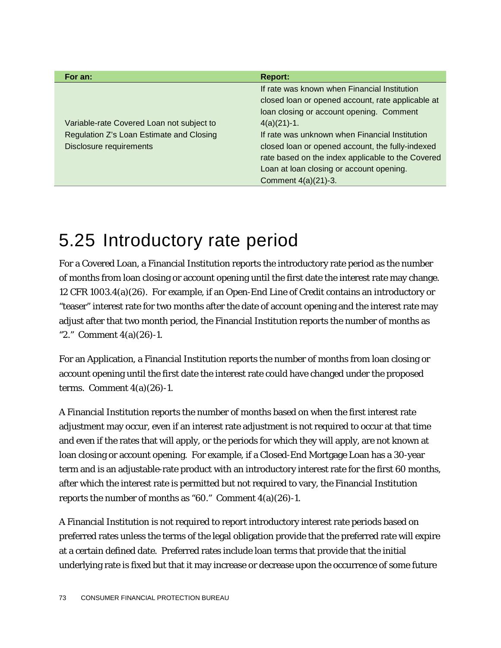| For an:                                   | <b>Report:</b>                                    |
|-------------------------------------------|---------------------------------------------------|
|                                           | If rate was known when Financial Institution      |
|                                           | closed loan or opened account, rate applicable at |
|                                           | loan closing or account opening. Comment          |
| Variable-rate Covered Loan not subject to | $4(a)(21)-1.$                                     |
| Regulation Z's Loan Estimate and Closing  | If rate was unknown when Financial Institution    |
| <b>Disclosure requirements</b>            | closed loan or opened account, the fully-indexed  |
|                                           | rate based on the index applicable to the Covered |
|                                           | Loan at loan closing or account opening.          |
|                                           | Comment 4(a)(21)-3.                               |

## 5.25 Introductory rate period

For a Covered Loan, a Financial Institution reports the introductory rate period as the number of months from loan closing or account opening until the first date the interest rate may change. 12 CFR 1003.4(a)(26). For example, if an Open-End Line of Credit contains an introductory or "teaser" interest rate for two months after the date of account opening and the interest rate may adjust after that two month period, the Financial Institution reports the number of months as "2." Comment 4(a)(26)-1.

For an Application, a Financial Institution reports the number of months from loan closing or account opening until the first date the interest rate could have changed under the proposed terms. Comment  $4(a)(26)-1$ .

A Financial Institution reports the number of months based on when the first interest rate adjustment may occur, even if an interest rate adjustment is not required to occur at that time and even if the rates that will apply, or the periods for which they will apply, are not known at loan closing or account opening. For example, if a Closed-End Mortgage Loan has a 30-year term and is an adjustable-rate product with an introductory interest rate for the first 60 months, after which the interest rate is permitted but not required to vary, the Financial Institution reports the number of months as "60." Comment 4(a)(26)-1.

A Financial Institution is not required to report introductory interest rate periods based on preferred rates unless the terms of the legal obligation provide that the preferred rate will expire at a certain defined date. Preferred rates include loan terms that provide that the initial underlying rate is fixed but that it may increase or decrease upon the occurrence of some future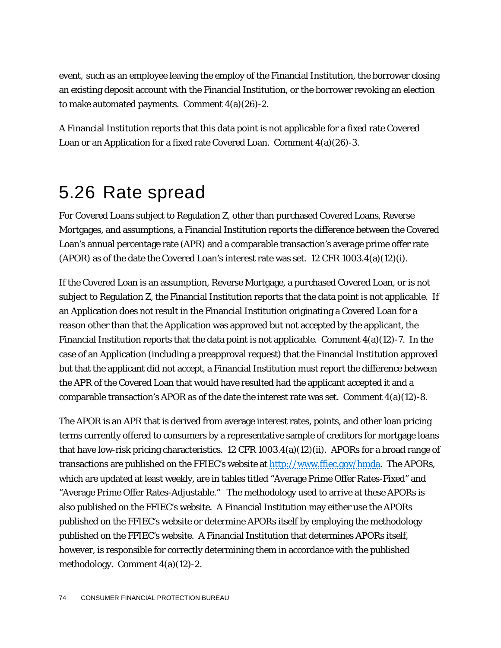event, such as an employee leaving the employ of the Financial Institution, the borrower closing an existing deposit account with the Financial Institution, or the borrower revoking an election to make automated payments. Comment 4(a)(26)-2.

A Financial Institution reports that this data point is not applicable for a fixed rate Covered Loan or an Application for a fixed rate Covered Loan. Comment 4(a)(26)-3.

## 5.26 Rate spread

For Covered Loans subject to Regulation Z, other than purchased Covered Loans, Reverse Mortgages, and assumptions, a Financial Institution reports the difference between the Covered Loan's annual percentage rate (APR) and a comparable transaction's average prime offer rate (APOR) as of the date the Covered Loan's interest rate was set. 12 CFR 1003.4(a)(12)(i).

If the Covered Loan is an assumption, Reverse Mortgage, a purchased Covered Loan, or is not subject to Regulation Z, the Financial Institution reports that the data point is not applicable. If an Application does not result in the Financial Institution originating a Covered Loan for a reason other than that the Application was approved but not accepted by the applicant, the Financial Institution reports that the data point is not applicable. Comment  $4(a)(12)$ -7. In the case of an Application (including a preapproval request) that the Financial Institution approved but that the applicant did not accept, a Financial Institution must report the difference between the APR of the Covered Loan that would have resulted had the applicant accepted it and a comparable transaction's APOR as of the date the interest rate was set. Comment  $4(a)(12)$ -8.

The APOR is an APR that is derived from average interest rates, points, and other loan pricing terms currently offered to consumers by a representative sample of creditors for mortgage loans that have low-risk pricing characteristics. 12 CFR  $1003.4(a)(12)(ii)$ . APORs for a broad range of transactions are published on the FFIEC's website at [http://www.ffiec.gov/hmda.](http://www.ffiec.gov/hmda) The APORs, which are updated at least weekly, are in tables titled "Average Prime Offer Rates-Fixed" and "Average Prime Offer Rates-Adjustable." The methodology used to arrive at these APORs is also published on the FFIEC's website. A Financial Institution may either use the APORs published on the FFIEC's website or determine APORs itself by employing the methodology published on the FFIEC's website. A Financial Institution that determines APORs itself, however, is responsible for correctly determining them in accordance with the published methodology. Comment 4(a)(12)-2.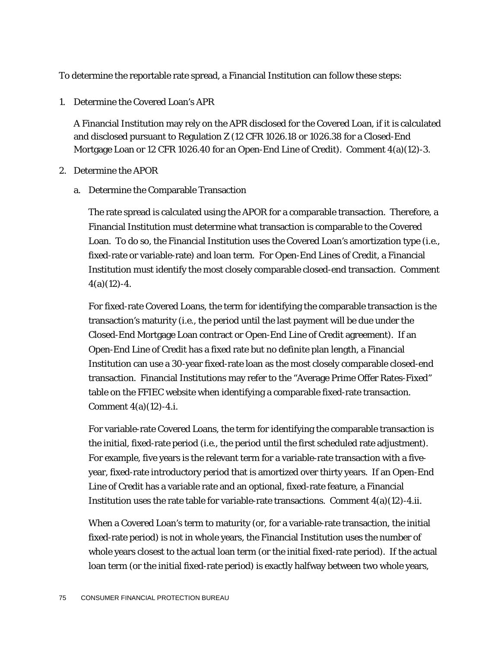To determine the reportable rate spread, a Financial Institution can follow these steps:

1. Determine the Covered Loan's APR

A Financial Institution may rely on the APR disclosed for the Covered Loan, if it is calculated and disclosed pursuant to Regulation Z (12 CFR 1026.18 or 1026.38 for a Closed-End Mortgage Loan or 12 CFR 1026.40 for an Open-End Line of Credit). Comment 4(a)(12)-3.

- 2. Determine the APOR
	- a. Determine the Comparable Transaction

The rate spread is calculated using the APOR for a comparable transaction. Therefore, a Financial Institution must determine what transaction is comparable to the Covered Loan. To do so, the Financial Institution uses the Covered Loan's amortization type (*i.e.*, fixed-rate or variable-rate) and loan term. For Open-End Lines of Credit, a Financial Institution must identify the most closely comparable closed-end transaction. Comment  $4(a)(12)-4.$ 

For fixed-rate Covered Loans, the term for identifying the comparable transaction is the transaction's maturity (*i.e*., the period until the last payment will be due under the Closed-End Mortgage Loan contract or Open-End Line of Credit agreement). If an Open-End Line of Credit has a fixed rate but no definite plan length, a Financial Institution can use a 30-year fixed-rate loan as the most closely comparable closed-end transaction. Financial Institutions may refer to the "Average Prime Offer Rates-Fixed" table on the FFIEC website when identifying a comparable fixed-rate transaction. Comment 4(a)(12)-4.i.

For variable-rate Covered Loans, the term for identifying the comparable transaction is the initial, fixed-rate period (*i.e*., the period until the first scheduled rate adjustment). For example, five years is the relevant term for a variable-rate transaction with a fiveyear, fixed-rate introductory period that is amortized over thirty years. If an Open-End Line of Credit has a variable rate and an optional, fixed-rate feature, a Financial Institution uses the rate table for variable-rate transactions. Comment  $4(a)(12)-4.$ ii.

When a Covered Loan's term to maturity (or, for a variable-rate transaction, the initial fixed-rate period) is not in whole years, the Financial Institution uses the number of whole years closest to the actual loan term (or the initial fixed-rate period). If the actual loan term (or the initial fixed-rate period) is exactly halfway between two whole years,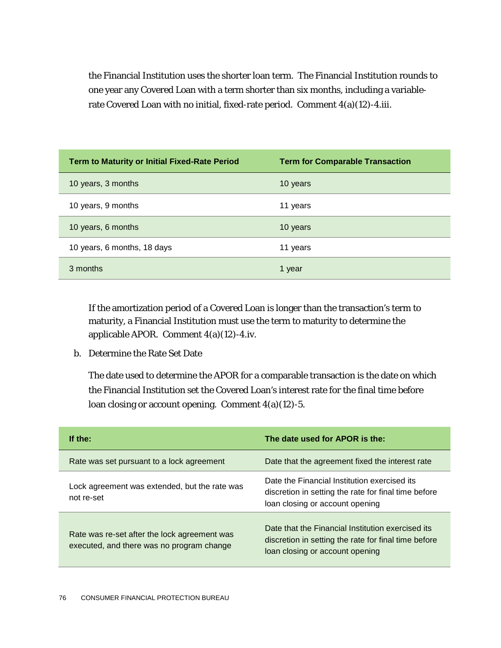the Financial Institution uses the shorter loan term. The Financial Institution rounds to one year any Covered Loan with a term shorter than six months, including a variablerate Covered Loan with no initial, fixed-rate period. Comment 4(a)(12)-4.iii.

| <b>Term to Maturity or Initial Fixed-Rate Period</b> | <b>Term for Comparable Transaction</b> |
|------------------------------------------------------|----------------------------------------|
| 10 years, 3 months                                   | 10 years                               |
| 10 years, 9 months                                   | 11 years                               |
| 10 years, 6 months                                   | 10 years                               |
| 10 years, 6 months, 18 days                          | 11 years                               |
| 3 months                                             | 1 year                                 |

If the amortization period of a Covered Loan is longer than the transaction's term to maturity, a Financial Institution must use the term to maturity to determine the applicable APOR. Comment 4(a)(12)-4.iv.

b. Determine the Rate Set Date

The date used to determine the APOR for a comparable transaction is the date on which the Financial Institution set the Covered Loan's interest rate for the final time before loan closing or account opening. Comment 4(a)(12)-5.

| If the:                                                                                   | The date used for APOR is the:                                                                                                               |
|-------------------------------------------------------------------------------------------|----------------------------------------------------------------------------------------------------------------------------------------------|
| Rate was set pursuant to a lock agreement                                                 | Date that the agreement fixed the interest rate                                                                                              |
| Lock agreement was extended, but the rate was<br>not re-set                               | Date the Financial Institution exercised its<br>discretion in setting the rate for final time before<br>loan closing or account opening      |
| Rate was re-set after the lock agreement was<br>executed, and there was no program change | Date that the Financial Institution exercised its<br>discretion in setting the rate for final time before<br>loan closing or account opening |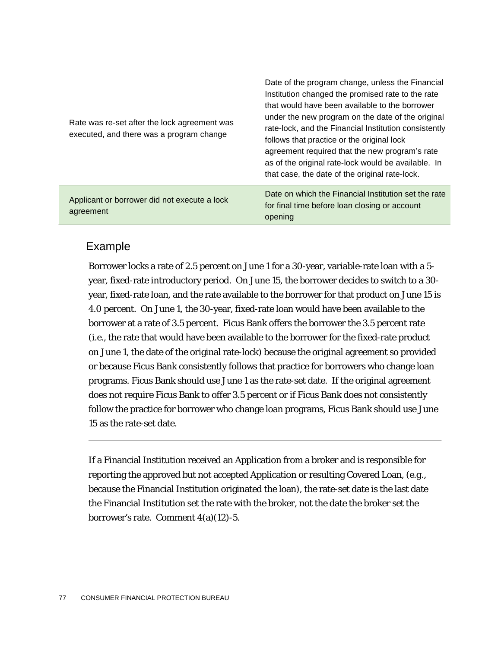| Applicant or borrower did not execute a lock<br>agreement                                | agreement required that the new program's rate<br>as of the original rate-lock would be available. In<br>that case, the date of the original rate-lock.<br>Date on which the Financial Institution set the rate<br>for final time before loan closing or account<br>opening                                         |
|------------------------------------------------------------------------------------------|---------------------------------------------------------------------------------------------------------------------------------------------------------------------------------------------------------------------------------------------------------------------------------------------------------------------|
| Rate was re-set after the lock agreement was<br>executed, and there was a program change | Date of the program change, unless the Financial<br>Institution changed the promised rate to the rate<br>that would have been available to the borrower<br>under the new program on the date of the original<br>rate-lock, and the Financial Institution consistently<br>follows that practice or the original lock |

#### Example

Borrower locks a rate of 2.5 percent on June 1 for a 30-year, variable-rate loan with a 5 year, fixed-rate introductory period. On June 15, the borrower decides to switch to a 30 year, fixed-rate loan, and the rate available to the borrower for that product on June 15 is 4.0 percent. On June 1, the 30-year, fixed-rate loan would have been available to the borrower at a rate of 3.5 percent. Ficus Bank offers the borrower the 3.5 percent rate (*i.e.*, the rate that would have been available to the borrower for the fixed-rate product on June 1, the date of the original rate-lock) because the original agreement so provided or because Ficus Bank consistently follows that practice for borrowers who change loan programs. Ficus Bank should use June 1 as the rate-set date. If the original agreement does not require Ficus Bank to offer 3.5 percent or if Ficus Bank does not consistently follow the practice for borrower who change loan programs, Ficus Bank should use June 15 as the rate-set date.

If a Financial Institution received an Application from a broker and is responsible for reporting the approved but not accepted Application or resulting Covered Loan, (*e.g*., because the Financial Institution originated the loan), the rate-set date is the last date the Financial Institution set the rate with the broker, not the date the broker set the borrower's rate. Comment  $4(a)(12)-5$ .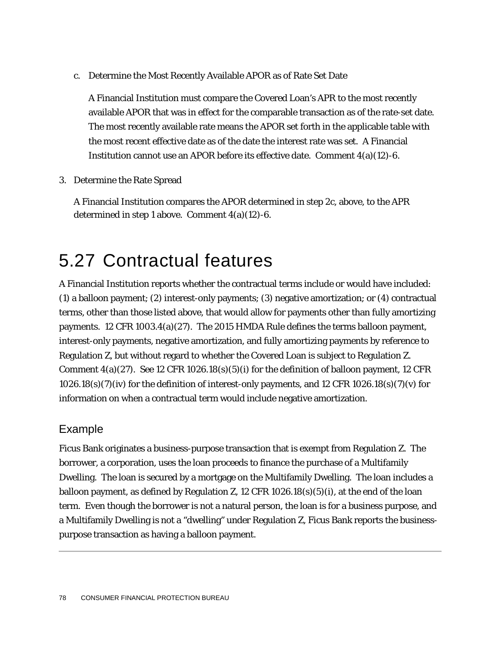c. Determine the Most Recently Available APOR as of Rate Set Date

A Financial Institution must compare the Covered Loan's APR to the most recently available APOR that was in effect for the comparable transaction as of the rate-set date. The most recently available rate means the APOR set forth in the applicable table with the most recent effective date as of the date the interest rate was set. A Financial Institution cannot use an APOR before its effective date. Comment  $4(a)(12)-6$ .

3. Determine the Rate Spread

A Financial Institution compares the APOR determined in step 2c, above, to the APR determined in step 1 above. Comment 4(a)(12)-6.

## 5.27 Contractual features

A Financial Institution reports whether the contractual terms include or would have included: (1) a balloon payment; (2) interest-only payments; (3) negative amortization; or (4) contractual terms, other than those listed above, that would allow for payments other than fully amortizing payments. 12 CFR 1003.4(a)(27). The 2015 HMDA Rule defines the terms balloon payment, interest-only payments, negative amortization, and fully amortizing payments by reference to Regulation Z, but without regard to whether the Covered Loan is subject to Regulation Z. Comment  $4(a)(27)$ . See 12 CFR 1026.18(s)(5)(i) for the definition of balloon payment, 12 CFR  $1026.18(s)(7)(iv)$  for the definition of interest-only payments, and 12 CFR  $1026.18(s)(7)(v)$  for information on when a contractual term would include negative amortization.

#### Example

Ficus Bank originates a business-purpose transaction that is exempt from Regulation Z. The borrower, a corporation, uses the loan proceeds to finance the purchase of a Multifamily Dwelling. The loan is secured by a mortgage on the Multifamily Dwelling. The loan includes a balloon payment, as defined by Regulation Z, 12 CFR  $1026.18(s)(5)(i)$ , at the end of the loan term. Even though the borrower is not a natural person, the loan is for a business purpose, and a Multifamily Dwelling is not a "dwelling" under Regulation Z, Ficus Bank reports the businesspurpose transaction as having a balloon payment.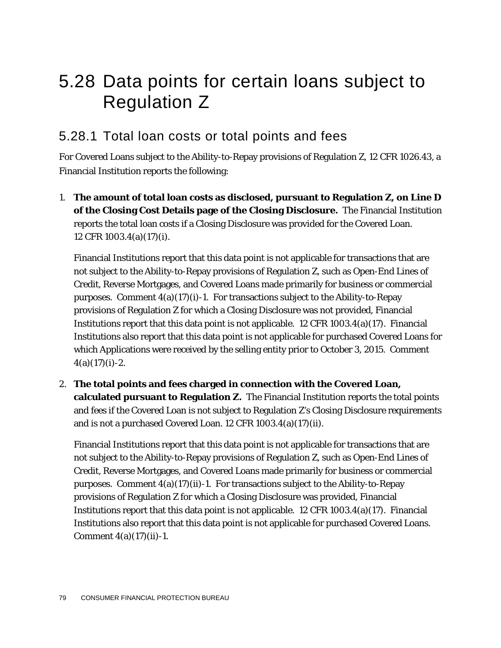## 5.28 Data points for certain loans subject to Regulation Z

#### 5.28.1 Total loan costs or total points and fees

For Covered Loans subject to the Ability-to-Repay provisions of Regulation Z, 12 CFR 1026.43, a Financial Institution reports the following:

1. **The amount of total loan costs as disclosed, pursuant to Regulation Z, on Line D of the Closing Cost Details page of the Closing Disclosure.** The Financial Institution reports the total loan costs if a Closing Disclosure was provided for the Covered Loan. 12 CFR 1003.4(a)(17)(i).

Financial Institutions report that this data point is not applicable for transactions that are not subject to the Ability-to-Repay provisions of Regulation Z, such as Open-End Lines of Credit, Reverse Mortgages, and Covered Loans made primarily for business or commercial purposes. Comment  $4(a)(17)(i)-1$ . For transactions subject to the Ability-to-Repay provisions of Regulation Z for which a Closing Disclosure was not provided, Financial Institutions report that this data point is not applicable. 12 CFR  $1003.4(a)(17)$ . Financial Institutions also report that this data point is not applicable for purchased Covered Loans for which Applications were received by the selling entity prior to October 3, 2015. Comment  $4(a)(17)(i)-2.$ 

2. **The total points and fees charged in connection with the Covered Loan, calculated pursuant to Regulation Z.** The Financial Institution reports the total points and fees if the Covered Loan is not subject to Regulation Z's Closing Disclosure requirements and is not a purchased Covered Loan. 12 CFR 1003.4(a)(17)(ii).

Financial Institutions report that this data point is not applicable for transactions that are not subject to the Ability-to-Repay provisions of Regulation Z, such as Open-End Lines of Credit, Reverse Mortgages, and Covered Loans made primarily for business or commercial purposes. Comment  $4(a)(17)(ii)$ -1. For transactions subject to the Ability-to-Repay provisions of Regulation Z for which a Closing Disclosure was provided, Financial Institutions report that this data point is not applicable. 12 CFR  $1003.4(a)(17)$ . Financial Institutions also report that this data point is not applicable for purchased Covered Loans. Comment  $4(a)(17)(ii) - 1$ .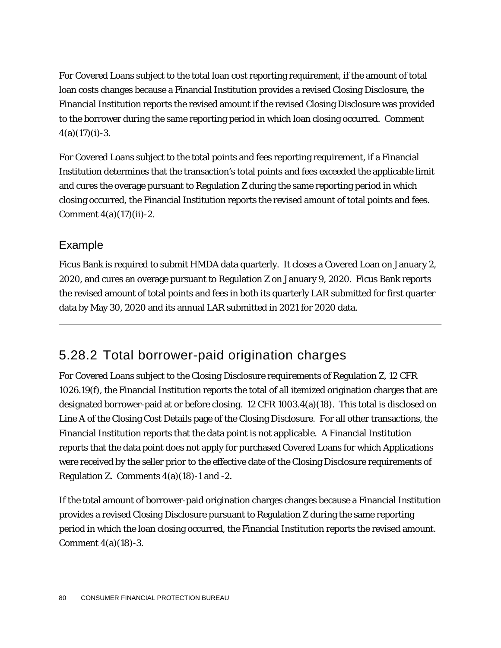For Covered Loans subject to the total loan cost reporting requirement, if the amount of total loan costs changes because a Financial Institution provides a revised Closing Disclosure, the Financial Institution reports the revised amount if the revised Closing Disclosure was provided to the borrower during the same reporting period in which loan closing occurred. Comment  $4(a)(17)(i) - 3.$ 

For Covered Loans subject to the total points and fees reporting requirement, if a Financial Institution determines that the transaction's total points and fees exceeded the applicable limit and cures the overage pursuant to Regulation Z during the same reporting period in which closing occurred, the Financial Institution reports the revised amount of total points and fees. Comment  $4(a)(17)(ii) - 2$ .

#### Example

Ficus Bank is required to submit HMDA data quarterly. It closes a Covered Loan on January 2, 2020, and cures an overage pursuant to Regulation Z on January 9, 2020. Ficus Bank reports the revised amount of total points and fees in both its quarterly LAR submitted for first quarter data by May 30, 2020 and its annual LAR submitted in 2021 for 2020 data.

#### 5.28.2 Total borrower-paid origination charges

For Covered Loans subject to the Closing Disclosure requirements of Regulation Z, 12 CFR 1026.19(f), the Financial Institution reports the total of all itemized origination charges that are designated borrower-paid at or before closing. 12 CFR 1003.4(a)(18). This total is disclosed on Line A of the Closing Cost Details page of the Closing Disclosure. For all other transactions, the Financial Institution reports that the data point is not applicable. A Financial Institution reports that the data point does not apply for purchased Covered Loans for which Applications were received by the seller prior to the effective date of the Closing Disclosure requirements of Regulation Z. Comments  $4(a)(18)-1$  and  $-2$ .

If the total amount of borrower-paid origination charges changes because a Financial Institution provides a revised Closing Disclosure pursuant to Regulation Z during the same reporting period in which the loan closing occurred, the Financial Institution reports the revised amount. Comment 4(a)(18)-3.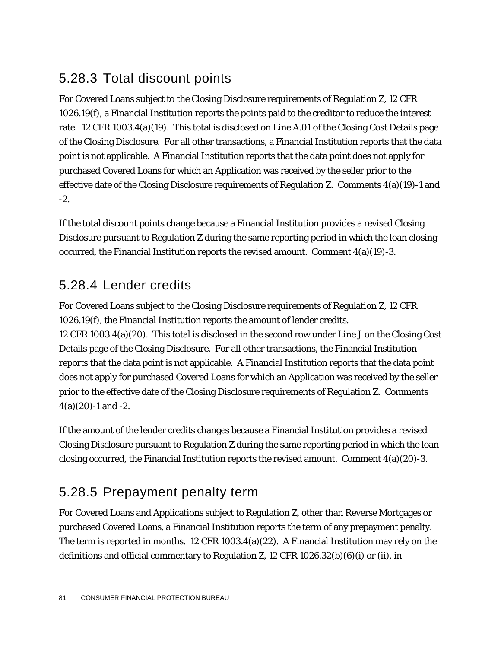#### 5.28.3 Total discount points

For Covered Loans subject to the Closing Disclosure requirements of Regulation Z, 12 CFR 1026.19(f), a Financial Institution reports the points paid to the creditor to reduce the interest rate. 12 CFR 1003.4(a)(19). This total is disclosed on Line A.01 of the Closing Cost Details page of the Closing Disclosure. For all other transactions, a Financial Institution reports that the data point is not applicable. A Financial Institution reports that the data point does not apply for purchased Covered Loans for which an Application was received by the seller prior to the effective date of the Closing Disclosure requirements of Regulation Z. Comments 4(a)(19)-1 and -2.

If the total discount points change because a Financial Institution provides a revised Closing Disclosure pursuant to Regulation Z during the same reporting period in which the loan closing occurred, the Financial Institution reports the revised amount. Comment  $4(a)(19)-3$ .

#### 5.28.4 Lender credits

For Covered Loans subject to the Closing Disclosure requirements of Regulation Z, 12 CFR 1026.19(f), the Financial Institution reports the amount of lender credits. 12 CFR 1003.4(a)(20). This total is disclosed in the second row under Line J on the Closing Cost Details page of the Closing Disclosure. For all other transactions, the Financial Institution reports that the data point is not applicable. A Financial Institution reports that the data point does not apply for purchased Covered Loans for which an Application was received by the seller prior to the effective date of the Closing Disclosure requirements of Regulation Z. Comments  $4(a)(20) - 1$  and  $-2$ .

If the amount of the lender credits changes because a Financial Institution provides a revised Closing Disclosure pursuant to Regulation Z during the same reporting period in which the loan closing occurred, the Financial Institution reports the revised amount. Comment  $4(a)(20)$ -3.

### 5.28.5 Prepayment penalty term

For Covered Loans and Applications subject to Regulation Z, other than Reverse Mortgages or purchased Covered Loans, a Financial Institution reports the term of any prepayment penalty. The term is reported in months. 12 CFR 1003.4(a)(22). A Financial Institution may rely on the definitions and official commentary to Regulation Z, 12 CFR  $1026.32(b)(6)(i)$  or (ii), in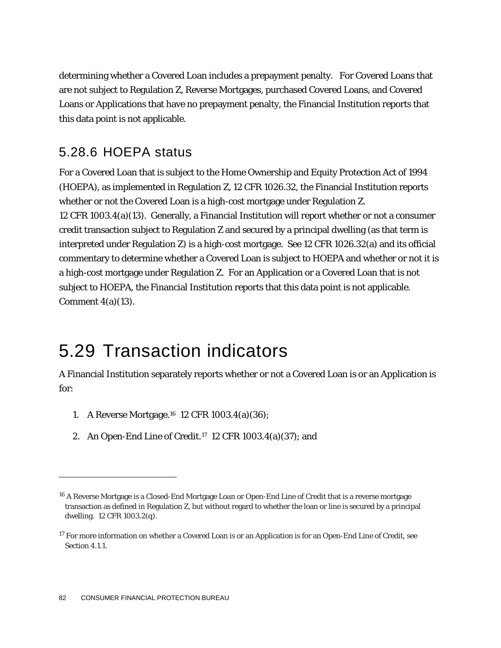determining whether a Covered Loan includes a prepayment penalty. For Covered Loans that are not subject to Regulation Z, Reverse Mortgages, purchased Covered Loans, and Covered Loans or Applications that have no prepayment penalty, the Financial Institution reports that this data point is not applicable.

#### 5.28.6 HOEPA status

For a Covered Loan that is subject to the Home Ownership and Equity Protection Act of 1994 (HOEPA), as implemented in Regulation Z, 12 CFR 1026.32, the Financial Institution reports whether or not the Covered Loan is a high-cost mortgage under Regulation Z. 12 CFR 1003.4(a)(13). Generally, a Financial Institution will report whether or not a consumer credit transaction subject to Regulation Z and secured by a principal dwelling (as that term is interpreted under Regulation Z) is a high-cost mortgage. See 12 CFR 1026.32(a) and its official commentary to determine whether a Covered Loan is subject to HOEPA and whether or not it is a high-cost mortgage under Regulation Z. For an Application or a Covered Loan that is not subject to HOEPA, the Financial Institution reports that this data point is not applicable. Comment  $4(a)(13)$ .

## 5.29 Transaction indicators

A Financial Institution separately reports whether or not a Covered Loan is or an Application is for:

- 1. A Reverse Mortgage.[16](#page-82-0) 12 CFR 1003.4(a)(36);
- 2. An Open-End Line of Credit.[17](#page-82-1) 12 CFR 1003.4(a)(37); and

1

<span id="page-82-0"></span><sup>16</sup> A Reverse Mortgage is a Closed-End Mortgage Loan or Open-End Line of Credit that is a reverse mortgage transaction as defined in Regulation Z, but without regard to whether the loan or line is secured by a principal dwelling. 12 CFR 1003.2(q).

<span id="page-82-1"></span><sup>&</sup>lt;sup>17</sup> For more information on whether a Covered Loan is or an Application is for an Open-End Line of Credit, see Section 4.1.1.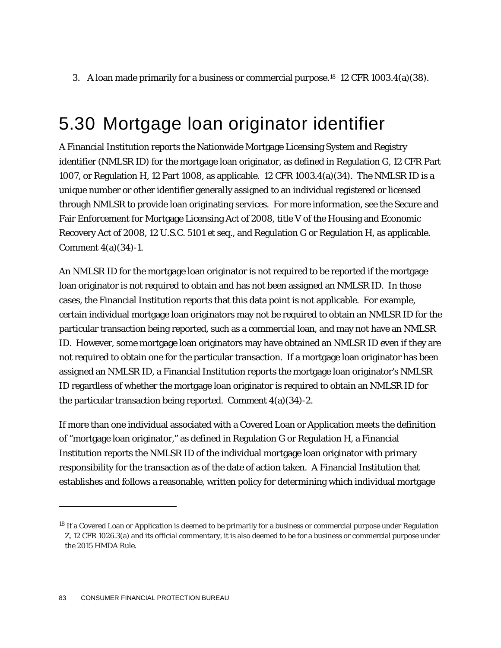3. A loan made primarily for a business or commercial purpose.<sup>[18](#page-83-0)</sup> 12 CFR 1003.4(a)(38).

## 5.30 Mortgage loan originator identifier

A Financial Institution reports the Nationwide Mortgage Licensing System and Registry identifier (NMLSR ID) for the mortgage loan originator, as defined in Regulation G, 12 CFR Part 1007, or Regulation H, 12 Part 1008, as applicable. 12 CFR 1003.4(a)(34). The NMLSR ID is a unique number or other identifier generally assigned to an individual registered or licensed through NMLSR to provide loan originating services. For more information, see the Secure and Fair Enforcement for Mortgage Licensing Act of 2008, title V of the Housing and Economic Recovery Act of 2008, 12 U.S.C. 5101 *et seq.*, and Regulation G or Regulation H, as applicable. Comment 4(a)(34)-1.

An NMLSR ID for the mortgage loan originator is not required to be reported if the mortgage loan originator is not required to obtain and has not been assigned an NMLSR ID. In those cases, the Financial Institution reports that this data point is not applicable. For example, certain individual mortgage loan originators may not be required to obtain an NMLSR ID for the particular transaction being reported, such as a commercial loan, and may not have an NMLSR ID. However, some mortgage loan originators may have obtained an NMLSR ID even if they are not required to obtain one for the particular transaction. If a mortgage loan originator has been assigned an NMLSR ID, a Financial Institution reports the mortgage loan originator's NMLSR ID regardless of whether the mortgage loan originator is required to obtain an NMLSR ID for the particular transaction being reported. Comment 4(a)(34)-2.

If more than one individual associated with a Covered Loan or Application meets the definition of "mortgage loan originator," as defined in Regulation G or Regulation H, a Financial Institution reports the NMLSR ID of the individual mortgage loan originator with primary responsibility for the transaction as of the date of action taken. A Financial Institution that establishes and follows a reasonable, written policy for determining which individual mortgage

1

<span id="page-83-0"></span><sup>&</sup>lt;sup>18</sup> If a Covered Loan or Application is deemed to be primarily for a business or commercial purpose under Regulation Z, 12 CFR 1026.3(a) and its official commentary, it is also deemed to be for a business or commercial purpose under the 2015 HMDA Rule.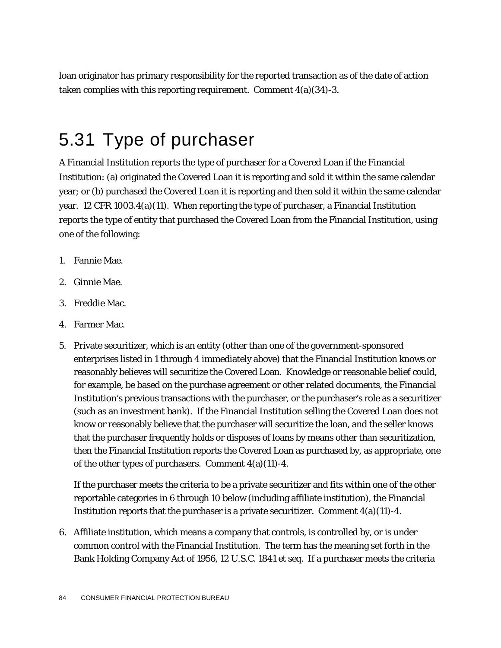loan originator has primary responsibility for the reported transaction as of the date of action taken complies with this reporting requirement. Comment 4(a)(34)-3.

## 5.31 Type of purchaser

A Financial Institution reports the type of purchaser for a Covered Loan if the Financial Institution: (a) originated the Covered Loan it is reporting and sold it within the same calendar year; or (b) purchased the Covered Loan it is reporting and then sold it within the same calendar year. 12 CFR 1003.4(a)(11). When reporting the type of purchaser, a Financial Institution reports the type of entity that purchased the Covered Loan from the Financial Institution, using one of the following:

- 1. Fannie Mae.
- 2. Ginnie Mae.
- 3. Freddie Mac.
- 4. Farmer Mac.
- 5. Private securitizer, which is an entity (other than one of the government-sponsored enterprises listed in 1 through 4 immediately above) that the Financial Institution knows or reasonably believes will securitize the Covered Loan. Knowledge or reasonable belief could, for example, be based on the purchase agreement or other related documents, the Financial Institution's previous transactions with the purchaser, or the purchaser's role as a securitizer (such as an investment bank). If the Financial Institution selling the Covered Loan does not know or reasonably believe that the purchaser will securitize the loan, and the seller knows that the purchaser frequently holds or disposes of loans by means other than securitization, then the Financial Institution reports the Covered Loan as purchased by, as appropriate, one of the other types of purchasers. Comment  $4(a)(11)-4$ .

If the purchaser meets the criteria to be a private securitizer and fits within one of the other reportable categories in 6 through 10 below (including affiliate institution), the Financial Institution reports that the purchaser is a private securitizer. Comment  $4(a)(11)-4$ .

6. Affiliate institution, which means a company that controls, is controlled by, or is under common control with the Financial Institution. The term has the meaning set forth in the Bank Holding Company Act of 1956, 12 U.S.C. 1841 *et seq*. If a purchaser meets the criteria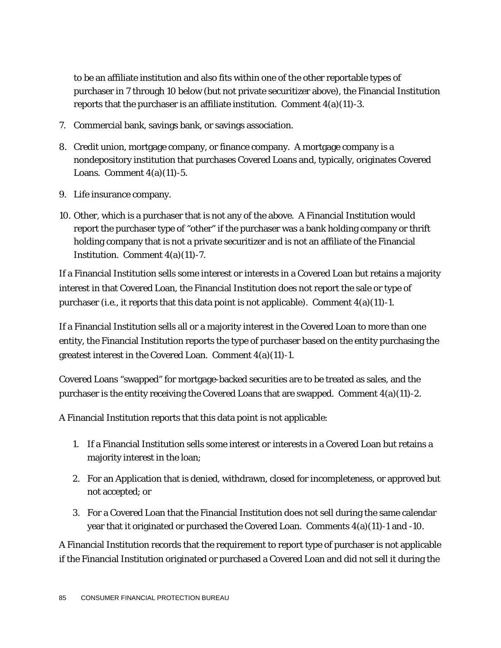to be an affiliate institution and also fits within one of the other reportable types of purchaser in 7 through 10 below (but not private securitizer above), the Financial Institution reports that the purchaser is an affiliate institution. Comment  $4(a)(11)-3$ .

- 7. Commercial bank, savings bank, or savings association.
- 8. Credit union, mortgage company, or finance company. A mortgage company is a nondepository institution that purchases Covered Loans and, typically, originates Covered Loans. Comment  $4(a)(11)-5$ .
- 9. Life insurance company.
- 10. Other, which is a purchaser that is not any of the above. A Financial Institution would report the purchaser type of "other" if the purchaser was a bank holding company or thrift holding company that is not a private securitizer and is not an affiliate of the Financial Institution. Comment 4(a)(11)-7.

If a Financial Institution sells some interest or interests in a Covered Loan but retains a majority interest in that Covered Loan, the Financial Institution does not report the sale or type of purchaser (*i.e.*, it reports that this data point is not applicable). Comment 4(a)(11)-1.

If a Financial Institution sells all or a majority interest in the Covered Loan to more than one entity, the Financial Institution reports the type of purchaser based on the entity purchasing the greatest interest in the Covered Loan. Comment 4(a)(11)-1.

Covered Loans "swapped" for mortgage-backed securities are to be treated as sales, and the purchaser is the entity receiving the Covered Loans that are swapped. Comment  $4(a)(11)-2$ .

A Financial Institution reports that this data point is not applicable:

- 1. If a Financial Institution sells some interest or interests in a Covered Loan but retains a majority interest in the loan;
- 2. For an Application that is denied, withdrawn, closed for incompleteness, or approved but not accepted; or
- 3. For a Covered Loan that the Financial Institution does not sell during the same calendar year that it originated or purchased the Covered Loan. Comments 4(a)(11)-1 and -10.

A Financial Institution records that the requirement to report type of purchaser is not applicable if the Financial Institution originated or purchased a Covered Loan and did not sell it during the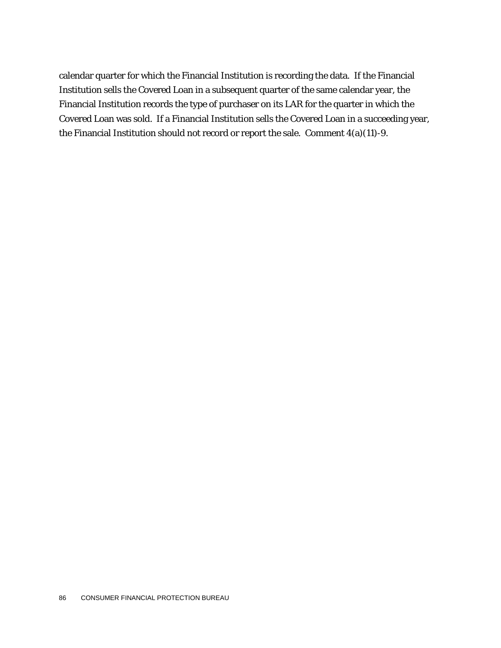calendar quarter for which the Financial Institution is recording the data. If the Financial Institution sells the Covered Loan in a subsequent quarter of the same calendar year, the Financial Institution records the type of purchaser on its LAR for the quarter in which the Covered Loan was sold. If a Financial Institution sells the Covered Loan in a succeeding year, the Financial Institution should not record or report the sale. Comment 4(a)(11)-9.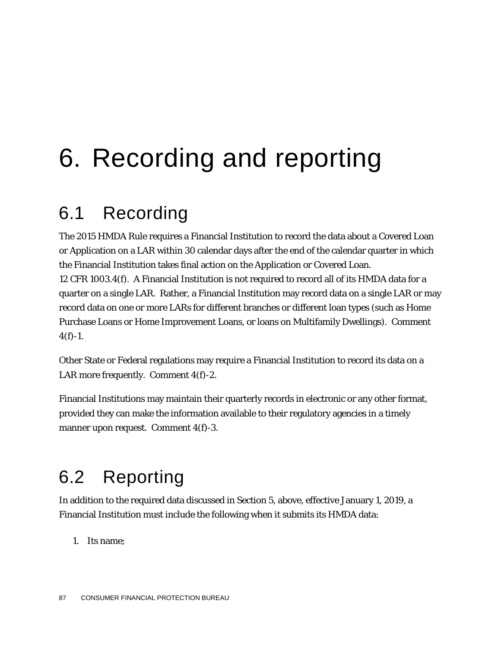# 6. Recording and reporting

## 6.1 Recording

The 2015 HMDA Rule requires a Financial Institution to record the data about a Covered Loan or Application on a LAR within 30 calendar days after the end of the calendar quarter in which the Financial Institution takes final action on the Application or Covered Loan. 12 CFR 1003.4(f). A Financial Institution is not required to record all of its HMDA data for a quarter on a single LAR. Rather, a Financial Institution may record data on a single LAR or may record data on one or more LARs for different branches or different loan types (such as Home Purchase Loans or Home Improvement Loans, or loans on Multifamily Dwellings). Comment  $4(f) - 1$ .

Other State or Federal regulations may require a Financial Institution to record its data on a LAR more frequently. Comment 4(f)-2.

Financial Institutions may maintain their quarterly records in electronic or any other format, provided they can make the information available to their regulatory agencies in a timely manner upon request. Comment 4(f)-3.

## 6.2 Reporting

In addition to the required data discussed in Section 5, above, effective January 1, 2019, a Financial Institution must include the following when it submits its HMDA data:

1. Its name;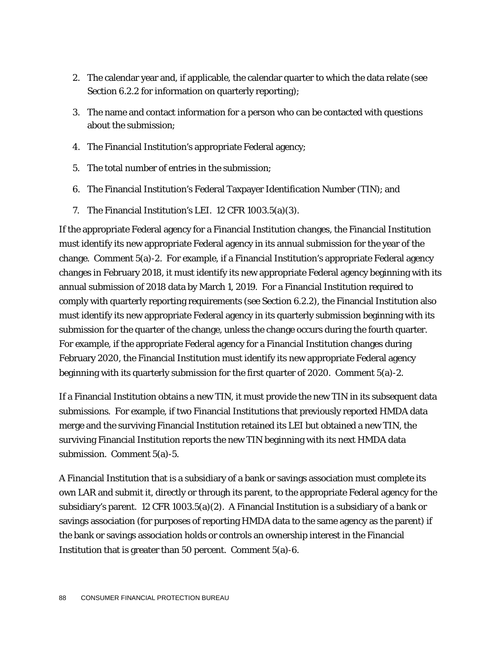- 2. The calendar year and, if applicable, the calendar quarter to which the data relate (see Section 6.2.2 for information on quarterly reporting);
- 3. The name and contact information for a person who can be contacted with questions about the submission;
- 4. The Financial Institution's appropriate Federal agency;
- 5. The total number of entries in the submission;
- 6. The Financial Institution's Federal Taxpayer Identification Number (TIN); and
- 7. The Financial Institution's LEI. 12 CFR 1003.5(a)(3).

If the appropriate Federal agency for a Financial Institution changes, the Financial Institution must identify its new appropriate Federal agency in its annual submission for the year of the change. Comment 5(a)-2. For example, if a Financial Institution's appropriate Federal agency changes in February 2018, it must identify its new appropriate Federal agency beginning with its annual submission of 2018 data by March 1, 2019. For a Financial Institution required to comply with quarterly reporting requirements (see Section 6.2.2), the Financial Institution also must identify its new appropriate Federal agency in its quarterly submission beginning with its submission for the quarter of the change, unless the change occurs during the fourth quarter. For example, if the appropriate Federal agency for a Financial Institution changes during February 2020, the Financial Institution must identify its new appropriate Federal agency beginning with its quarterly submission for the first quarter of 2020. Comment 5(a)-2.

If a Financial Institution obtains a new TIN, it must provide the new TIN in its subsequent data submissions. For example, if two Financial Institutions that previously reported HMDA data merge and the surviving Financial Institution retained its LEI but obtained a new TIN, the surviving Financial Institution reports the new TIN beginning with its next HMDA data submission. Comment 5(a)-5.

A Financial Institution that is a subsidiary of a bank or savings association must complete its own LAR and submit it, directly or through its parent, to the appropriate Federal agency for the subsidiary's parent. 12 CFR 1003.5(a)(2). A Financial Institution is a subsidiary of a bank or savings association (for purposes of reporting HMDA data to the same agency as the parent) if the bank or savings association holds or controls an ownership interest in the Financial Institution that is greater than 50 percent. Comment 5(a)-6.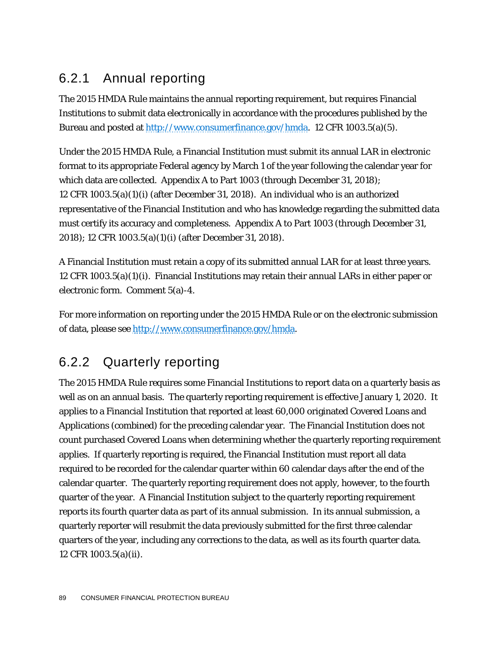#### 6.2.1 Annual reporting

The 2015 HMDA Rule maintains the annual reporting requirement, but requires Financial Institutions to submit data electronically in accordance with the procedures published by the Bureau and posted at [http://www.consumerfinance.gov/hmda.](http://www.consumerfinance.gov/hmda) 12 CFR 1003.5(a)(5).

Under the 2015 HMDA Rule, a Financial Institution must submit its annual LAR in electronic format to its appropriate Federal agency by March 1 of the year following the calendar year for which data are collected. Appendix A to Part 1003 (through December 31, 2018); 12 CFR 1003.5(a)(1)(i) (after December 31, 2018). An individual who is an authorized representative of the Financial Institution and who has knowledge regarding the submitted data must certify its accuracy and completeness. Appendix A to Part 1003 (through December 31, 2018); 12 CFR 1003.5(a)(1)(i) (after December 31, 2018).

A Financial Institution must retain a copy of its submitted annual LAR for at least three years. 12 CFR 1003.5(a)(1)(i). Financial Institutions may retain their annual LARs in either paper or electronic form. Comment 5(a)-4.

For more information on reporting under the 2015 HMDA Rule or on the electronic submission of data, please see [http://www.consumerfinance.gov/hmda.](http://www.consumerfinance.gov/hmda)

### 6.2.2 Quarterly reporting

The 2015 HMDA Rule requires some Financial Institutions to report data on a quarterly basis as well as on an annual basis. The quarterly reporting requirement is effective January 1, 2020. It applies to a Financial Institution that reported at least 60,000 originated Covered Loans and Applications (combined) for the preceding calendar year. The Financial Institution does not count purchased Covered Loans when determining whether the quarterly reporting requirement applies. If quarterly reporting is required, the Financial Institution must report all data required to be recorded for the calendar quarter within 60 calendar days after the end of the calendar quarter. The quarterly reporting requirement does not apply, however, to the fourth quarter of the year. A Financial Institution subject to the quarterly reporting requirement reports its fourth quarter data as part of its annual submission. In its annual submission, a quarterly reporter will resubmit the data previously submitted for the first three calendar quarters of the year, including any corrections to the data, as well as its fourth quarter data. 12 CFR 1003.5(a)(ii).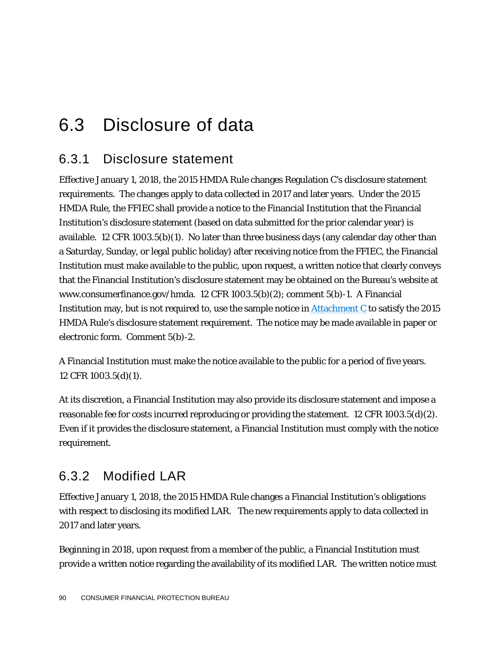## 6.3 Disclosure of data

#### 6.3.1 Disclosure statement

Effective January 1, 2018, the 2015 HMDA Rule changes Regulation C's disclosure statement requirements. The changes apply to data collected in 2017 and later years. Under the 2015 HMDA Rule, the FFIEC shall provide a notice to the Financial Institution that the Financial Institution's disclosure statement (based on data submitted for the prior calendar year) is available. 12 CFR 1003.5(b)(1). No later than three business days (any calendar day other than a Saturday, Sunday, or legal public holiday) after receiving notice from the FFIEC, the Financial Institution must make available to the public, upon request, a written notice that clearly conveys that the Financial Institution's disclosure statement may be obtained on the Bureau's website at www.consumerfinance.gov/hmda. 12 CFR 1003.5(b)(2); comment 5(b)-1. A Financial Institution may, but is not required to, use the sample notice in  $\frac{Attention}{distance}$  to satisfy the 2015 HMDA Rule's disclosure statement requirement. The notice may be made available in paper or electronic form. Comment 5(b)-2.

A Financial Institution must make the notice available to the public for a period of five years. 12 CFR 1003.5(d)(1).

At its discretion, a Financial Institution may also provide its disclosure statement and impose a reasonable fee for costs incurred reproducing or providing the statement. 12 CFR 1003.5(d)(2). Even if it provides the disclosure statement, a Financial Institution must comply with the notice requirement.

#### 6.3.2 Modified LAR

Effective January 1, 2018, the 2015 HMDA Rule changes a Financial Institution's obligations with respect to disclosing its modified LAR. The new requirements apply to data collected in 2017 and later years.

Beginning in 2018, upon request from a member of the public, a Financial Institution must provide a written notice regarding the availability of its modified LAR. The written notice must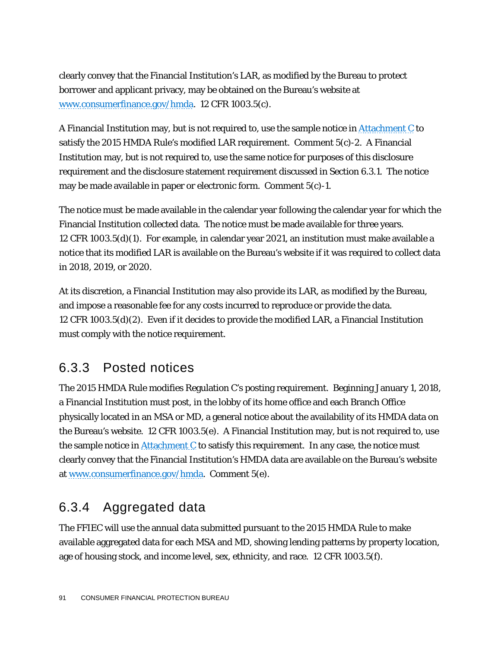clearly convey that the Financial Institution's LAR, as modified by the Bureau to protect borrower and applicant privacy, may be obtained on the Bureau's website at [www.consumerfinance.gov/hmda.](http://www.consumerfinance.gov/hmda) 12 CFR 1003.5(c).

A Financial Institution may, but is not required to, use the sample notice in <u>Attachment C</u> to satisfy the 2015 HMDA Rule's modified LAR requirement. Comment 5(c)-2. A Financial Institution may, but is not required to, use the same notice for purposes of this disclosure requirement and the disclosure statement requirement discussed in Section 6.3.1. The notice may be made available in paper or electronic form. Comment 5(c)-1.

The notice must be made available in the calendar year following the calendar year for which the Financial Institution collected data. The notice must be made available for three years. 12 CFR 1003.5(d)(1). For example, in calendar year 2021, an institution must make available a notice that its modified LAR is available on the Bureau's website if it was required to collect data in 2018, 2019, or 2020.

At its discretion, a Financial Institution may also provide its LAR, as modified by the Bureau, and impose a reasonable fee for any costs incurred to reproduce or provide the data. 12 CFR 1003.5(d)(2). Even if it decides to provide the modified LAR, a Financial Institution must comply with the notice requirement.

#### 6.3.3 Posted notices

The 2015 HMDA Rule modifies Regulation C's posting requirement. Beginning January 1, 2018, a Financial Institution must post, in the lobby of its home office and each Branch Office physically located in an MSA or MD, a general notice about the availability of its HMDA data on the Bureau's website. 12 CFR 1003.5(e). A Financial Institution may, but is not required to, use the sample notice in  $Attachment C$  to satisfy this requirement. In any case, the notice must</u> clearly convey that the Financial Institution's HMDA data are available on the Bureau's website at [www.consumerfinance.gov/hmda.](http://www.consumerfinance.gov/hmda) Comment 5(e).

#### 6.3.4 Aggregated data

The FFIEC will use the annual data submitted pursuant to the 2015 HMDA Rule to make available aggregated data for each MSA and MD, showing lending patterns by property location, age of housing stock, and income level, sex, ethnicity, and race. 12 CFR 1003.5(f).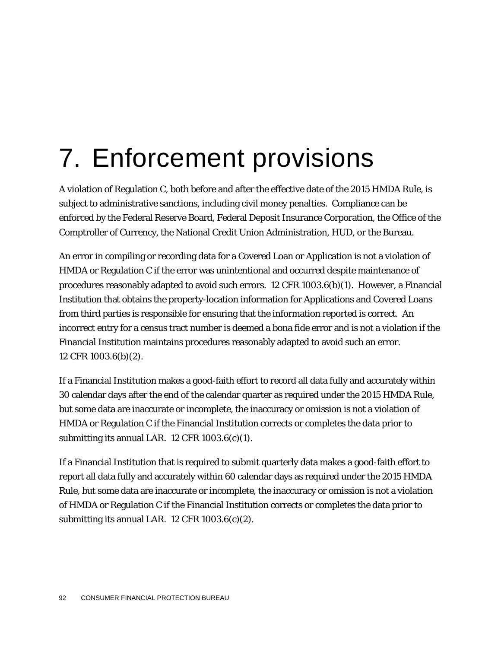# 7. Enforcement provisions

A violation of Regulation C, both before and after the effective date of the 2015 HMDA Rule, is subject to administrative sanctions, including civil money penalties. Compliance can be enforced by the Federal Reserve Board, Federal Deposit Insurance Corporation, the Office of the Comptroller of Currency, the National Credit Union Administration, HUD, or the Bureau.

An error in compiling or recording data for a Covered Loan or Application is not a violation of HMDA or Regulation C if the error was unintentional and occurred despite maintenance of procedures reasonably adapted to avoid such errors. 12 CFR 1003.6(b)(1). However, a Financial Institution that obtains the property-location information for Applications and Covered Loans from third parties is responsible for ensuring that the information reported is correct. An incorrect entry for a census tract number is deemed a bona fide error and is not a violation if the Financial Institution maintains procedures reasonably adapted to avoid such an error. 12 CFR 1003.6(b)(2).

If a Financial Institution makes a good-faith effort to record all data fully and accurately within 30 calendar days after the end of the calendar quarter as required under the 2015 HMDA Rule, but some data are inaccurate or incomplete, the inaccuracy or omission is not a violation of HMDA or Regulation C if the Financial Institution corrects or completes the data prior to submitting its annual LAR. 12 CFR 1003.6(c)(1).

If a Financial Institution that is required to submit quarterly data makes a good-faith effort to report all data fully and accurately within 60 calendar days as required under the 2015 HMDA Rule, but some data are inaccurate or incomplete, the inaccuracy or omission is not a violation of HMDA or Regulation C if the Financial Institution corrects or completes the data prior to submitting its annual LAR. 12 CFR 1003.6(c)(2).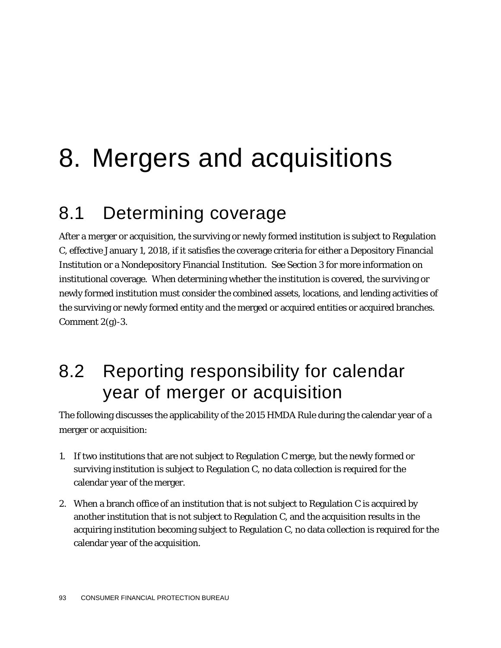# 8. Mergers and acquisitions

## 8.1 Determining coverage

After a merger or acquisition, the surviving or newly formed institution is subject to Regulation C, effective January 1, 2018, if it satisfies the coverage criteria for either a Depository Financial Institution or a Nondepository Financial Institution. See Section 3 for more information on institutional coverage. When determining whether the institution is covered, the surviving or newly formed institution must consider the combined assets, locations, and lending activities of the surviving or newly formed entity and the merged or acquired entities or acquired branches. Comment  $2(g)$ -3.

## 8.2 Reporting responsibility for calendar year of merger or acquisition

The following discusses the applicability of the 2015 HMDA Rule during the calendar year of a merger or acquisition:

- 1. If two institutions that are not subject to Regulation C merge, but the newly formed or surviving institution is subject to Regulation C, no data collection is required for the calendar year of the merger.
- 2. When a branch office of an institution that is not subject to Regulation C is acquired by another institution that is not subject to Regulation C, and the acquisition results in the acquiring institution becoming subject to Regulation C, no data collection is required for the calendar year of the acquisition.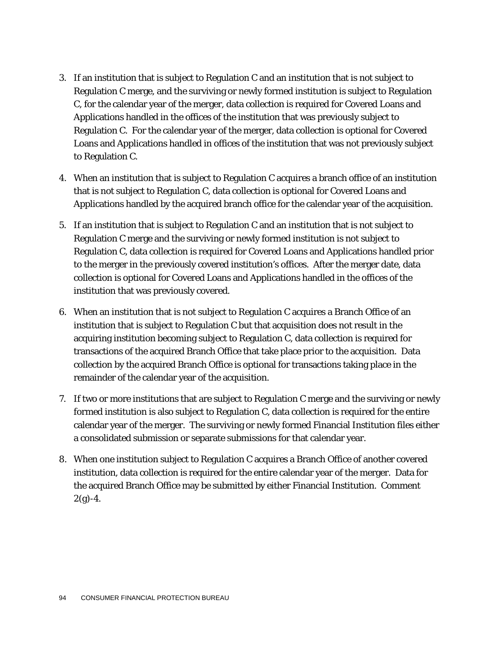- 3. If an institution that is subject to Regulation C and an institution that is not subject to Regulation C merge, and the surviving or newly formed institution is subject to Regulation C, for the calendar year of the merger, data collection is required for Covered Loans and Applications handled in the offices of the institution that was previously subject to Regulation C. For the calendar year of the merger, data collection is optional for Covered Loans and Applications handled in offices of the institution that was not previously subject to Regulation C.
- 4. When an institution that is subject to Regulation C acquires a branch office of an institution that is not subject to Regulation C, data collection is optional for Covered Loans and Applications handled by the acquired branch office for the calendar year of the acquisition.
- 5. If an institution that is subject to Regulation C and an institution that is not subject to Regulation C merge and the surviving or newly formed institution is not subject to Regulation C, data collection is required for Covered Loans and Applications handled prior to the merger in the previously covered institution's offices. After the merger date, data collection is optional for Covered Loans and Applications handled in the offices of the institution that was previously covered.
- 6. When an institution that is not subject to Regulation C acquires a Branch Office of an institution that is subject to Regulation C but that acquisition does not result in the acquiring institution becoming subject to Regulation C, data collection is required for transactions of the acquired Branch Office that take place prior to the acquisition. Data collection by the acquired Branch Office is optional for transactions taking place in the remainder of the calendar year of the acquisition.
- 7. If two or more institutions that are subject to Regulation C merge and the surviving or newly formed institution is also subject to Regulation C, data collection is required for the entire calendar year of the merger. The surviving or newly formed Financial Institution files either a consolidated submission or separate submissions for that calendar year.
- 8. When one institution subject to Regulation C acquires a Branch Office of another covered institution, data collection is required for the entire calendar year of the merger. Data for the acquired Branch Office may be submitted by either Financial Institution. Comment  $2(g)-4.$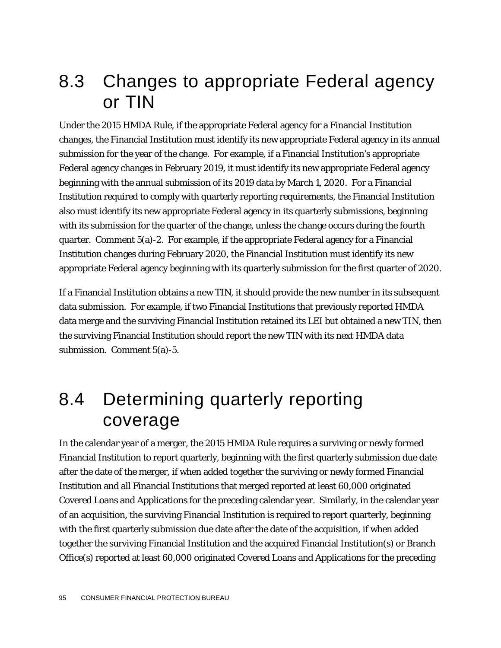## 8.3 Changes to appropriate Federal agency or TIN

Under the 2015 HMDA Rule, if the appropriate Federal agency for a Financial Institution changes, the Financial Institution must identify its new appropriate Federal agency in its annual submission for the year of the change. For example, if a Financial Institution's appropriate Federal agency changes in February 2019, it must identify its new appropriate Federal agency beginning with the annual submission of its 2019 data by March 1, 2020. For a Financial Institution required to comply with quarterly reporting requirements, the Financial Institution also must identify its new appropriate Federal agency in its quarterly submissions, beginning with its submission for the quarter of the change, unless the change occurs during the fourth quarter. Comment 5(a)-2. For example, if the appropriate Federal agency for a Financial Institution changes during February 2020, the Financial Institution must identify its new appropriate Federal agency beginning with its quarterly submission for the first quarter of 2020.

If a Financial Institution obtains a new TIN, it should provide the new number in its subsequent data submission. For example, if two Financial Institutions that previously reported HMDA data merge and the surviving Financial Institution retained its LEI but obtained a new TIN, then the surviving Financial Institution should report the new TIN with its next HMDA data submission. Comment 5(a)-5.

## 8.4 Determining quarterly reporting coverage

In the calendar year of a merger, the 2015 HMDA Rule requires a surviving or newly formed Financial Institution to report quarterly, beginning with the first quarterly submission due date after the date of the merger, if when added together the surviving or newly formed Financial Institution and all Financial Institutions that merged reported at least 60,000 originated Covered Loans and Applications for the preceding calendar year. Similarly, in the calendar year of an acquisition, the surviving Financial Institution is required to report quarterly, beginning with the first quarterly submission due date after the date of the acquisition, if when added together the surviving Financial Institution and the acquired Financial Institution(s) or Branch Office(s) reported at least 60,000 originated Covered Loans and Applications for the preceding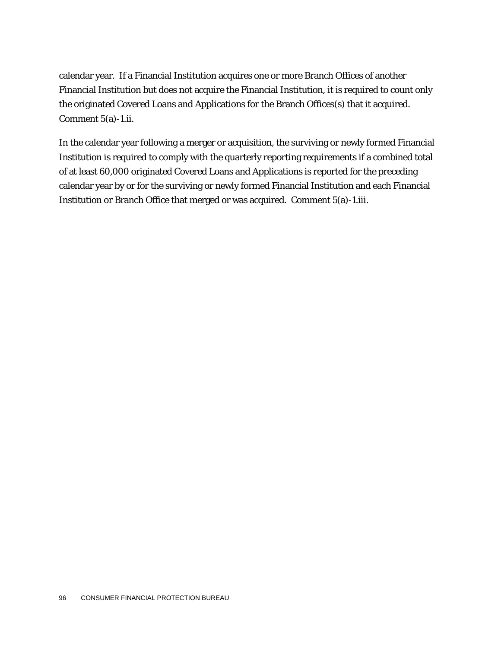calendar year. If a Financial Institution acquires one or more Branch Offices of another Financial Institution but does not acquire the Financial Institution, it is required to count only the originated Covered Loans and Applications for the Branch Offices(s) that it acquired. Comment 5(a)-1.ii.

In the calendar year following a merger or acquisition, the surviving or newly formed Financial Institution is required to comply with the quarterly reporting requirements if a combined total of at least 60,000 originated Covered Loans and Applications is reported for the preceding calendar year by or for the surviving or newly formed Financial Institution and each Financial Institution or Branch Office that merged or was acquired. Comment 5(a)-1.iii.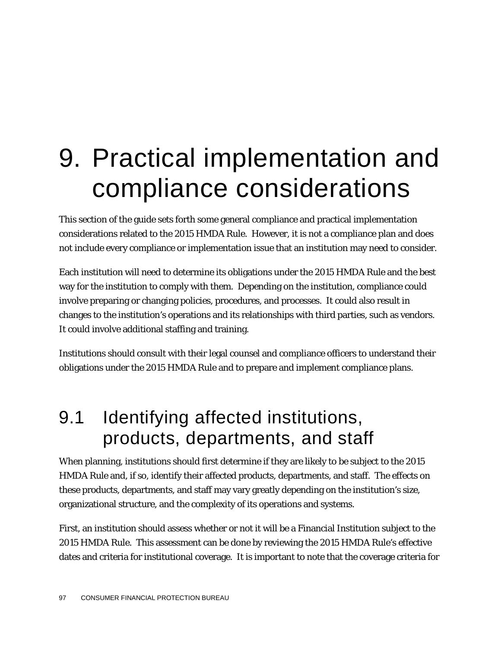## 9. Practical implementation and compliance considerations

This section of the guide sets forth some general compliance and practical implementation considerations related to the 2015 HMDA Rule. However, it is not a compliance plan and does not include every compliance or implementation issue that an institution may need to consider.

Each institution will need to determine its obligations under the 2015 HMDA Rule and the best way for the institution to comply with them. Depending on the institution, compliance could involve preparing or changing policies, procedures, and processes. It could also result in changes to the institution's operations and its relationships with third parties, such as vendors. It could involve additional staffing and training.

Institutions should consult with their legal counsel and compliance officers to understand their obligations under the 2015 HMDA Rule and to prepare and implement compliance plans.

## 9.1 Identifying affected institutions, products, departments, and staff

When planning, institutions should first determine if they are likely to be subject to the 2015 HMDA Rule and, if so, identify their affected products, departments, and staff. The effects on these products, departments, and staff may vary greatly depending on the institution's size, organizational structure, and the complexity of its operations and systems.

First, an institution should assess whether or not it will be a Financial Institution subject to the 2015 HMDA Rule. This assessment can be done by reviewing the 2015 HMDA Rule's effective dates and criteria for institutional coverage. It is important to note that the coverage criteria for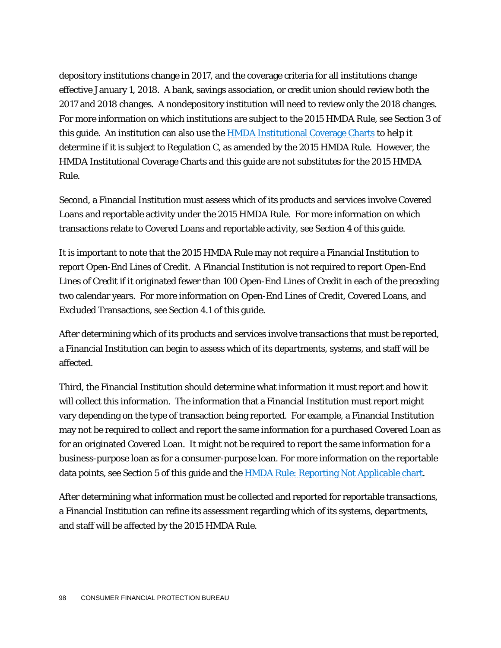depository institutions change in 2017, and the coverage criteria for all institutions change effective January 1, 2018. A bank, savings association, or credit union should review both the 2017 and 2018 changes. A nondepository institution will need to review only the 2018 changes. For more information on which institutions are subject to the 2015 HMDA Rule, see Section 3 of this guide. An institution can also use the [HMDA Institutional Coverage Charts](http://www.consumerfinance.gov/regulatory-implementation/hmda/) to help it determine if it is subject to Regulation C, as amended by the 2015 HMDA Rule. However, the HMDA Institutional Coverage Charts and this guide are not substitutes for the 2015 HMDA Rule.

Second, a Financial Institution must assess which of its products and services involve Covered Loans and reportable activity under the 2015 HMDA Rule. For more information on which transactions relate to Covered Loans and reportable activity, see Section 4 of this guide.

It is important to note that the 2015 HMDA Rule may not require a Financial Institution to report Open-End Lines of Credit. A Financial Institution is not required to report Open-End Lines of Credit if it originated fewer than 100 Open-End Lines of Credit in each of the preceding two calendar years. For more information on Open-End Lines of Credit, Covered Loans, and Excluded Transactions, see Section 4.1 of this guide.

After determining which of its products and services involve transactions that must be reported, a Financial Institution can begin to assess which of its departments, systems, and staff will be affected.

Third, the Financial Institution should determine what information it must report and how it will collect this information. The information that a Financial Institution must report might vary depending on the type of transaction being reported. For example, a Financial Institution may not be required to collect and report the same information for a purchased Covered Loan as for an originated Covered Loan. It might not be required to report the same information for a business-purpose loan as for a consumer-purpose loan. For more information on the reportable data points, see Section 5 of this guide and the **HMDA Rule: Reporting Not Applicable chart**.

After determining what information must be collected and reported for reportable transactions, a Financial Institution can refine its assessment regarding which of its systems, departments, and staff will be affected by the 2015 HMDA Rule.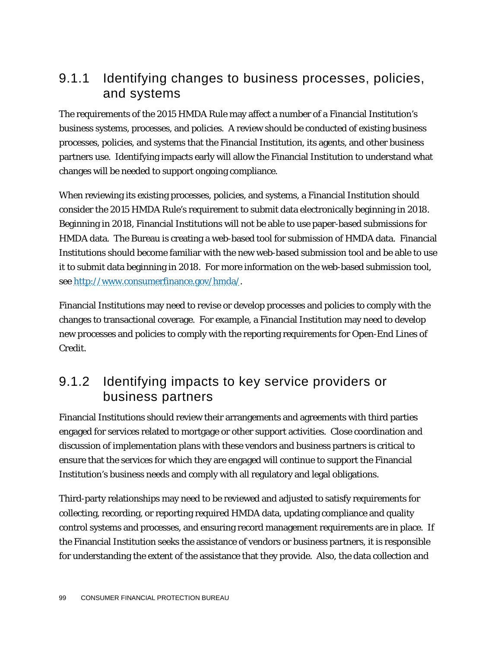#### 9.1.1 Identifying changes to business processes, policies, and systems

The requirements of the 2015 HMDA Rule may affect a number of a Financial Institution's business systems, processes, and policies. A review should be conducted of existing business processes, policies, and systems that the Financial Institution, its agents, and other business partners use. Identifying impacts early will allow the Financial Institution to understand what changes will be needed to support ongoing compliance.

When reviewing its existing processes, policies, and systems, a Financial Institution should consider the 2015 HMDA Rule's requirement to submit data electronically beginning in 2018. Beginning in 2018, Financial Institutions will not be able to use paper-based submissions for HMDA data. The Bureau is creating a web-based tool for submission of HMDA data. Financial Institutions should become familiar with the new web-based submission tool and be able to use it to submit data beginning in 2018. For more information on the web-based submission tool, see [http://www.consumerfinance.gov/hmda/.](http://www.consumerfinance.gov/hmda/)

Financial Institutions may need to revise or develop processes and policies to comply with the changes to transactional coverage. For example, a Financial Institution may need to develop new processes and policies to comply with the reporting requirements for Open-End Lines of Credit.

#### 9.1.2 Identifying impacts to key service providers or business partners

Financial Institutions should review their arrangements and agreements with third parties engaged for services related to mortgage or other support activities. Close coordination and discussion of implementation plans with these vendors and business partners is critical to ensure that the services for which they are engaged will continue to support the Financial Institution's business needs and comply with all regulatory and legal obligations.

Third-party relationships may need to be reviewed and adjusted to satisfy requirements for collecting, recording, or reporting required HMDA data, updating compliance and quality control systems and processes, and ensuring record management requirements are in place. If the Financial Institution seeks the assistance of vendors or business partners, it is responsible for understanding the extent of the assistance that they provide. Also, the data collection and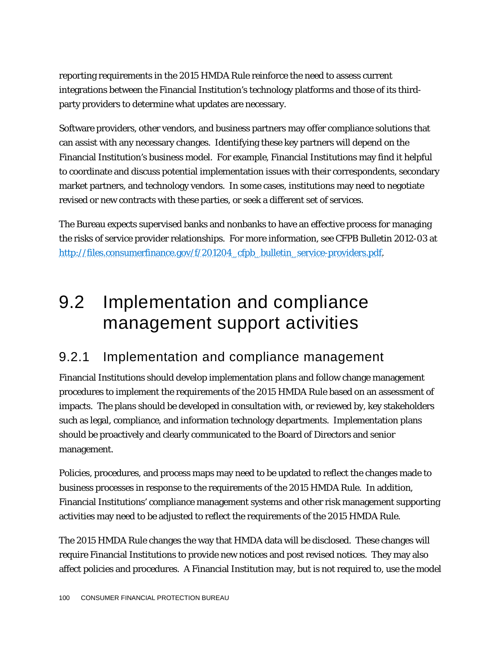reporting requirements in the 2015 HMDA Rule reinforce the need to assess current integrations between the Financial Institution's technology platforms and those of its thirdparty providers to determine what updates are necessary.

Software providers, other vendors, and business partners may offer compliance solutions that can assist with any necessary changes. Identifying these key partners will depend on the Financial Institution's business model. For example, Financial Institutions may find it helpful to coordinate and discuss potential implementation issues with their correspondents, secondary market partners, and technology vendors. In some cases, institutions may need to negotiate revised or new contracts with these parties, or seek a different set of services.

The Bureau expects supervised banks and nonbanks to have an effective process for managing the risks of service provider relationships. For more information, see CFPB Bulletin 2012-03 at [http://files.consumerfinance.gov/f/201204\\_cfpb\\_bulletin\\_service-providers.pdf.](http://files.consumerfinance.gov/f/201204_cfpb_bulletin_service-providers.pdf)

## 9.2 Implementation and compliance management support activities

#### 9.2.1 Implementation and compliance management

Financial Institutions should develop implementation plans and follow change management procedures to implement the requirements of the 2015 HMDA Rule based on an assessment of impacts. The plans should be developed in consultation with, or reviewed by, key stakeholders such as legal, compliance, and information technology departments. Implementation plans should be proactively and clearly communicated to the Board of Directors and senior management.

Policies, procedures, and process maps may need to be updated to reflect the changes made to business processes in response to the requirements of the 2015 HMDA Rule. In addition, Financial Institutions' compliance management systems and other risk management supporting activities may need to be adjusted to reflect the requirements of the 2015 HMDA Rule.

The 2015 HMDA Rule changes the way that HMDA data will be disclosed. These changes will require Financial Institutions to provide new notices and post revised notices. They may also affect policies and procedures. A Financial Institution may, but is not required to, use the model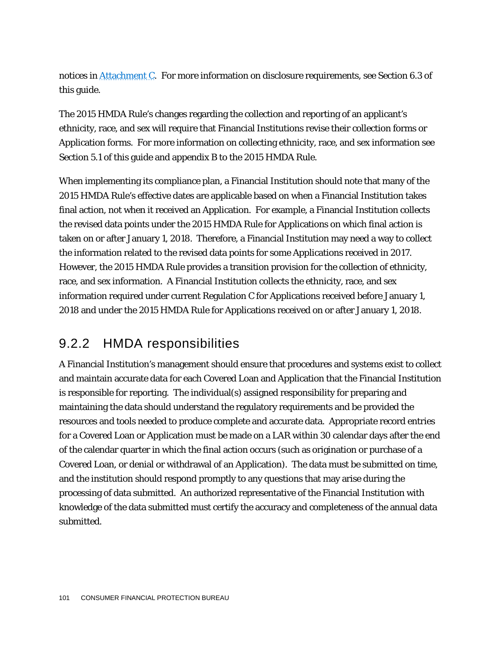notices i[n Attachment C.](#page-108-0)For more information on disclosure requirements, see Section 6.3 of this guide.

The 2015 HMDA Rule's changes regarding the collection and reporting of an applicant's ethnicity, race, and sex will require that Financial Institutions revise their collection forms or Application forms. For more information on collecting ethnicity, race, and sex information see Section 5.1 of this guide and appendix B to the 2015 HMDA Rule.

When implementing its compliance plan, a Financial Institution should note that many of the 2015 HMDA Rule's effective dates are applicable based on when a Financial Institution takes final action, not when it received an Application. For example, a Financial Institution collects the revised data points under the 2015 HMDA Rule for Applications on which final action is taken on or after January 1, 2018. Therefore, a Financial Institution may need a way to collect the information related to the revised data points for some Applications received in 2017. However, the 2015 HMDA Rule provides a transition provision for the collection of ethnicity, race, and sex information. A Financial Institution collects the ethnicity, race, and sex information required under current Regulation C for Applications received before January 1, 2018 and under the 2015 HMDA Rule for Applications received on or after January 1, 2018.

#### 9.2.2 HMDA responsibilities

A Financial Institution's management should ensure that procedures and systems exist to collect and maintain accurate data for each Covered Loan and Application that the Financial Institution is responsible for reporting. The individual(s) assigned responsibility for preparing and maintaining the data should understand the regulatory requirements and be provided the resources and tools needed to produce complete and accurate data. Appropriate record entries for a Covered Loan or Application must be made on a LAR within 30 calendar days after the end of the calendar quarter in which the final action occurs (such as origination or purchase of a Covered Loan, or denial or withdrawal of an Application). The data must be submitted on time, and the institution should respond promptly to any questions that may arise during the processing of data submitted. An authorized representative of the Financial Institution with knowledge of the data submitted must certify the accuracy and completeness of the annual data submitted.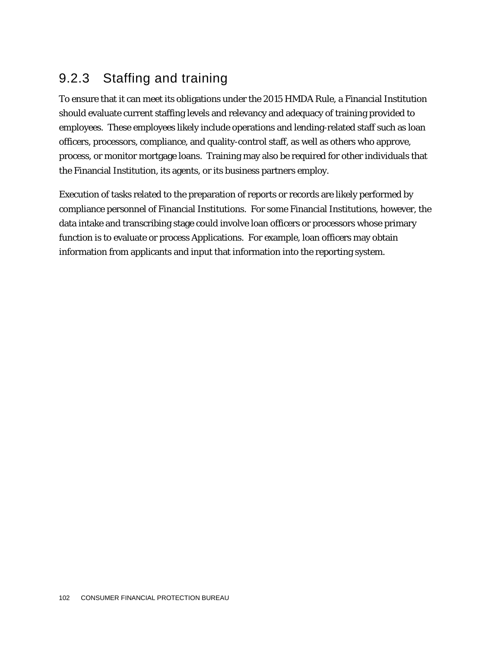#### 9.2.3 Staffing and training

To ensure that it can meet its obligations under the 2015 HMDA Rule, a Financial Institution should evaluate current staffing levels and relevancy and adequacy of training provided to employees. These employees likely include operations and lending-related staff such as loan officers, processors, compliance, and quality-control staff, as well as others who approve, process, or monitor mortgage loans. Training may also be required for other individuals that the Financial Institution, its agents, or its business partners employ.

Execution of tasks related to the preparation of reports or records are likely performed by compliance personnel of Financial Institutions. For some Financial Institutions, however, the data intake and transcribing stage could involve loan officers or processors whose primary function is to evaluate or process Applications. For example, loan officers may obtain information from applicants and input that information into the reporting system.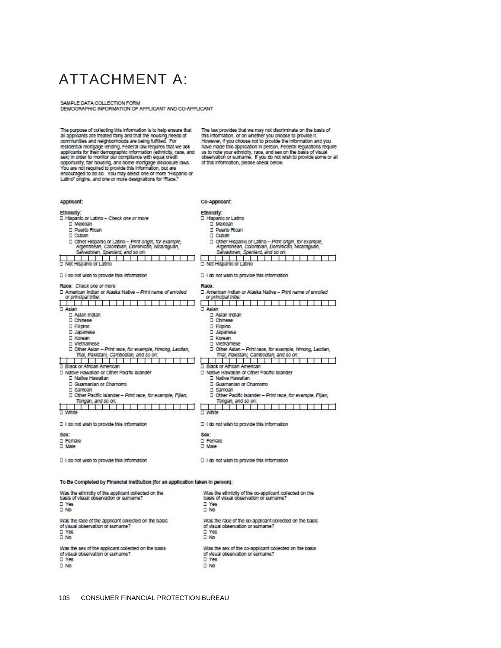### ATTACHMENT A:

SAMPLE DATA COLLECTION FORM<br>DEMOGRAPHIC INFORMATION OF APPLICANT AND CO-APPLICANT

| The purpose of collecting this information is to help ensure that<br>all applicants are treated fairly and that the housing needs of<br>communities and neighborhoods are being fulfilled. For<br>residential mortgage lending, Federal law requires that we ask<br>applicants for their demographic information (ethnicity, race, and<br>sex) in order to monitor our compliance with equal credit<br>opportunity, fair housing, and home mortgage disclosure laws.<br>You are not required to provide this information, but are<br>encouraged to do so. You may select one or more "Hispanic or<br>Latino" origins, and one or more designations for "Race." | The law provides that we may not discriminate on the basis of<br>this information, or on whether you choose to provide it.<br>However, if you choose not to provide the information and you<br>have made this application in person, Federal regulations require<br>us to note your ethnicity, race, and sex on the basis of visual<br>observation or sumame. If you do not wish to provide some or all<br>of this information, please check below.                                                                                                    |  |
|----------------------------------------------------------------------------------------------------------------------------------------------------------------------------------------------------------------------------------------------------------------------------------------------------------------------------------------------------------------------------------------------------------------------------------------------------------------------------------------------------------------------------------------------------------------------------------------------------------------------------------------------------------------|--------------------------------------------------------------------------------------------------------------------------------------------------------------------------------------------------------------------------------------------------------------------------------------------------------------------------------------------------------------------------------------------------------------------------------------------------------------------------------------------------------------------------------------------------------|--|
| Applicant:                                                                                                                                                                                                                                                                                                                                                                                                                                                                                                                                                                                                                                                     | Co-Applicant:                                                                                                                                                                                                                                                                                                                                                                                                                                                                                                                                          |  |
| Ethnicity:<br>□ Hispanic or Latino - Check one or more<br>□ Mexican<br>D Puerto Rican<br>□ Cuban<br>D Other Hispanic or Latino - Print origin, for example,<br>Argentinean, Colombian, Dominican, Nicaraguan,<br>Salvadoran, Spaniard, and so on:<br>77<br>- 1<br>□ Not Hispanic or Latino                                                                                                                                                                                                                                                                                                                                                                     | Ethnicity:<br>□ Hispanic or Latino<br>D Mexican<br>D Puerto Rican<br>D Cuban<br>D Other Hispanic or Latino - Print origin, for example,<br>Argenthean, Colombian, Dominican, Nicaraguan,<br>Salvadoran, Spaniard, and so on:<br>$\overline{\phantom{0}}$<br>T.<br>Not Hispanic or Latino                                                                                                                                                                                                                                                               |  |
| □ I do not wish to provide this information                                                                                                                                                                                                                                                                                                                                                                                                                                                                                                                                                                                                                    | D I do not wish to provide this information                                                                                                                                                                                                                                                                                                                                                                                                                                                                                                            |  |
| Race: Check one or more<br>D American Indian or Alaska Native - Print name of enrolled<br>or principal tribe:<br>□ Asian<br>D Asian Indian<br>D Chinese<br><b>D</b> Filpino<br>D Japanese<br>□ Korean<br>□ Vietnamese<br>D Other Asian - Print race, for example, Hmong, Laotlan,<br>Thal, Pakistani, Cambodian, and so on:<br>D Black or African American<br>D Native Hawalian or Other Pacific Islander<br>□ Native Hawailan<br>D Guamanian or Chamorro<br>□ Samoan<br>D Other Pacific Islander - Print race, for example, Fillan,<br>Tongan, and so on:<br>□ White                                                                                          | Race:<br>□ American Indian or Alaska Native - Print name of enrolled<br>or principal tribe:<br>□ Asian<br>□ Asian Indian<br>D Chinese<br><b>D</b> Filipino<br>D Japanese<br>D Korean<br>D Vietnamese<br>D Other Asian - Print race, for example, Hmong, Laotlan,<br>Thal, Pakistani, Cambodian, and so on:<br>□ Black or African American<br>D Native Hawallan or Other Pachic Islander<br>D Native Hawalian<br>D Guamanian or Chamorro<br>□ Samoan<br>D Other Pacific Islander - Print race, for example, Fijlan,<br>Tongan, and so on:<br>п<br>White |  |
| □ I do not wish to provide this information                                                                                                                                                                                                                                                                                                                                                                                                                                                                                                                                                                                                                    | □ I do not wish to provide this information                                                                                                                                                                                                                                                                                                                                                                                                                                                                                                            |  |
| <b>Sex</b><br>□ Female<br>D Male                                                                                                                                                                                                                                                                                                                                                                                                                                                                                                                                                                                                                               | Sex:<br>D Female<br>□ Male                                                                                                                                                                                                                                                                                                                                                                                                                                                                                                                             |  |
| □ I do not wish to provide this information                                                                                                                                                                                                                                                                                                                                                                                                                                                                                                                                                                                                                    | □ 1 do not wish to provide this information                                                                                                                                                                                                                                                                                                                                                                                                                                                                                                            |  |
| To Be Completed by Financial Institution (for an application taken in person):                                                                                                                                                                                                                                                                                                                                                                                                                                                                                                                                                                                 |                                                                                                                                                                                                                                                                                                                                                                                                                                                                                                                                                        |  |
| Was the ethnicity of the applicant collected on the<br>basis of visual observation or sumame?<br>D Yes<br>$\square$ No                                                                                                                                                                                                                                                                                                                                                                                                                                                                                                                                         | Was the ethnicity of the co-applicant collected on the<br>basis of visual observation or surname?<br>D Yes<br>$\square$ No                                                                                                                                                                                                                                                                                                                                                                                                                             |  |
| Was the race of the applicant collected on the basis<br>of visual observation or sumame?<br>$\square$ Yes<br>$\square$ No                                                                                                                                                                                                                                                                                                                                                                                                                                                                                                                                      | Was the race of the co-applicant collected on the basis<br>of visual observation or surname?<br>D Yes<br>$\square$ No                                                                                                                                                                                                                                                                                                                                                                                                                                  |  |
| Was the sex of the applicant collected on the basis<br>of visual observation or sumame?<br>D Yes<br>$\square$ No                                                                                                                                                                                                                                                                                                                                                                                                                                                                                                                                               | Was the sex of the co-applicant collected on the basis<br>of visual observation or surname?<br>D Yes<br>$\square$ No                                                                                                                                                                                                                                                                                                                                                                                                                                   |  |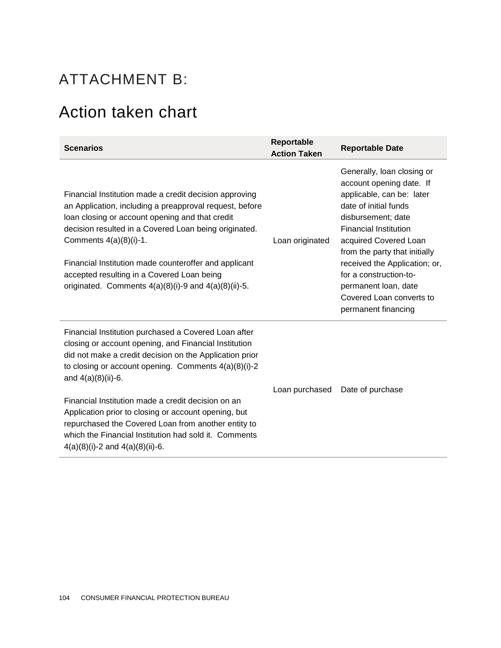### ATTACHMENT B:

## Action taken chart

| <b>Scenarios</b>                                                                                                                                                                                                                                                                                                                                                                                                                                                                                                                  | Reportable<br><b>Action Taken</b> | <b>Reportable Date</b>                                                                                                                                                                                                                                                                                                                                             |
|-----------------------------------------------------------------------------------------------------------------------------------------------------------------------------------------------------------------------------------------------------------------------------------------------------------------------------------------------------------------------------------------------------------------------------------------------------------------------------------------------------------------------------------|-----------------------------------|--------------------------------------------------------------------------------------------------------------------------------------------------------------------------------------------------------------------------------------------------------------------------------------------------------------------------------------------------------------------|
| Financial Institution made a credit decision approving<br>an Application, including a preapproval request, before<br>loan closing or account opening and that credit<br>decision resulted in a Covered Loan being originated.<br>Comments $4(a)(8)(i)-1$ .<br>Financial Institution made counteroffer and applicant<br>accepted resulting in a Covered Loan being<br>originated. Comments $4(a)(8)(i)$ -9 and $4(a)(8)(ii)$ -5.                                                                                                   | Loan originated                   | Generally, loan closing or<br>account opening date. If<br>applicable, can be: later<br>date of initial funds<br>disbursement; date<br><b>Financial Institution</b><br>acquired Covered Loan<br>from the party that initially<br>received the Application; or,<br>for a construction-to-<br>permanent loan, date<br>Covered Loan converts to<br>permanent financing |
| Financial Institution purchased a Covered Loan after<br>closing or account opening, and Financial Institution<br>did not make a credit decision on the Application prior<br>to closing or account opening. Comments $4(a)(8)(i)-2$<br>and $4(a)(8)(ii)-6$ .<br>Financial Institution made a credit decision on an<br>Application prior to closing or account opening, but<br>repurchased the Covered Loan from another entity to<br>which the Financial Institution had sold it. Comments<br>$4(a)(8)(i)-2$ and $4(a)(8)(ii)-6$ . | Loan purchased                    | Date of purchase                                                                                                                                                                                                                                                                                                                                                   |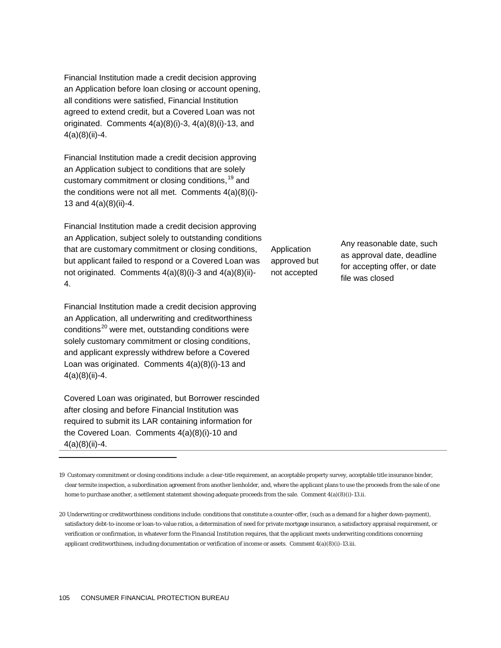Financial Institution made a credit decision approving an Application before loan closing or account opening, all conditions were satisfied, Financial Institution agreed to extend credit, but a Covered Loan was not originated. Comments 4(a)(8)(i)-3, 4(a)(8)(i)-13, and 4(a)(8)(ii)-4.

Financial Institution made a credit decision approving an Application subject to conditions that are solely customary commitment or closing conditions, <sup>[19](#page-105-0)</sup> and the conditions were not all met. Comments 4(a)(8)(i)- 13 and 4(a)(8)(ii)-4.

Financial Institution made a credit decision approving an Application, subject solely to outstanding conditions that are customary commitment or closing conditions, but applicant failed to respond or a Covered Loan was not originated. Comments 4(a)(8)(i)-3 and 4(a)(8)(ii)- 4.

Financial Institution made a credit decision approving an Application, all underwriting and creditworthiness conditions<sup>[20](#page-105-1)</sup> were met, outstanding conditions were solely customary commitment or closing conditions, and applicant expressly withdrew before a Covered Loan was originated. Comments 4(a)(8)(i)-13 and 4(a)(8)(ii)-4.

Covered Loan was originated, but Borrower rescinded after closing and before Financial Institution was required to submit its LAR containing information for the Covered Loan. Comments 4(a)(8)(i)-10 and  $4(a)(8)(ii)-4.$ 

1

Application approved but not accepted

Any reasonable date, such as approval date, deadline for accepting offer, or date file was closed

<span id="page-105-0"></span>19 Customary commitment or closing conditions include: a clear-title requirement, an acceptable property survey, acceptable title insurance binder, clear termite inspection, a subordination agreement from another lienholder, and, where the applicant plans to use the proceeds from the sale of one home to purchase another, a settlement statement showing adequate proceeds from the sale. Comment 4(a)(8)(i)-13.ii.

<span id="page-105-1"></span><sup>20</sup> Underwriting or creditworthiness conditions include: conditions that constitute a counter-offer, (such as a demand for a higher down-payment), satisfactory debt-to-income or loan-to-value ratios, a determination of need for private mortgage insurance, a satisfactory appraisal requirement, or verification or confirmation, in whatever form the Financial Institution requires, that the applicant meets underwriting conditions concerning applicant creditworthiness, including documentation or verification of income or assets. Comment 4(a)(8)(i)-13.iii.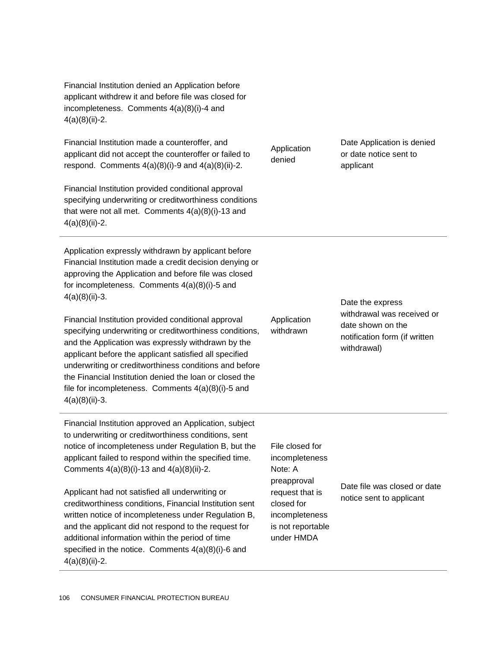Financial Institution denied an Application before applicant withdrew it and before file was closed for incompleteness. Comments 4(a)(8)(i)-4 and 4(a)(8)(ii)-2.

Financial Institution made a counteroffer, and applicant did not accept the counteroffer or failed to respond. Comments  $4(a)(8)(i)-9$  and  $4(a)(8)(ii)-2$ .

Financial Institution provided conditional approval specifying underwriting or creditworthiness conditions that were not all met. Comments 4(a)(8)(i)-13 and 4(a)(8)(ii)-2.

Application expressly withdrawn by applicant before Financial Institution made a credit decision denying or approving the Application and before file was closed for incompleteness. Comments 4(a)(8)(i)-5 and 4(a)(8)(ii)-3.

Financial Institution provided conditional approval specifying underwriting or creditworthiness conditions, and the Application was expressly withdrawn by the applicant before the applicant satisfied all specified underwriting or creditworthiness conditions and before the Financial Institution denied the loan or closed the file for incompleteness. Comments 4(a)(8)(i)-5 and 4(a)(8)(ii)-3.

Financial Institution approved an Application, subject to underwriting or creditworthiness conditions, sent notice of incompleteness under Regulation B, but the applicant failed to respond within the specified time. Comments 4(a)(8)(i)-13 and 4(a)(8)(ii)-2.

Applicant had not satisfied all underwriting or creditworthiness conditions, Financial Institution sent written notice of incompleteness under Regulation B, and the applicant did not respond to the request for additional information within the period of time specified in the notice. Comments 4(a)(8)(i)-6 and 4(a)(8)(ii)-2.

Application denied

Application withdrawn

under HMDA

Date Application is denied or date notice sent to applicant

Date the express withdrawal was received or date shown on the notification form (if written withdrawal)

File closed for incompleteness Note: A preapproval request that is closed for incompleteness is not reportable Date file was closed or date notice sent to applicant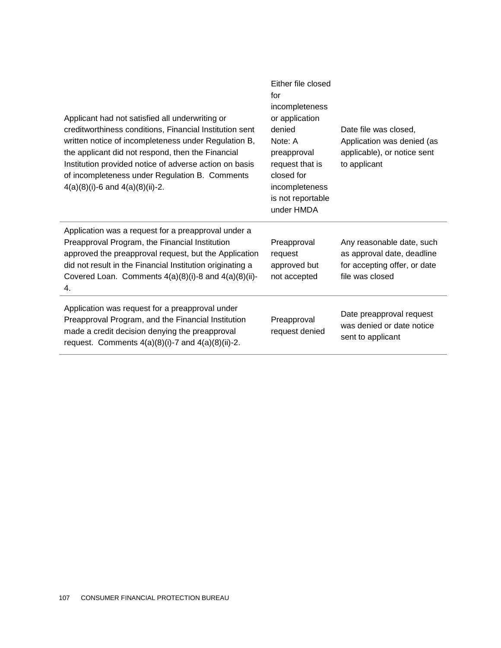| Applicant had not satisfied all underwriting or<br>creditworthiness conditions, Financial Institution sent<br>written notice of incompleteness under Regulation B,<br>the applicant did not respond, then the Financial<br>Institution provided notice of adverse action on basis<br>of incompleteness under Regulation B. Comments<br>$4(a)(8)(i)$ -6 and $4(a)(8)(ii)$ -2. | Either file closed<br>for<br>incompleteness<br>or application<br>denied<br>Note: A<br>preapproval<br>request that is<br>closed for<br>incompleteness<br>is not reportable<br>under HMDA | Date file was closed.<br>Application was denied (as<br>applicable), or notice sent<br>to applicant         |
|------------------------------------------------------------------------------------------------------------------------------------------------------------------------------------------------------------------------------------------------------------------------------------------------------------------------------------------------------------------------------|-----------------------------------------------------------------------------------------------------------------------------------------------------------------------------------------|------------------------------------------------------------------------------------------------------------|
| Application was a request for a preapproval under a<br>Preapproval Program, the Financial Institution<br>approved the preapproval request, but the Application<br>did not result in the Financial Institution originating a<br>Covered Loan. Comments $4(a)(8)(i)-8$ and $4(a)(8)(ii)-$<br>4.                                                                                | Preapproval<br>request<br>approved but<br>not accepted                                                                                                                                  | Any reasonable date, such<br>as approval date, deadline<br>for accepting offer, or date<br>file was closed |
| Application was request for a preapproval under<br>Preapproval Program, and the Financial Institution<br>made a credit decision denying the preapproval<br>request. Comments $4(a)(8)(i)$ -7 and $4(a)(8)(ii)$ -2.                                                                                                                                                           | Preapproval<br>request denied                                                                                                                                                           | Date preapproval request<br>was denied or date notice<br>sent to applicant                                 |